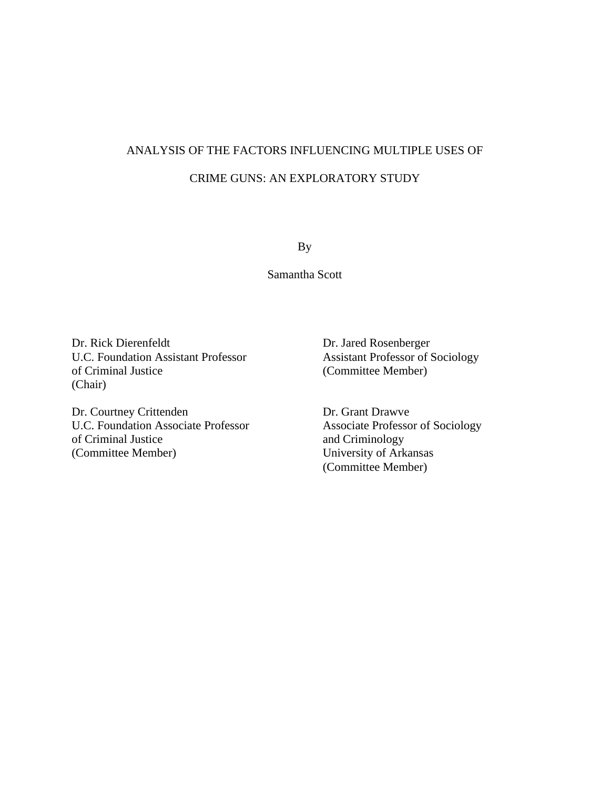## ANALYSIS OF THE FACTORS INFLUENCING MULTIPLE USES OF CRIME GUNS: AN EXPLORATORY STUDY

By

Samantha Scott

Dr. Rick Dierenfeldt Dr. Jared Rosenberger U.C. Foundation Assistant Professor Assistant Professor of Sociology of Criminal Justice (Committee Member) (Chair)

Dr. Courtney Crittenden Dr. Grant Drawve U.C. Foundation Associate Professor<br>
of Criminal Justice<br>
of Criminal Sustice<br>
of Criminal Sustice<br>
of Criminal Sustice<br>
of Criminal Sustice<br>
of Criminal Sustice<br>
of Criminal Sustice<br>
of Criminal Sustice<br>
of Criminal Susti (Committee Member) University of Arkansas

and Criminology (Committee Member)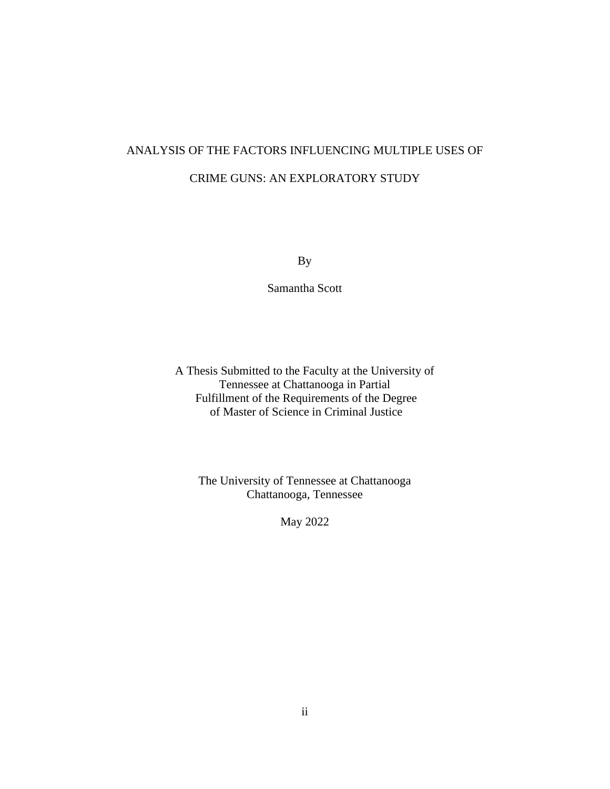# ANALYSIS OF THE FACTORS INFLUENCING MULTIPLE USES OF CRIME GUNS: AN EXPLORATORY STUDY

By

Samantha Scott

A Thesis Submitted to the Faculty at the University of Tennessee at Chattanooga in Partial Fulfillment of the Requirements of the Degree of Master of Science in Criminal Justice

The University of Tennessee at Chattanooga Chattanooga, Tennessee

May 2022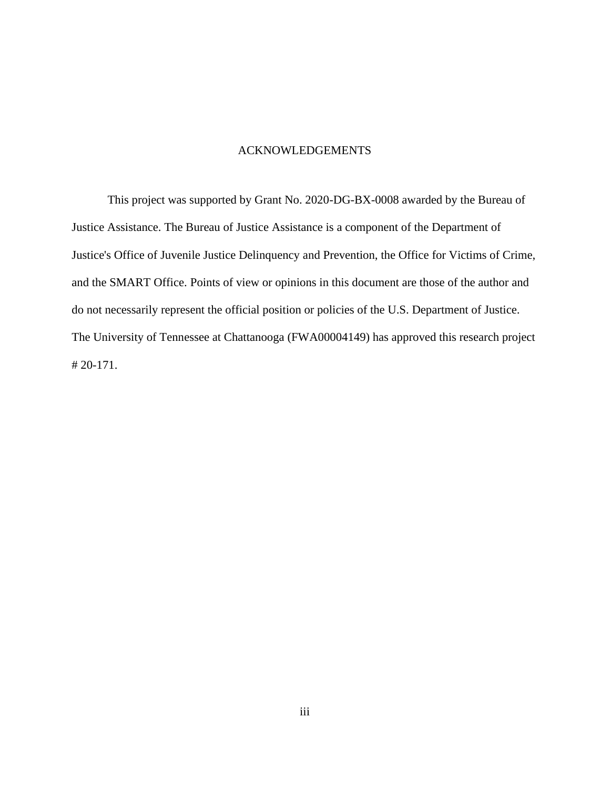#### ACKNOWLEDGEMENTS

<span id="page-2-0"></span>This project was supported by Grant No. 2020-DG-BX-0008 awarded by the Bureau of Justice Assistance. The Bureau of Justice Assistance is a component of the Department of Justice's Office of Juvenile Justice Delinquency and Prevention, the Office for Victims of Crime, and the SMART Office. Points of view or opinions in this document are those of the author and do not necessarily represent the official position or policies of the U.S. Department of Justice. The University of Tennessee at Chattanooga (FWA00004149) has approved this research project # 20-171.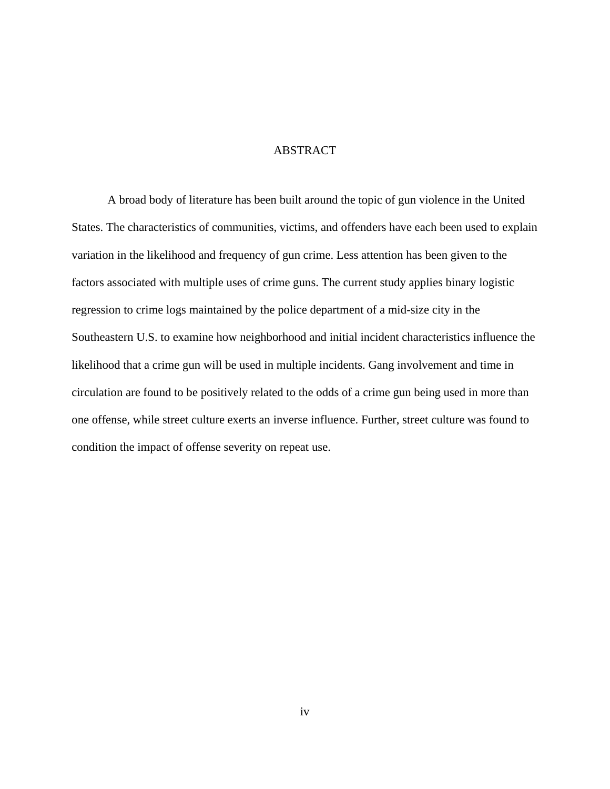#### ABSTRACT

<span id="page-3-0"></span>A broad body of literature has been built around the topic of gun violence in the United States. The characteristics of communities, victims, and offenders have each been used to explain variation in the likelihood and frequency of gun crime. Less attention has been given to the factors associated with multiple uses of crime guns. The current study applies binary logistic regression to crime logs maintained by the police department of a mid-size city in the Southeastern U.S. to examine how neighborhood and initial incident characteristics influence the likelihood that a crime gun will be used in multiple incidents. Gang involvement and time in circulation are found to be positively related to the odds of a crime gun being used in more than one offense, while street culture exerts an inverse influence. Further, street culture was found to condition the impact of offense severity on repeat use.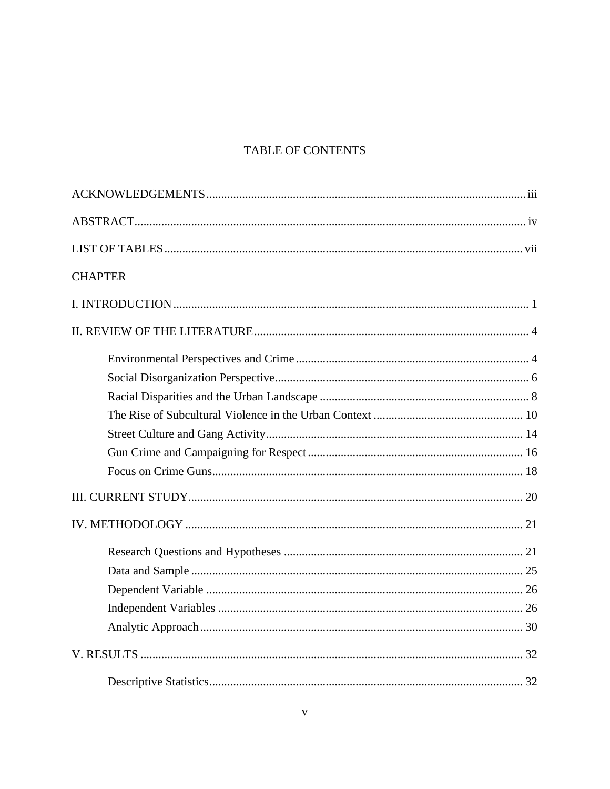## TABLE OF CONTENTS

| <b>CHAPTER</b> |
|----------------|
|                |
|                |
|                |
|                |
|                |
|                |
|                |
|                |
|                |
|                |
|                |
|                |
|                |
|                |
|                |
|                |
|                |
|                |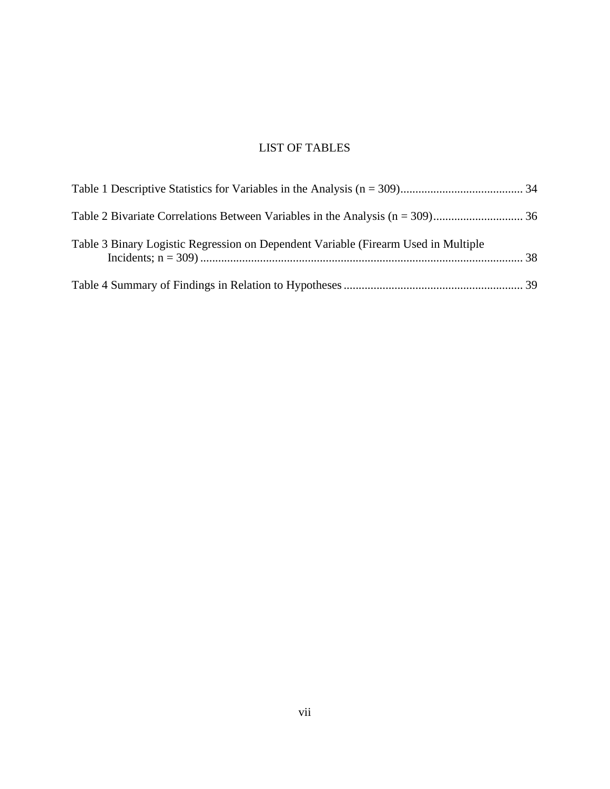### LIST OF TABLES

<span id="page-6-0"></span>

| Table 3 Binary Logistic Regression on Dependent Variable (Firearm Used in Multiple |  |
|------------------------------------------------------------------------------------|--|
|                                                                                    |  |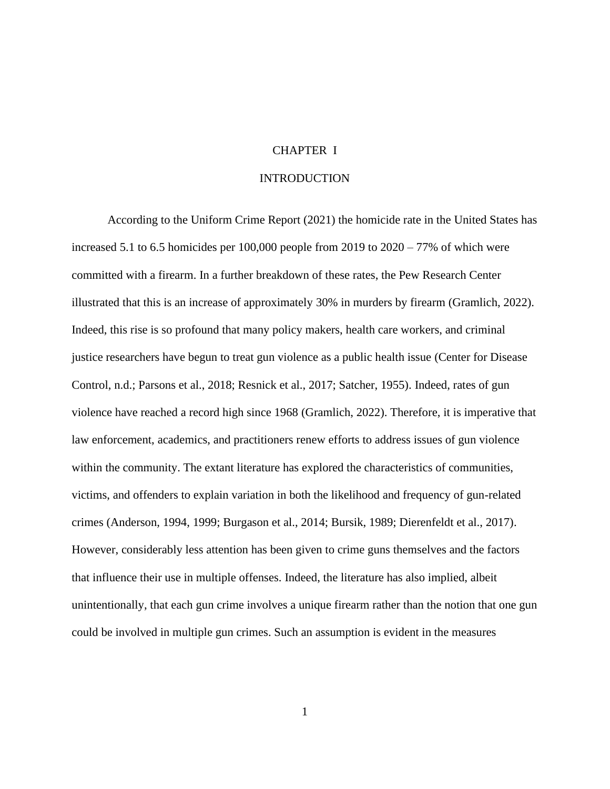#### CHAPTER I

#### **INTRODUCTION**

<span id="page-7-0"></span>According to the Uniform Crime Report (2021) the homicide rate in the United States has increased 5.1 to 6.5 homicides per  $100,000$  people from  $2019$  to  $2020 - 77\%$  of which were committed with a firearm. In a further breakdown of these rates, the Pew Research Center illustrated that this is an increase of approximately 30% in murders by firearm (Gramlich, 2022). Indeed, this rise is so profound that many policy makers, health care workers, and criminal justice researchers have begun to treat gun violence as a public health issue (Center for Disease Control, n.d.; Parsons et al., 2018; Resnick et al., 2017; Satcher, 1955). Indeed, rates of gun violence have reached a record high since 1968 (Gramlich, 2022). Therefore, it is imperative that law enforcement, academics, and practitioners renew efforts to address issues of gun violence within the community. The extant literature has explored the characteristics of communities, victims, and offenders to explain variation in both the likelihood and frequency of gun-related crimes (Anderson, 1994, 1999; Burgason et al., 2014; Bursik, 1989; Dierenfeldt et al., 2017). However, considerably less attention has been given to crime guns themselves and the factors that influence their use in multiple offenses. Indeed, the literature has also implied, albeit unintentionally, that each gun crime involves a unique firearm rather than the notion that one gun could be involved in multiple gun crimes. Such an assumption is evident in the measures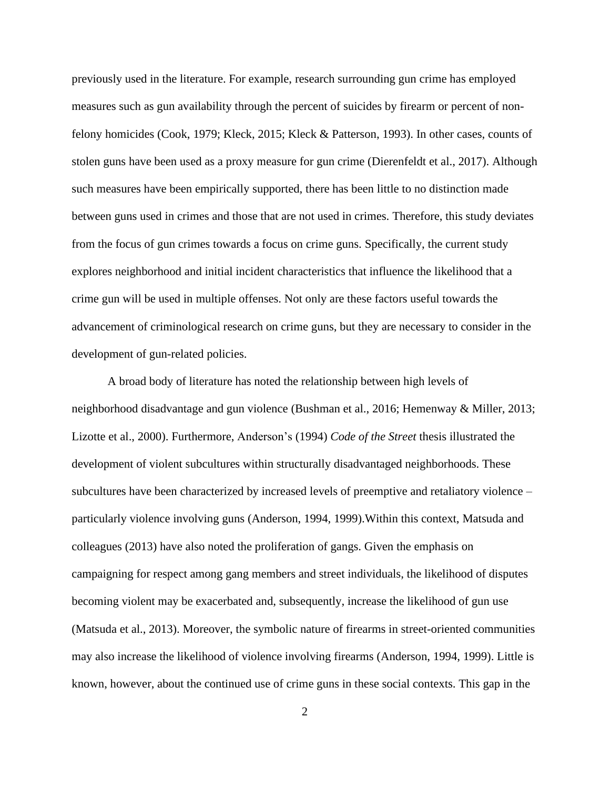previously used in the literature. For example, research surrounding gun crime has employed measures such as gun availability through the percent of suicides by firearm or percent of nonfelony homicides (Cook, 1979; Kleck, 2015; Kleck & Patterson, 1993). In other cases, counts of stolen guns have been used as a proxy measure for gun crime (Dierenfeldt et al., 2017). Although such measures have been empirically supported, there has been little to no distinction made between guns used in crimes and those that are not used in crimes. Therefore, this study deviates from the focus of gun crimes towards a focus on crime guns. Specifically, the current study explores neighborhood and initial incident characteristics that influence the likelihood that a crime gun will be used in multiple offenses. Not only are these factors useful towards the advancement of criminological research on crime guns, but they are necessary to consider in the development of gun-related policies.

A broad body of literature has noted the relationship between high levels of neighborhood disadvantage and gun violence (Bushman et al., 2016; Hemenway & Miller, 2013; Lizotte et al., 2000). Furthermore, Anderson's (1994) *Code of the Street* thesis illustrated the development of violent subcultures within structurally disadvantaged neighborhoods. These subcultures have been characterized by increased levels of preemptive and retaliatory violence – particularly violence involving guns (Anderson, 1994, 1999).Within this context, Matsuda and colleagues (2013) have also noted the proliferation of gangs. Given the emphasis on campaigning for respect among gang members and street individuals, the likelihood of disputes becoming violent may be exacerbated and, subsequently, increase the likelihood of gun use (Matsuda et al., 2013). Moreover, the symbolic nature of firearms in street-oriented communities may also increase the likelihood of violence involving firearms (Anderson, 1994, 1999). Little is known, however, about the continued use of crime guns in these social contexts. This gap in the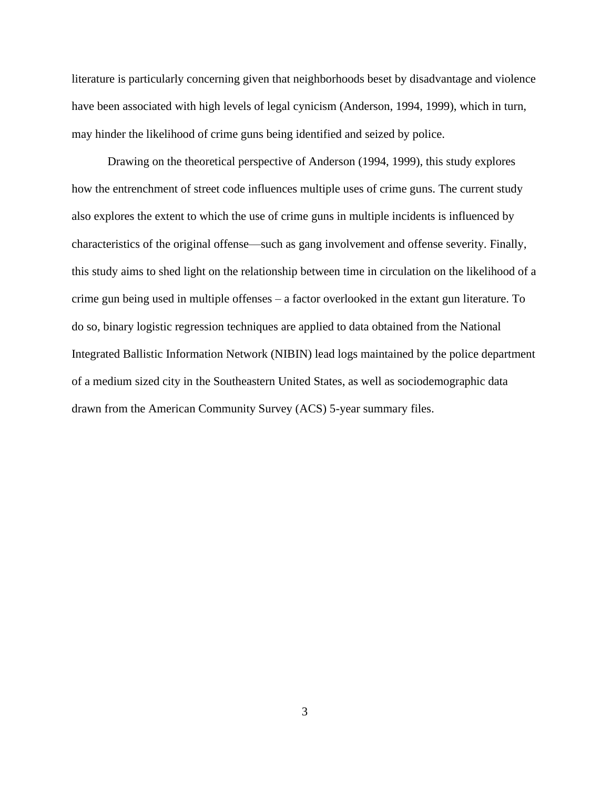literature is particularly concerning given that neighborhoods beset by disadvantage and violence have been associated with high levels of legal cynicism (Anderson, 1994, 1999), which in turn, may hinder the likelihood of crime guns being identified and seized by police.

Drawing on the theoretical perspective of Anderson (1994, 1999), this study explores how the entrenchment of street code influences multiple uses of crime guns. The current study also explores the extent to which the use of crime guns in multiple incidents is influenced by characteristics of the original offense—such as gang involvement and offense severity. Finally, this study aims to shed light on the relationship between time in circulation on the likelihood of a crime gun being used in multiple offenses – a factor overlooked in the extant gun literature. To do so, binary logistic regression techniques are applied to data obtained from the National Integrated Ballistic Information Network (NIBIN) lead logs maintained by the police department of a medium sized city in the Southeastern United States, as well as sociodemographic data drawn from the American Community Survey (ACS) 5-year summary files.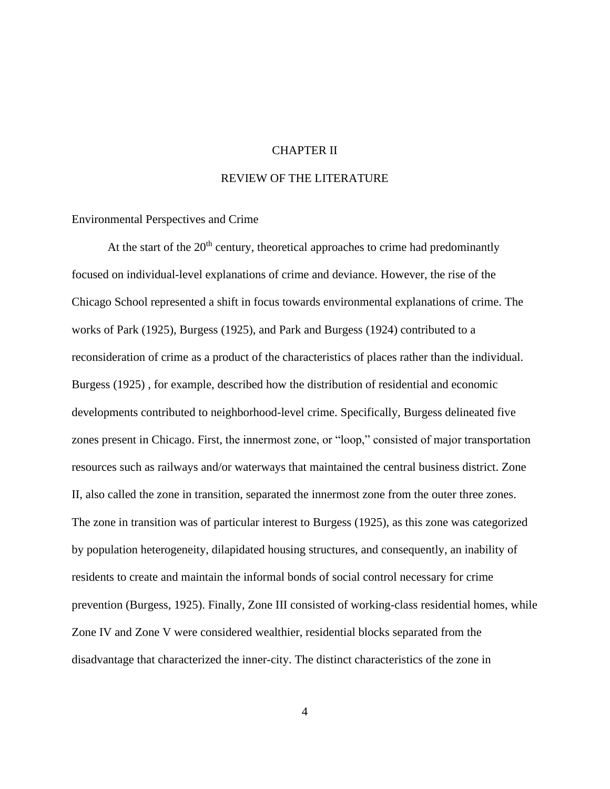#### CHAPTER II

#### REVIEW OF THE LITERATURE

<span id="page-10-1"></span><span id="page-10-0"></span>Environmental Perspectives and Crime

At the start of the  $20<sup>th</sup>$  century, theoretical approaches to crime had predominantly focused on individual-level explanations of crime and deviance. However, the rise of the Chicago School represented a shift in focus towards environmental explanations of crime. The works of Park (1925), Burgess (1925), and Park and Burgess (1924) contributed to a reconsideration of crime as a product of the characteristics of places rather than the individual. Burgess (1925) , for example, described how the distribution of residential and economic developments contributed to neighborhood-level crime. Specifically, Burgess delineated five zones present in Chicago. First, the innermost zone, or "loop," consisted of major transportation resources such as railways and/or waterways that maintained the central business district. Zone II, also called the zone in transition, separated the innermost zone from the outer three zones. The zone in transition was of particular interest to Burgess (1925), as this zone was categorized by population heterogeneity, dilapidated housing structures, and consequently, an inability of residents to create and maintain the informal bonds of social control necessary for crime prevention (Burgess, 1925). Finally, Zone III consisted of working-class residential homes, while Zone IV and Zone V were considered wealthier, residential blocks separated from the disadvantage that characterized the inner-city. The distinct characteristics of the zone in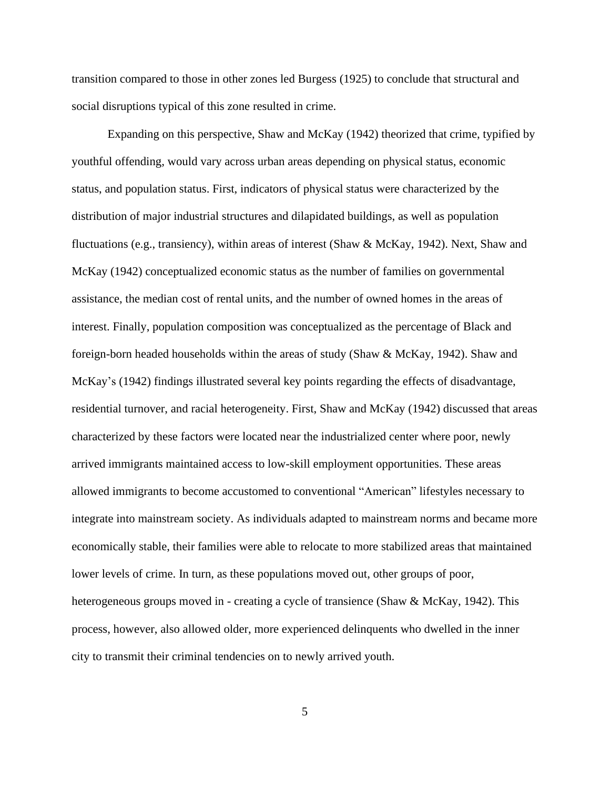transition compared to those in other zones led Burgess (1925) to conclude that structural and social disruptions typical of this zone resulted in crime.

Expanding on this perspective, Shaw and McKay (1942) theorized that crime, typified by youthful offending, would vary across urban areas depending on physical status, economic status, and population status. First, indicators of physical status were characterized by the distribution of major industrial structures and dilapidated buildings, as well as population fluctuations (e.g., transiency), within areas of interest (Shaw & McKay, 1942). Next, Shaw and McKay (1942) conceptualized economic status as the number of families on governmental assistance, the median cost of rental units, and the number of owned homes in the areas of interest. Finally, population composition was conceptualized as the percentage of Black and foreign-born headed households within the areas of study (Shaw & McKay, 1942). Shaw and McKay's (1942) findings illustrated several key points regarding the effects of disadvantage, residential turnover, and racial heterogeneity. First, Shaw and McKay (1942) discussed that areas characterized by these factors were located near the industrialized center where poor, newly arrived immigrants maintained access to low-skill employment opportunities. These areas allowed immigrants to become accustomed to conventional "American" lifestyles necessary to integrate into mainstream society. As individuals adapted to mainstream norms and became more economically stable, their families were able to relocate to more stabilized areas that maintained lower levels of crime. In turn, as these populations moved out, other groups of poor, heterogeneous groups moved in - creating a cycle of transience (Shaw & McKay, 1942). This process, however, also allowed older, more experienced delinquents who dwelled in the inner city to transmit their criminal tendencies on to newly arrived youth.

5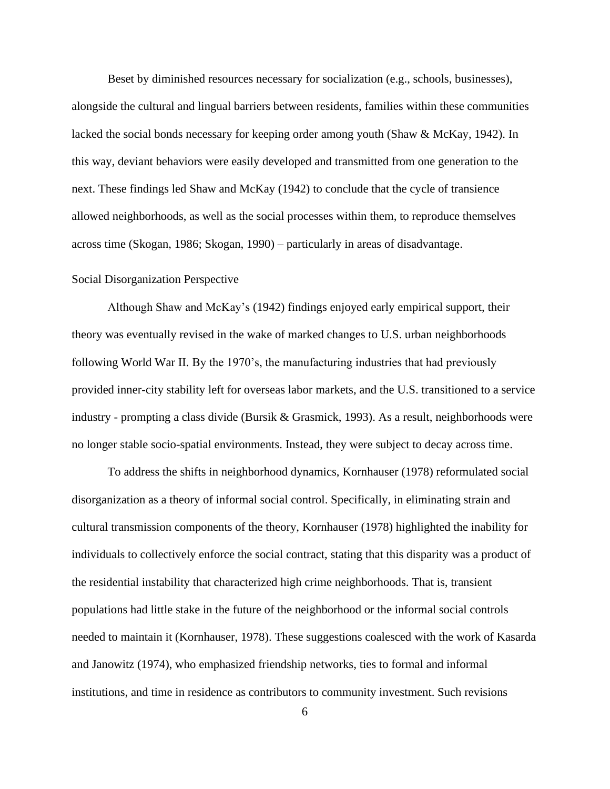Beset by diminished resources necessary for socialization (e.g., schools, businesses), alongside the cultural and lingual barriers between residents, families within these communities lacked the social bonds necessary for keeping order among youth (Shaw & McKay, 1942). In this way, deviant behaviors were easily developed and transmitted from one generation to the next. These findings led Shaw and McKay (1942) to conclude that the cycle of transience allowed neighborhoods, as well as the social processes within them, to reproduce themselves across time (Skogan, 1986; Skogan, 1990) – particularly in areas of disadvantage.

#### <span id="page-12-0"></span>Social Disorganization Perspective

Although Shaw and McKay's (1942) findings enjoyed early empirical support, their theory was eventually revised in the wake of marked changes to U.S. urban neighborhoods following World War II. By the 1970's, the manufacturing industries that had previously provided inner-city stability left for overseas labor markets, and the U.S. transitioned to a service industry - prompting a class divide (Bursik & Grasmick, 1993). As a result, neighborhoods were no longer stable socio-spatial environments. Instead, they were subject to decay across time.

To address the shifts in neighborhood dynamics, Kornhauser (1978) reformulated social disorganization as a theory of informal social control. Specifically, in eliminating strain and cultural transmission components of the theory, Kornhauser (1978) highlighted the inability for individuals to collectively enforce the social contract, stating that this disparity was a product of the residential instability that characterized high crime neighborhoods. That is, transient populations had little stake in the future of the neighborhood or the informal social controls needed to maintain it (Kornhauser, 1978). These suggestions coalesced with the work of Kasarda and Janowitz (1974), who emphasized friendship networks, ties to formal and informal institutions, and time in residence as contributors to community investment. Such revisions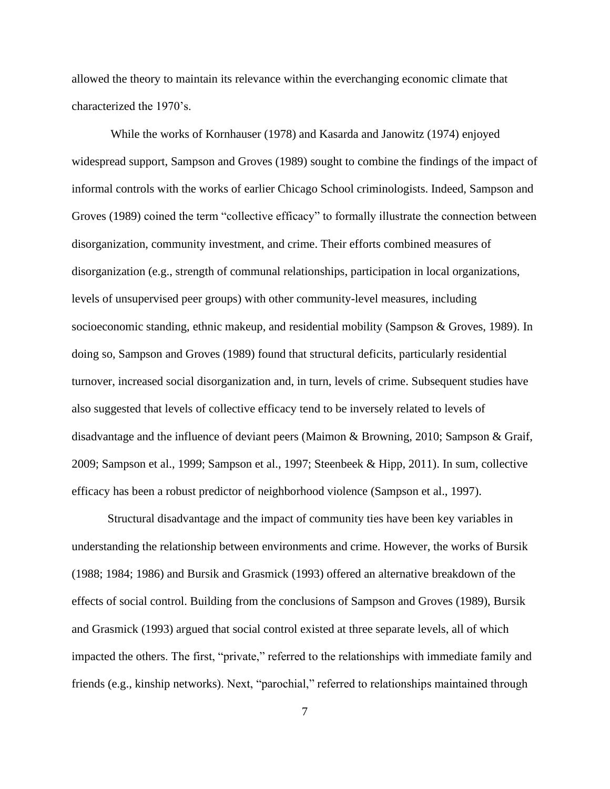allowed the theory to maintain its relevance within the everchanging economic climate that characterized the 1970's.

While the works of Kornhauser (1978) and Kasarda and Janowitz (1974) enjoyed widespread support, Sampson and Groves (1989) sought to combine the findings of the impact of informal controls with the works of earlier Chicago School criminologists. Indeed, Sampson and Groves (1989) coined the term "collective efficacy" to formally illustrate the connection between disorganization, community investment, and crime. Their efforts combined measures of disorganization (e.g., strength of communal relationships, participation in local organizations, levels of unsupervised peer groups) with other community-level measures, including socioeconomic standing, ethnic makeup, and residential mobility (Sampson & Groves, 1989). In doing so, Sampson and Groves (1989) found that structural deficits, particularly residential turnover, increased social disorganization and, in turn, levels of crime. Subsequent studies have also suggested that levels of collective efficacy tend to be inversely related to levels of disadvantage and the influence of deviant peers (Maimon & Browning, 2010; Sampson & Graif, 2009; Sampson et al., 1999; Sampson et al., 1997; Steenbeek & Hipp, 2011). In sum, collective efficacy has been a robust predictor of neighborhood violence (Sampson et al., 1997).

Structural disadvantage and the impact of community ties have been key variables in understanding the relationship between environments and crime. However, the works of Bursik (1988; 1984; 1986) and Bursik and Grasmick (1993) offered an alternative breakdown of the effects of social control. Building from the conclusions of Sampson and Groves (1989), Bursik and Grasmick (1993) argued that social control existed at three separate levels, all of which impacted the others. The first, "private," referred to the relationships with immediate family and friends (e.g., kinship networks). Next, "parochial," referred to relationships maintained through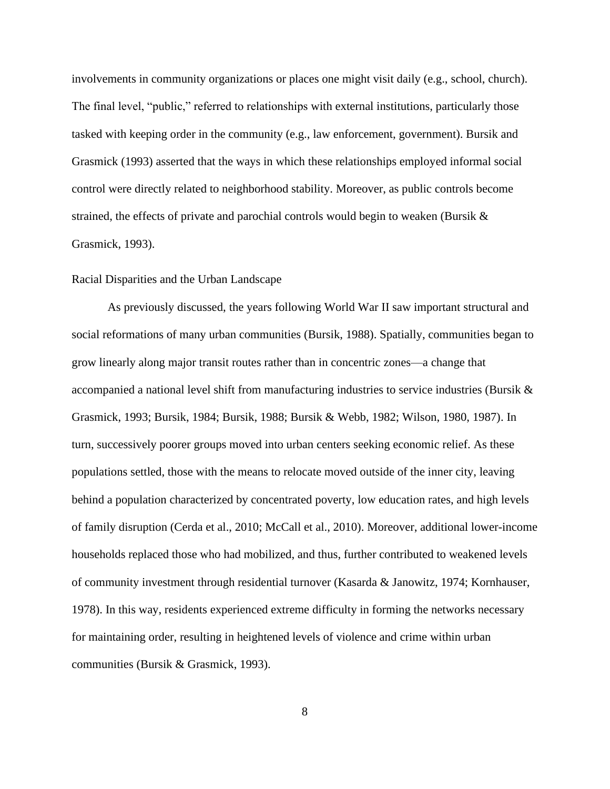involvements in community organizations or places one might visit daily (e.g., school, church). The final level, "public," referred to relationships with external institutions, particularly those tasked with keeping order in the community (e.g., law enforcement, government). Bursik and Grasmick (1993) asserted that the ways in which these relationships employed informal social control were directly related to neighborhood stability. Moreover, as public controls become strained, the effects of private and parochial controls would begin to weaken (Bursik & Grasmick, 1993).

#### <span id="page-14-0"></span>Racial Disparities and the Urban Landscape

As previously discussed, the years following World War II saw important structural and social reformations of many urban communities (Bursik, 1988). Spatially, communities began to grow linearly along major transit routes rather than in concentric zones—a change that accompanied a national level shift from manufacturing industries to service industries (Bursik & Grasmick, 1993; Bursik, 1984; Bursik, 1988; Bursik & Webb, 1982; Wilson, 1980, 1987). In turn, successively poorer groups moved into urban centers seeking economic relief. As these populations settled, those with the means to relocate moved outside of the inner city, leaving behind a population characterized by concentrated poverty, low education rates, and high levels of family disruption (Cerda et al., 2010; McCall et al., 2010). Moreover, additional lower-income households replaced those who had mobilized, and thus, further contributed to weakened levels of community investment through residential turnover (Kasarda & Janowitz, 1974; Kornhauser, 1978). In this way, residents experienced extreme difficulty in forming the networks necessary for maintaining order, resulting in heightened levels of violence and crime within urban communities (Bursik & Grasmick, 1993).

8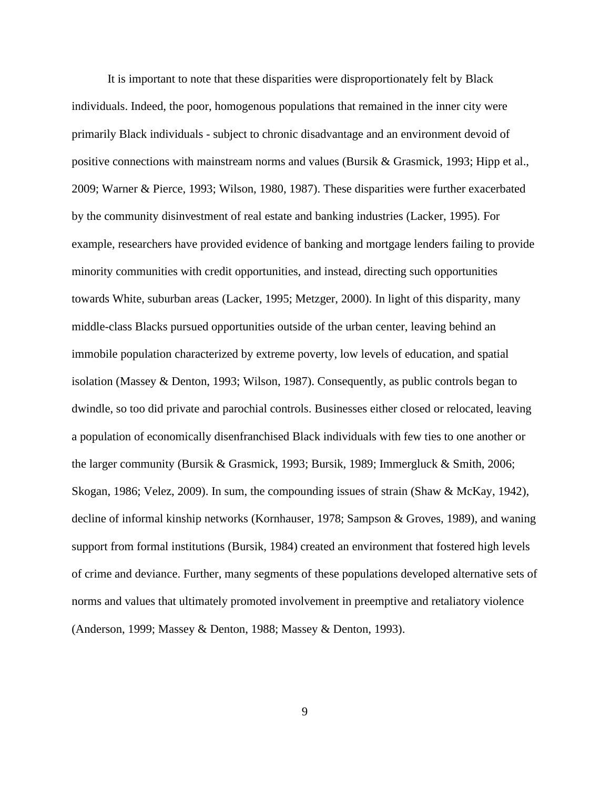It is important to note that these disparities were disproportionately felt by Black individuals. Indeed, the poor, homogenous populations that remained in the inner city were primarily Black individuals - subject to chronic disadvantage and an environment devoid of positive connections with mainstream norms and values (Bursik & Grasmick, 1993; Hipp et al., 2009; Warner & Pierce, 1993; Wilson, 1980, 1987). These disparities were further exacerbated by the community disinvestment of real estate and banking industries (Lacker, 1995). For example, researchers have provided evidence of banking and mortgage lenders failing to provide minority communities with credit opportunities, and instead, directing such opportunities towards White, suburban areas (Lacker, 1995; Metzger, 2000). In light of this disparity, many middle-class Blacks pursued opportunities outside of the urban center, leaving behind an immobile population characterized by extreme poverty, low levels of education, and spatial isolation (Massey & Denton, 1993; Wilson, 1987). Consequently, as public controls began to dwindle, so too did private and parochial controls. Businesses either closed or relocated, leaving a population of economically disenfranchised Black individuals with few ties to one another or the larger community (Bursik & Grasmick, 1993; Bursik, 1989; Immergluck & Smith, 2006; Skogan, 1986; Velez, 2009). In sum, the compounding issues of strain (Shaw & McKay, 1942), decline of informal kinship networks (Kornhauser, 1978; Sampson & Groves, 1989), and waning support from formal institutions (Bursik, 1984) created an environment that fostered high levels of crime and deviance. Further, many segments of these populations developed alternative sets of norms and values that ultimately promoted involvement in preemptive and retaliatory violence (Anderson, 1999; Massey & Denton, 1988; Massey & Denton, 1993).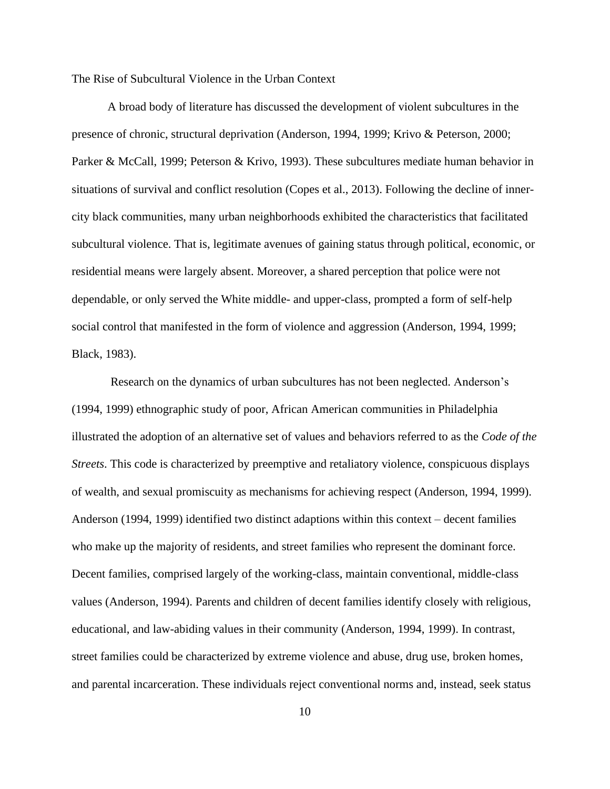<span id="page-16-0"></span>The Rise of Subcultural Violence in the Urban Context

A broad body of literature has discussed the development of violent subcultures in the presence of chronic, structural deprivation (Anderson, 1994, 1999; Krivo & Peterson, 2000; Parker & McCall, 1999; Peterson & Krivo, 1993). These subcultures mediate human behavior in situations of survival and conflict resolution (Copes et al., 2013). Following the decline of innercity black communities, many urban neighborhoods exhibited the characteristics that facilitated subcultural violence. That is, legitimate avenues of gaining status through political, economic, or residential means were largely absent. Moreover, a shared perception that police were not dependable, or only served the White middle- and upper-class, prompted a form of self-help social control that manifested in the form of violence and aggression (Anderson, 1994, 1999; Black, 1983).

Research on the dynamics of urban subcultures has not been neglected. Anderson's (1994, 1999) ethnographic study of poor, African American communities in Philadelphia illustrated the adoption of an alternative set of values and behaviors referred to as the *Code of the Streets*. This code is characterized by preemptive and retaliatory violence, conspicuous displays of wealth, and sexual promiscuity as mechanisms for achieving respect (Anderson, 1994, 1999). Anderson (1994, 1999) identified two distinct adaptions within this context – decent families who make up the majority of residents, and street families who represent the dominant force. Decent families, comprised largely of the working-class, maintain conventional, middle-class values (Anderson, 1994). Parents and children of decent families identify closely with religious, educational, and law-abiding values in their community (Anderson, 1994, 1999). In contrast, street families could be characterized by extreme violence and abuse, drug use, broken homes, and parental incarceration. These individuals reject conventional norms and, instead, seek status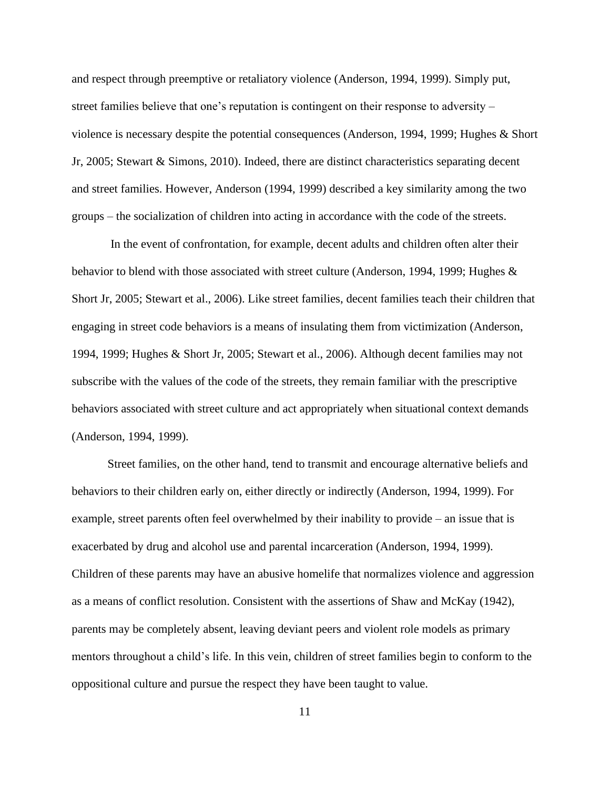and respect through preemptive or retaliatory violence (Anderson, 1994, 1999). Simply put, street families believe that one's reputation is contingent on their response to adversity – violence is necessary despite the potential consequences (Anderson, 1994, 1999; Hughes & Short Jr, 2005; Stewart & Simons, 2010). Indeed, there are distinct characteristics separating decent and street families. However, Anderson (1994, 1999) described a key similarity among the two groups – the socialization of children into acting in accordance with the code of the streets.

In the event of confrontation, for example, decent adults and children often alter their behavior to blend with those associated with street culture (Anderson, 1994, 1999; Hughes & Short Jr, 2005; Stewart et al., 2006). Like street families, decent families teach their children that engaging in street code behaviors is a means of insulating them from victimization (Anderson, 1994, 1999; Hughes & Short Jr, 2005; Stewart et al., 2006). Although decent families may not subscribe with the values of the code of the streets, they remain familiar with the prescriptive behaviors associated with street culture and act appropriately when situational context demands (Anderson, 1994, 1999).

Street families, on the other hand, tend to transmit and encourage alternative beliefs and behaviors to their children early on, either directly or indirectly (Anderson, 1994, 1999). For example, street parents often feel overwhelmed by their inability to provide – an issue that is exacerbated by drug and alcohol use and parental incarceration (Anderson, 1994, 1999). Children of these parents may have an abusive homelife that normalizes violence and aggression as a means of conflict resolution. Consistent with the assertions of Shaw and McKay (1942), parents may be completely absent, leaving deviant peers and violent role models as primary mentors throughout a child's life. In this vein, children of street families begin to conform to the oppositional culture and pursue the respect they have been taught to value.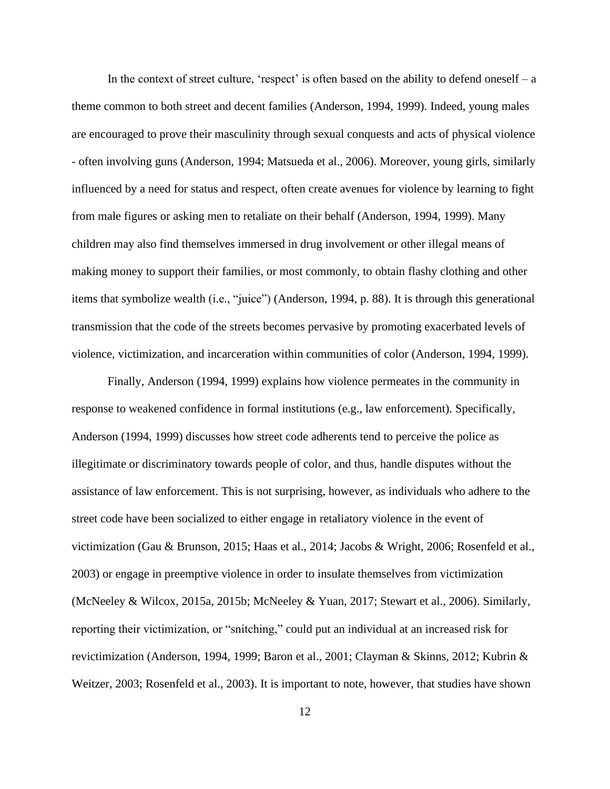In the context of street culture, 'respect' is often based on the ability to defend oneself – a theme common to both street and decent families (Anderson, 1994, 1999). Indeed, young males are encouraged to prove their masculinity through sexual conquests and acts of physical violence - often involving guns (Anderson, 1994; Matsueda et al., 2006). Moreover, young girls, similarly influenced by a need for status and respect, often create avenues for violence by learning to fight from male figures or asking men to retaliate on their behalf (Anderson, 1994, 1999). Many children may also find themselves immersed in drug involvement or other illegal means of making money to support their families, or most commonly, to obtain flashy clothing and other items that symbolize wealth (i.e., "juice") (Anderson, 1994, p. 88). It is through this generational transmission that the code of the streets becomes pervasive by promoting exacerbated levels of violence, victimization, and incarceration within communities of color (Anderson, 1994, 1999).

Finally, Anderson (1994, 1999) explains how violence permeates in the community in response to weakened confidence in formal institutions (e.g., law enforcement). Specifically, Anderson (1994, 1999) discusses how street code adherents tend to perceive the police as illegitimate or discriminatory towards people of color, and thus, handle disputes without the assistance of law enforcement. This is not surprising, however, as individuals who adhere to the street code have been socialized to either engage in retaliatory violence in the event of victimization (Gau & Brunson, 2015; Haas et al., 2014; Jacobs & Wright, 2006; Rosenfeld et al., 2003) or engage in preemptive violence in order to insulate themselves from victimization (McNeeley & Wilcox, 2015a, 2015b; McNeeley & Yuan, 2017; Stewart et al., 2006). Similarly, reporting their victimization, or "snitching," could put an individual at an increased risk for revictimization (Anderson, 1994, 1999; Baron et al., 2001; Clayman & Skinns, 2012; Kubrin & Weitzer, 2003; Rosenfeld et al., 2003). It is important to note, however, that studies have shown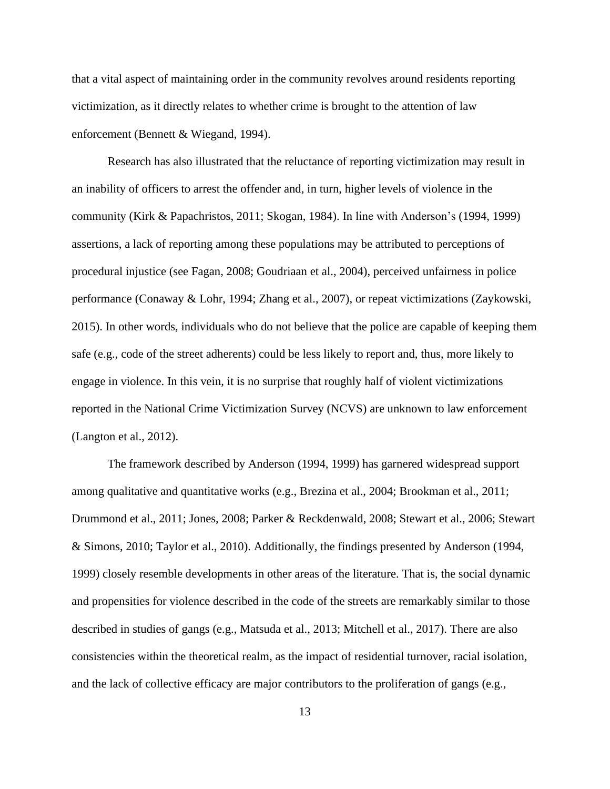that a vital aspect of maintaining order in the community revolves around residents reporting victimization, as it directly relates to whether crime is brought to the attention of law enforcement (Bennett & Wiegand, 1994).

Research has also illustrated that the reluctance of reporting victimization may result in an inability of officers to arrest the offender and, in turn, higher levels of violence in the community (Kirk & Papachristos, 2011; Skogan, 1984). In line with Anderson's (1994, 1999) assertions, a lack of reporting among these populations may be attributed to perceptions of procedural injustice (see Fagan, 2008; Goudriaan et al., 2004), perceived unfairness in police performance (Conaway & Lohr, 1994; Zhang et al., 2007), or repeat victimizations (Zaykowski, 2015). In other words, individuals who do not believe that the police are capable of keeping them safe (e.g., code of the street adherents) could be less likely to report and, thus, more likely to engage in violence. In this vein, it is no surprise that roughly half of violent victimizations reported in the National Crime Victimization Survey (NCVS) are unknown to law enforcement (Langton et al., 2012).

The framework described by Anderson (1994, 1999) has garnered widespread support among qualitative and quantitative works (e.g., Brezina et al., 2004; Brookman et al., 2011; Drummond et al., 2011; Jones, 2008; Parker & Reckdenwald, 2008; Stewart et al., 2006; Stewart & Simons, 2010; Taylor et al., 2010). Additionally, the findings presented by Anderson (1994, 1999) closely resemble developments in other areas of the literature. That is, the social dynamic and propensities for violence described in the code of the streets are remarkably similar to those described in studies of gangs (e.g., Matsuda et al., 2013; Mitchell et al., 2017). There are also consistencies within the theoretical realm, as the impact of residential turnover, racial isolation, and the lack of collective efficacy are major contributors to the proliferation of gangs (e.g.,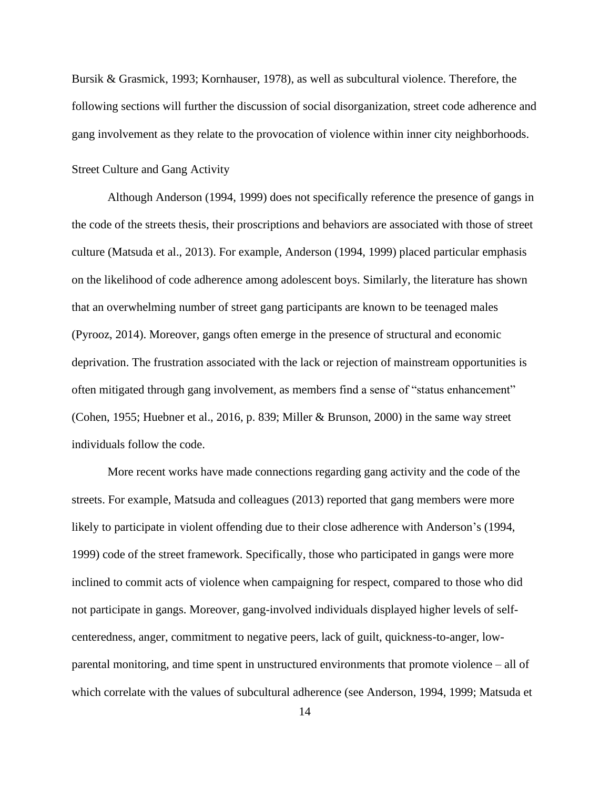Bursik & Grasmick, 1993; Kornhauser, 1978), as well as subcultural violence. Therefore, the following sections will further the discussion of social disorganization, street code adherence and gang involvement as they relate to the provocation of violence within inner city neighborhoods.

#### <span id="page-20-0"></span>Street Culture and Gang Activity

Although Anderson (1994, 1999) does not specifically reference the presence of gangs in the code of the streets thesis, their proscriptions and behaviors are associated with those of street culture (Matsuda et al., 2013). For example, Anderson (1994, 1999) placed particular emphasis on the likelihood of code adherence among adolescent boys. Similarly, the literature has shown that an overwhelming number of street gang participants are known to be teenaged males (Pyrooz, 2014). Moreover, gangs often emerge in the presence of structural and economic deprivation. The frustration associated with the lack or rejection of mainstream opportunities is often mitigated through gang involvement, as members find a sense of "status enhancement" (Cohen, 1955; Huebner et al., 2016, p. 839; Miller & Brunson, 2000) in the same way street individuals follow the code.

More recent works have made connections regarding gang activity and the code of the streets. For example, Matsuda and colleagues (2013) reported that gang members were more likely to participate in violent offending due to their close adherence with Anderson's (1994, 1999) code of the street framework. Specifically, those who participated in gangs were more inclined to commit acts of violence when campaigning for respect, compared to those who did not participate in gangs. Moreover, gang-involved individuals displayed higher levels of selfcenteredness, anger, commitment to negative peers, lack of guilt, quickness-to-anger, lowparental monitoring, and time spent in unstructured environments that promote violence – all of which correlate with the values of subcultural adherence (see Anderson, 1994, 1999; Matsuda et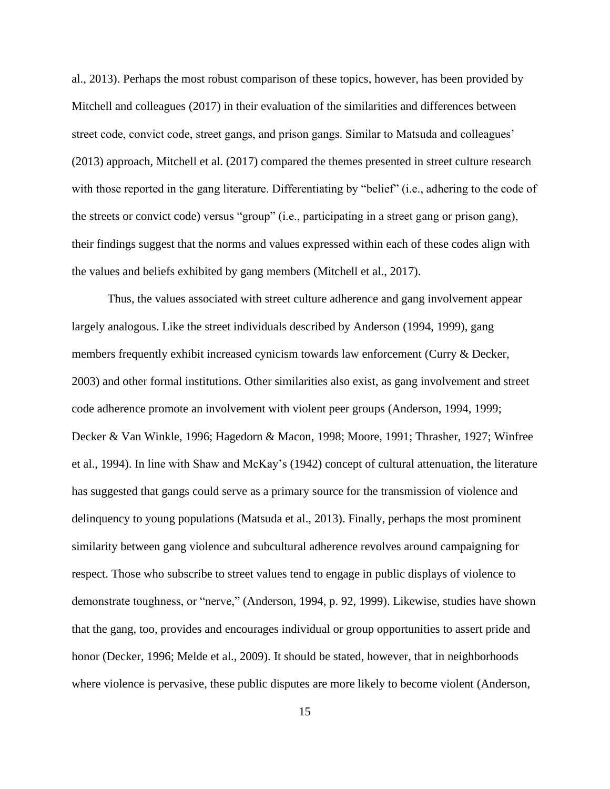al., 2013). Perhaps the most robust comparison of these topics, however, has been provided by Mitchell and colleagues (2017) in their evaluation of the similarities and differences between street code, convict code, street gangs, and prison gangs. Similar to Matsuda and colleagues' (2013) approach, Mitchell et al. (2017) compared the themes presented in street culture research with those reported in the gang literature. Differentiating by "belief" (i.e., adhering to the code of the streets or convict code) versus "group" (i.e., participating in a street gang or prison gang), their findings suggest that the norms and values expressed within each of these codes align with the values and beliefs exhibited by gang members (Mitchell et al., 2017).

Thus, the values associated with street culture adherence and gang involvement appear largely analogous. Like the street individuals described by Anderson (1994, 1999), gang members frequently exhibit increased cynicism towards law enforcement (Curry & Decker, 2003) and other formal institutions. Other similarities also exist, as gang involvement and street code adherence promote an involvement with violent peer groups (Anderson, 1994, 1999; Decker & Van Winkle, 1996; Hagedorn & Macon, 1998; Moore, 1991; Thrasher, 1927; Winfree et al., 1994). In line with Shaw and McKay's (1942) concept of cultural attenuation, the literature has suggested that gangs could serve as a primary source for the transmission of violence and delinquency to young populations (Matsuda et al., 2013). Finally, perhaps the most prominent similarity between gang violence and subcultural adherence revolves around campaigning for respect. Those who subscribe to street values tend to engage in public displays of violence to demonstrate toughness, or "nerve," (Anderson, 1994, p. 92, 1999). Likewise, studies have shown that the gang, too, provides and encourages individual or group opportunities to assert pride and honor (Decker, 1996; Melde et al., 2009). It should be stated, however, that in neighborhoods where violence is pervasive, these public disputes are more likely to become violent (Anderson,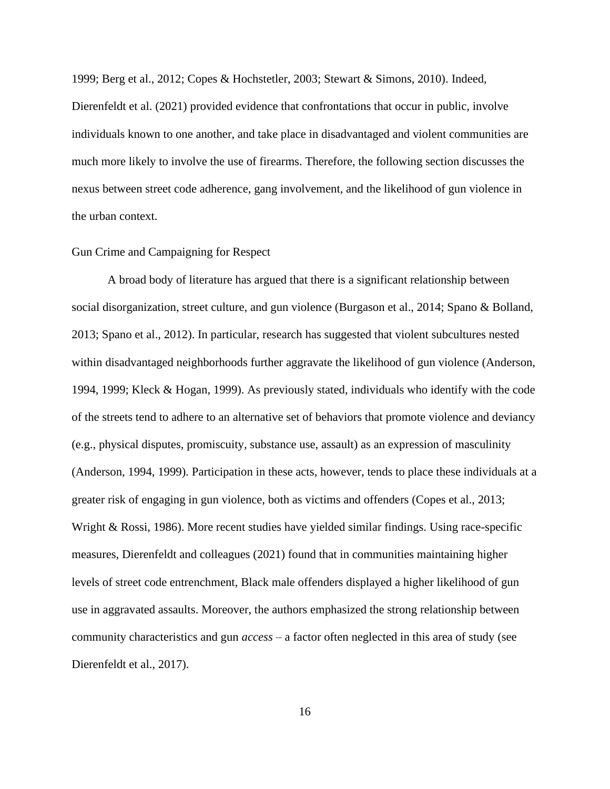1999; Berg et al., 2012; Copes & Hochstetler, 2003; Stewart & Simons, 2010). Indeed,

Dierenfeldt et al. (2021) provided evidence that confrontations that occur in public, involve individuals known to one another, and take place in disadvantaged and violent communities are much more likely to involve the use of firearms. Therefore, the following section discusses the nexus between street code adherence, gang involvement, and the likelihood of gun violence in the urban context.

#### <span id="page-22-0"></span>Gun Crime and Campaigning for Respect

A broad body of literature has argued that there is a significant relationship between social disorganization, street culture, and gun violence (Burgason et al., 2014; Spano & Bolland, 2013; Spano et al., 2012). In particular, research has suggested that violent subcultures nested within disadvantaged neighborhoods further aggravate the likelihood of gun violence (Anderson, 1994, 1999; Kleck & Hogan, 1999). As previously stated, individuals who identify with the code of the streets tend to adhere to an alternative set of behaviors that promote violence and deviancy (e.g., physical disputes, promiscuity, substance use, assault) as an expression of masculinity (Anderson, 1994, 1999). Participation in these acts, however, tends to place these individuals at a greater risk of engaging in gun violence, both as victims and offenders (Copes et al., 2013; Wright & Rossi, 1986). More recent studies have yielded similar findings. Using race-specific measures, Dierenfeldt and colleagues (2021) found that in communities maintaining higher levels of street code entrenchment, Black male offenders displayed a higher likelihood of gun use in aggravated assaults. Moreover, the authors emphasized the strong relationship between community characteristics and gun *access* – a factor often neglected in this area of study (see Dierenfeldt et al., 2017).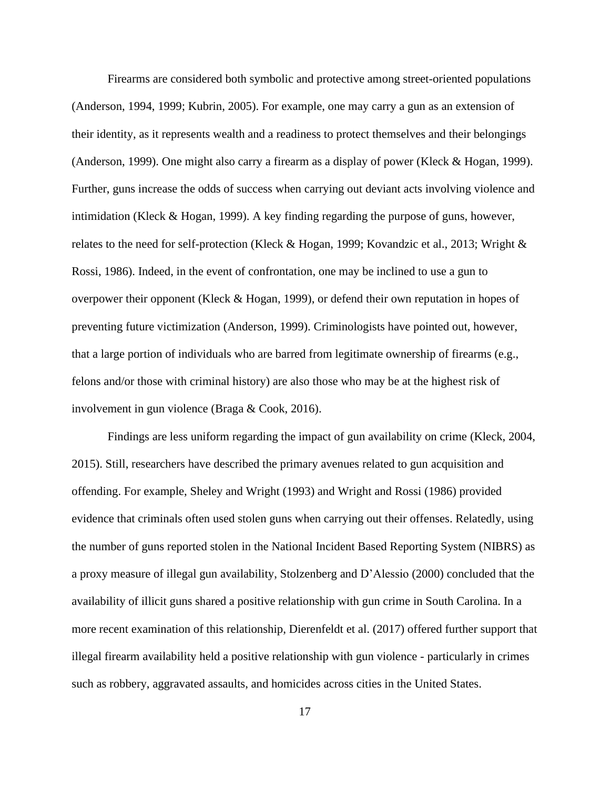Firearms are considered both symbolic and protective among street-oriented populations (Anderson, 1994, 1999; Kubrin, 2005). For example, one may carry a gun as an extension of their identity, as it represents wealth and a readiness to protect themselves and their belongings (Anderson, 1999). One might also carry a firearm as a display of power (Kleck & Hogan, 1999). Further, guns increase the odds of success when carrying out deviant acts involving violence and intimidation (Kleck & Hogan, 1999). A key finding regarding the purpose of guns, however, relates to the need for self-protection (Kleck & Hogan, 1999; Kovandzic et al., 2013; Wright & Rossi, 1986). Indeed, in the event of confrontation, one may be inclined to use a gun to overpower their opponent (Kleck & Hogan, 1999), or defend their own reputation in hopes of preventing future victimization (Anderson, 1999). Criminologists have pointed out, however, that a large portion of individuals who are barred from legitimate ownership of firearms (e.g., felons and/or those with criminal history) are also those who may be at the highest risk of involvement in gun violence (Braga & Cook, 2016).

Findings are less uniform regarding the impact of gun availability on crime (Kleck, 2004, 2015). Still, researchers have described the primary avenues related to gun acquisition and offending. For example, Sheley and Wright (1993) and Wright and Rossi (1986) provided evidence that criminals often used stolen guns when carrying out their offenses. Relatedly, using the number of guns reported stolen in the National Incident Based Reporting System (NIBRS) as a proxy measure of illegal gun availability, Stolzenberg and D'Alessio (2000) concluded that the availability of illicit guns shared a positive relationship with gun crime in South Carolina. In a more recent examination of this relationship, Dierenfeldt et al. (2017) offered further support that illegal firearm availability held a positive relationship with gun violence - particularly in crimes such as robbery, aggravated assaults, and homicides across cities in the United States.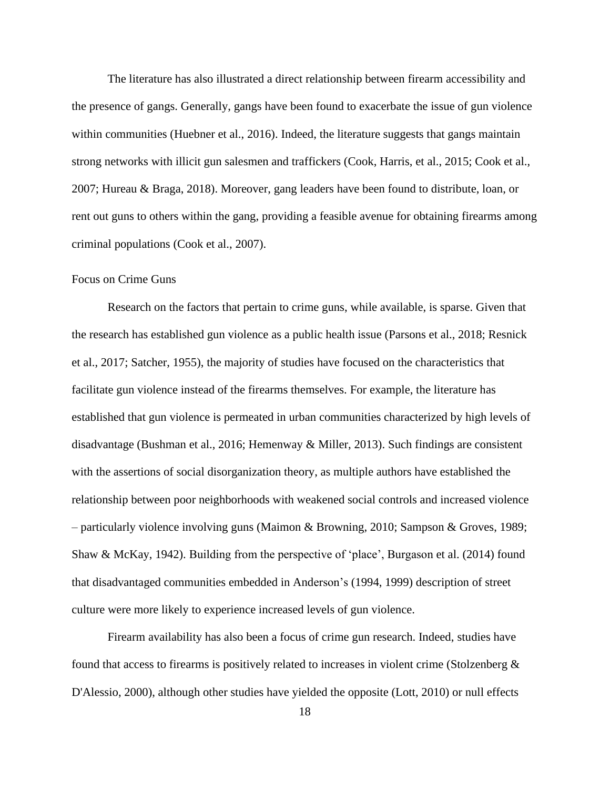The literature has also illustrated a direct relationship between firearm accessibility and the presence of gangs. Generally, gangs have been found to exacerbate the issue of gun violence within communities (Huebner et al., 2016). Indeed, the literature suggests that gangs maintain strong networks with illicit gun salesmen and traffickers (Cook, Harris, et al., 2015; Cook et al., 2007; Hureau & Braga, 2018). Moreover, gang leaders have been found to distribute, loan, or rent out guns to others within the gang, providing a feasible avenue for obtaining firearms among criminal populations (Cook et al., 2007).

#### <span id="page-24-0"></span>Focus on Crime Guns

Research on the factors that pertain to crime guns, while available, is sparse. Given that the research has established gun violence as a public health issue (Parsons et al., 2018; Resnick et al., 2017; Satcher, 1955), the majority of studies have focused on the characteristics that facilitate gun violence instead of the firearms themselves. For example, the literature has established that gun violence is permeated in urban communities characterized by high levels of disadvantage (Bushman et al., 2016; Hemenway & Miller, 2013). Such findings are consistent with the assertions of social disorganization theory, as multiple authors have established the relationship between poor neighborhoods with weakened social controls and increased violence – particularly violence involving guns (Maimon & Browning, 2010; Sampson & Groves, 1989; Shaw & McKay, 1942). Building from the perspective of 'place', Burgason et al. (2014) found that disadvantaged communities embedded in Anderson's (1994, 1999) description of street culture were more likely to experience increased levels of gun violence.

Firearm availability has also been a focus of crime gun research. Indeed, studies have found that access to firearms is positively related to increases in violent crime (Stolzenberg  $\&$ D'Alessio, 2000), although other studies have yielded the opposite (Lott, 2010) or null effects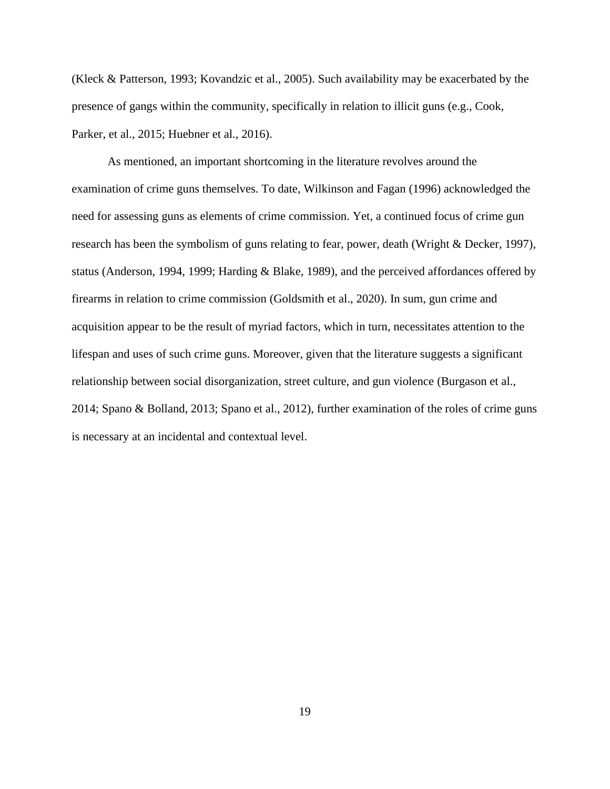(Kleck & Patterson, 1993; Kovandzic et al., 2005). Such availability may be exacerbated by the presence of gangs within the community, specifically in relation to illicit guns (e.g., Cook, Parker, et al., 2015; Huebner et al., 2016).

As mentioned, an important shortcoming in the literature revolves around the examination of crime guns themselves. To date, Wilkinson and Fagan (1996) acknowledged the need for assessing guns as elements of crime commission. Yet, a continued focus of crime gun research has been the symbolism of guns relating to fear, power, death (Wright & Decker, 1997), status (Anderson, 1994, 1999; Harding & Blake, 1989), and the perceived affordances offered by firearms in relation to crime commission (Goldsmith et al., 2020). In sum, gun crime and acquisition appear to be the result of myriad factors, which in turn, necessitates attention to the lifespan and uses of such crime guns. Moreover, given that the literature suggests a significant relationship between social disorganization, street culture, and gun violence (Burgason et al., 2014; Spano & Bolland, 2013; Spano et al., 2012), further examination of the roles of crime guns is necessary at an incidental and contextual level.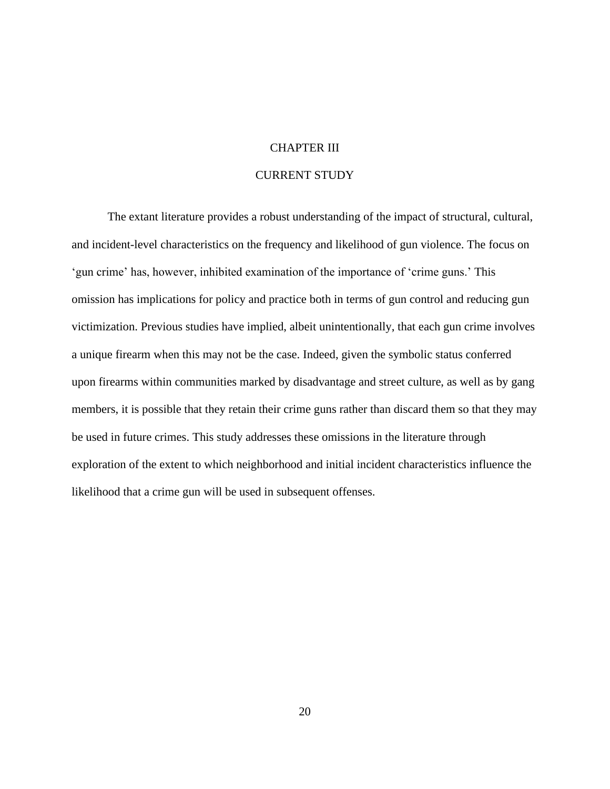#### CHAPTER III

#### CURRENT STUDY

<span id="page-26-0"></span>The extant literature provides a robust understanding of the impact of structural, cultural, and incident-level characteristics on the frequency and likelihood of gun violence. The focus on 'gun crime' has, however, inhibited examination of the importance of 'crime guns.' This omission has implications for policy and practice both in terms of gun control and reducing gun victimization. Previous studies have implied, albeit unintentionally, that each gun crime involves a unique firearm when this may not be the case. Indeed, given the symbolic status conferred upon firearms within communities marked by disadvantage and street culture, as well as by gang members, it is possible that they retain their crime guns rather than discard them so that they may be used in future crimes. This study addresses these omissions in the literature through exploration of the extent to which neighborhood and initial incident characteristics influence the likelihood that a crime gun will be used in subsequent offenses.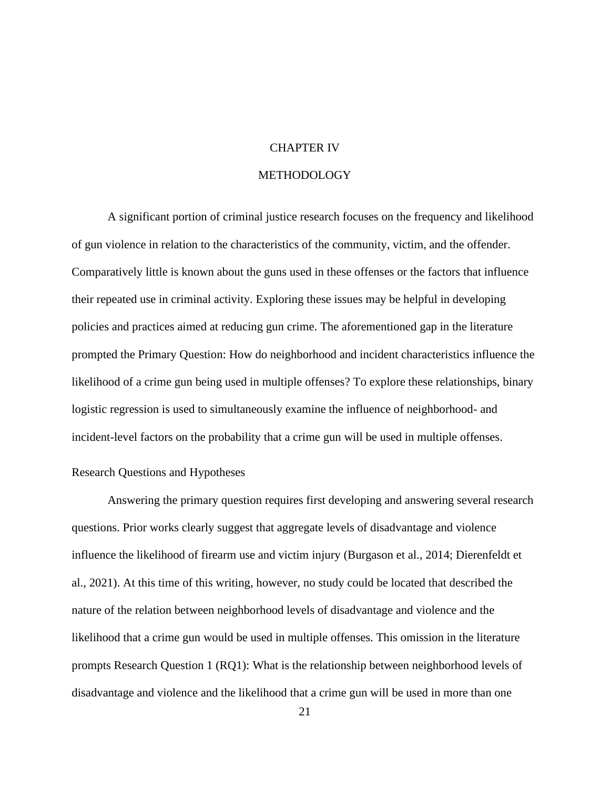#### CHAPTER IV

#### METHODOLOGY

<span id="page-27-0"></span>A significant portion of criminal justice research focuses on the frequency and likelihood of gun violence in relation to the characteristics of the community, victim, and the offender. Comparatively little is known about the guns used in these offenses or the factors that influence their repeated use in criminal activity. Exploring these issues may be helpful in developing policies and practices aimed at reducing gun crime. The aforementioned gap in the literature prompted the Primary Question: How do neighborhood and incident characteristics influence the likelihood of a crime gun being used in multiple offenses? To explore these relationships, binary logistic regression is used to simultaneously examine the influence of neighborhood- and incident-level factors on the probability that a crime gun will be used in multiple offenses.

#### <span id="page-27-1"></span>Research Questions and Hypotheses

Answering the primary question requires first developing and answering several research questions. Prior works clearly suggest that aggregate levels of disadvantage and violence influence the likelihood of firearm use and victim injury (Burgason et al., 2014; Dierenfeldt et al., 2021). At this time of this writing, however, no study could be located that described the nature of the relation between neighborhood levels of disadvantage and violence and the likelihood that a crime gun would be used in multiple offenses. This omission in the literature prompts Research Question 1 (RQ1): What is the relationship between neighborhood levels of disadvantage and violence and the likelihood that a crime gun will be used in more than one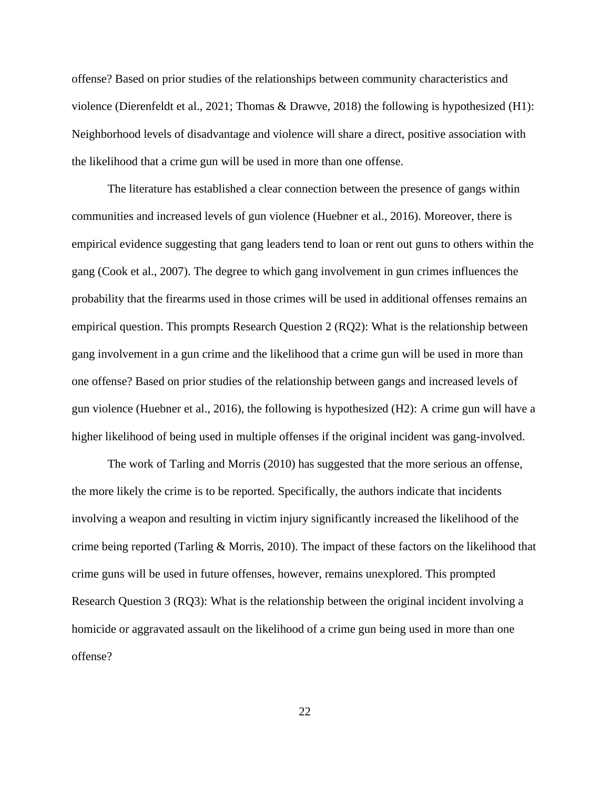offense? Based on prior studies of the relationships between community characteristics and violence (Dierenfeldt et al., 2021; Thomas & Drawve, 2018) the following is hypothesized (H1): Neighborhood levels of disadvantage and violence will share a direct, positive association with the likelihood that a crime gun will be used in more than one offense.

The literature has established a clear connection between the presence of gangs within communities and increased levels of gun violence (Huebner et al., 2016). Moreover, there is empirical evidence suggesting that gang leaders tend to loan or rent out guns to others within the gang (Cook et al., 2007). The degree to which gang involvement in gun crimes influences the probability that the firearms used in those crimes will be used in additional offenses remains an empirical question. This prompts Research Question 2 (RQ2): What is the relationship between gang involvement in a gun crime and the likelihood that a crime gun will be used in more than one offense? Based on prior studies of the relationship between gangs and increased levels of gun violence (Huebner et al., 2016), the following is hypothesized (H2): A crime gun will have a higher likelihood of being used in multiple offenses if the original incident was gang-involved.

The work of Tarling and Morris (2010) has suggested that the more serious an offense, the more likely the crime is to be reported. Specifically, the authors indicate that incidents involving a weapon and resulting in victim injury significantly increased the likelihood of the crime being reported (Tarling & Morris, 2010). The impact of these factors on the likelihood that crime guns will be used in future offenses, however, remains unexplored. This prompted Research Question 3 (RQ3): What is the relationship between the original incident involving a homicide or aggravated assault on the likelihood of a crime gun being used in more than one offense?

22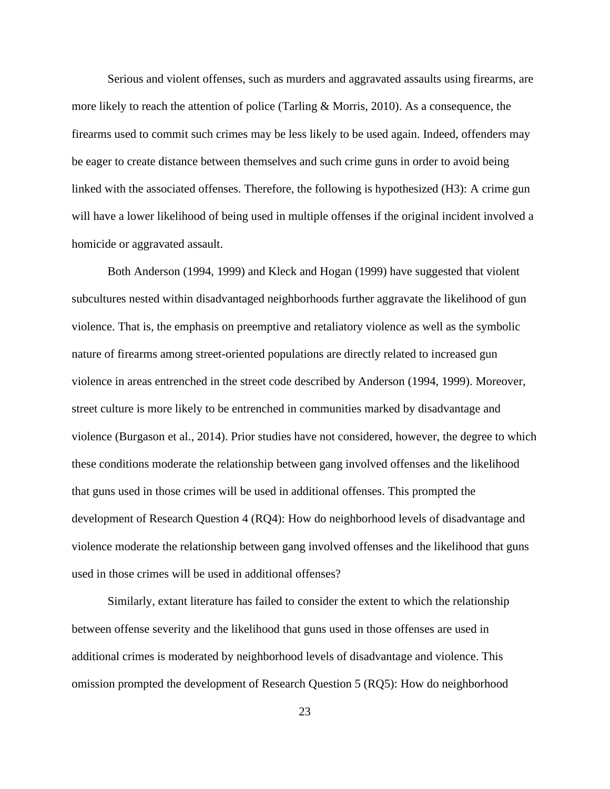Serious and violent offenses, such as murders and aggravated assaults using firearms, are more likely to reach the attention of police (Tarling & Morris, 2010). As a consequence, the firearms used to commit such crimes may be less likely to be used again. Indeed, offenders may be eager to create distance between themselves and such crime guns in order to avoid being linked with the associated offenses. Therefore, the following is hypothesized (H3): A crime gun will have a lower likelihood of being used in multiple offenses if the original incident involved a homicide or aggravated assault.

Both Anderson (1994, 1999) and Kleck and Hogan (1999) have suggested that violent subcultures nested within disadvantaged neighborhoods further aggravate the likelihood of gun violence. That is, the emphasis on preemptive and retaliatory violence as well as the symbolic nature of firearms among street-oriented populations are directly related to increased gun violence in areas entrenched in the street code described by Anderson (1994, 1999). Moreover, street culture is more likely to be entrenched in communities marked by disadvantage and violence (Burgason et al., 2014). Prior studies have not considered, however, the degree to which these conditions moderate the relationship between gang involved offenses and the likelihood that guns used in those crimes will be used in additional offenses. This prompted the development of Research Question 4 (RQ4): How do neighborhood levels of disadvantage and violence moderate the relationship between gang involved offenses and the likelihood that guns used in those crimes will be used in additional offenses?

Similarly, extant literature has failed to consider the extent to which the relationship between offense severity and the likelihood that guns used in those offenses are used in additional crimes is moderated by neighborhood levels of disadvantage and violence. This omission prompted the development of Research Question 5 (RQ5): How do neighborhood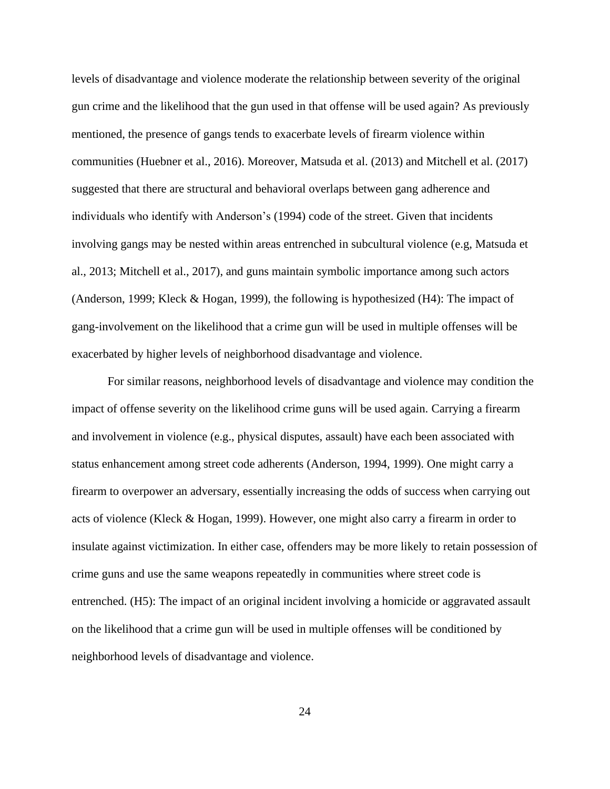levels of disadvantage and violence moderate the relationship between severity of the original gun crime and the likelihood that the gun used in that offense will be used again? As previously mentioned, the presence of gangs tends to exacerbate levels of firearm violence within communities (Huebner et al., 2016). Moreover, Matsuda et al. (2013) and Mitchell et al. (2017) suggested that there are structural and behavioral overlaps between gang adherence and individuals who identify with Anderson's (1994) code of the street. Given that incidents involving gangs may be nested within areas entrenched in subcultural violence (e.g, Matsuda et al., 2013; Mitchell et al., 2017), and guns maintain symbolic importance among such actors (Anderson, 1999; Kleck & Hogan, 1999), the following is hypothesized (H4): The impact of gang-involvement on the likelihood that a crime gun will be used in multiple offenses will be exacerbated by higher levels of neighborhood disadvantage and violence.

For similar reasons, neighborhood levels of disadvantage and violence may condition the impact of offense severity on the likelihood crime guns will be used again. Carrying a firearm and involvement in violence (e.g., physical disputes, assault) have each been associated with status enhancement among street code adherents (Anderson, 1994, 1999). One might carry a firearm to overpower an adversary, essentially increasing the odds of success when carrying out acts of violence (Kleck & Hogan, 1999). However, one might also carry a firearm in order to insulate against victimization. In either case, offenders may be more likely to retain possession of crime guns and use the same weapons repeatedly in communities where street code is entrenched. (H5): The impact of an original incident involving a homicide or aggravated assault on the likelihood that a crime gun will be used in multiple offenses will be conditioned by neighborhood levels of disadvantage and violence.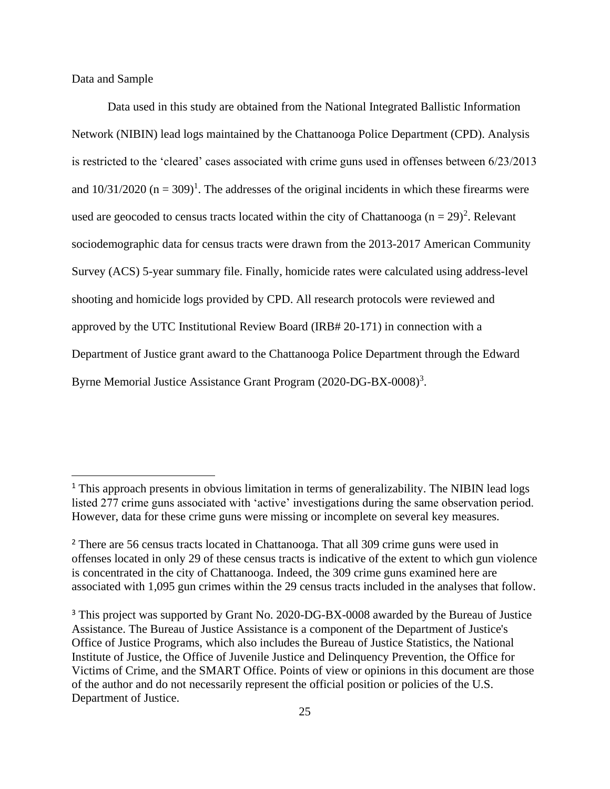<span id="page-31-0"></span>Data and Sample

Data used in this study are obtained from the National Integrated Ballistic Information Network (NIBIN) lead logs maintained by the Chattanooga Police Department (CPD). Analysis is restricted to the 'cleared' cases associated with crime guns used in offenses between 6/23/2013 and  $10/31/2020$  (n = 309)<sup>1</sup>. The addresses of the original incidents in which these firearms were used are geocoded to census tracts located within the city of Chattanooga  $(n = 29)^2$ . Relevant sociodemographic data for census tracts were drawn from the 2013-2017 American Community Survey (ACS) 5-year summary file. Finally, homicide rates were calculated using address-level shooting and homicide logs provided by CPD. All research protocols were reviewed and approved by the UTC Institutional Review Board (IRB# 20-171) in connection with a Department of Justice grant award to the Chattanooga Police Department through the Edward Byrne Memorial Justice Assistance Grant Program (2020-DG-BX-0008)<sup>3</sup>.

<span id="page-31-1"></span><sup>&</sup>lt;sup>1</sup> This approach presents in obvious limitation in terms of generalizability. The NIBIN lead logs listed 277 crime guns associated with 'active' investigations during the same observation period. However, data for these crime guns were missing or incomplete on several key measures.

<sup>&</sup>lt;sup>2</sup> There are 56 census tracts located in Chattanooga. That all 309 crime guns were used in offenses located in only 29 of these census tracts is indicative of the extent to which gun violence is concentrated in the city of Chattanooga. Indeed, the 309 crime guns examined here are associated with 1,095 gun crimes within the 29 census tracts included in the analyses that follow.

<sup>&</sup>lt;sup>3</sup> This project was supported by Grant No. 2020-DG-BX-0008 awarded by the Bureau of Justice Assistance. The Bureau of Justice Assistance is a component of the Department of Justice's Office of Justice Programs, which also includes the Bureau of Justice Statistics, the National Institute of Justice, the Office of Juvenile Justice and Delinquency Prevention, the Office for Victims of Crime, and the SMART Office. Points of view or opinions in this document are those of the author and do not necessarily represent the official position or policies of the U.S. Department of Justice.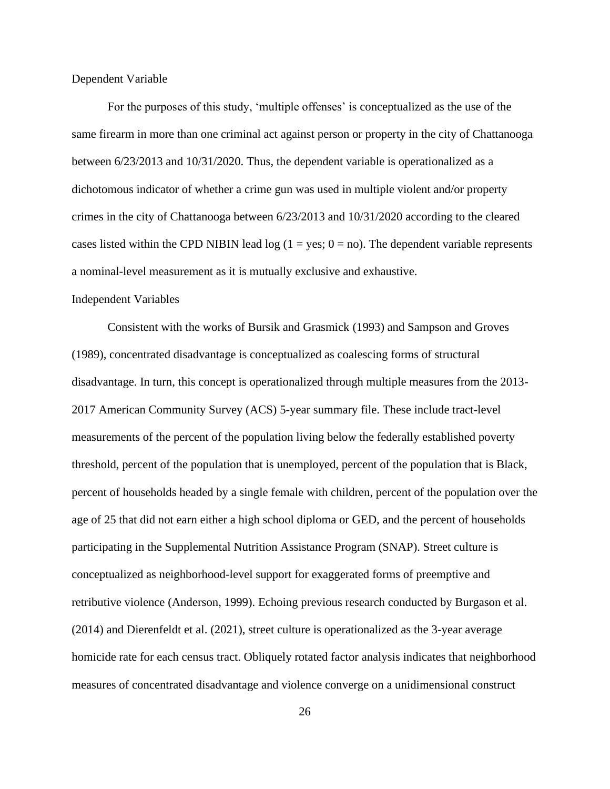Dependent Variable

For the purposes of this study, 'multiple offenses' is conceptualized as the use of the same firearm in more than one criminal act against person or property in the city of Chattanooga between 6/23/2013 and 10/31/2020. Thus, the dependent variable is operationalized as a dichotomous indicator of whether a crime gun was used in multiple violent and/or property crimes in the city of Chattanooga between 6/23/2013 and 10/31/2020 according to the cleared cases listed within the CPD NIBIN lead log  $(1 = yes; 0 = no)$ . The dependent variable represents a nominal-level measurement as it is mutually exclusive and exhaustive.

#### <span id="page-32-0"></span>Independent Variables

Consistent with the works of Bursik and Grasmick (1993) and Sampson and Groves (1989), concentrated disadvantage is conceptualized as coalescing forms of structural disadvantage. In turn, this concept is operationalized through multiple measures from the 2013- 2017 American Community Survey (ACS) 5-year summary file. These include tract-level measurements of the percent of the population living below the federally established poverty threshold, percent of the population that is unemployed, percent of the population that is Black, percent of households headed by a single female with children, percent of the population over the age of 25 that did not earn either a high school diploma or GED, and the percent of households participating in the Supplemental Nutrition Assistance Program (SNAP). Street culture is conceptualized as neighborhood-level support for exaggerated forms of preemptive and retributive violence (Anderson, 1999). Echoing previous research conducted by Burgason et al. (2014) and Dierenfeldt et al. (2021), street culture is operationalized as the 3-year average homicide rate for each census tract. Obliquely rotated factor analysis indicates that neighborhood measures of concentrated disadvantage and violence converge on a unidimensional construct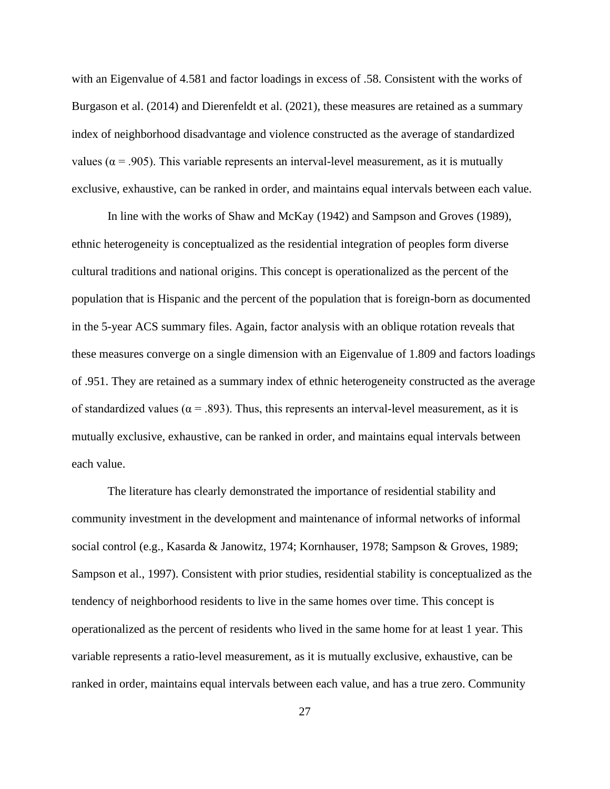with an Eigenvalue of 4.581 and factor loadings in excess of .58. Consistent with the works of Burgason et al. (2014) and Dierenfeldt et al. (2021), these measures are retained as a summary index of neighborhood disadvantage and violence constructed as the average of standardized values ( $\alpha$  = .905). This variable represents an interval-level measurement, as it is mutually exclusive, exhaustive, can be ranked in order, and maintains equal intervals between each value.

In line with the works of Shaw and McKay (1942) and Sampson and Groves (1989), ethnic heterogeneity is conceptualized as the residential integration of peoples form diverse cultural traditions and national origins. This concept is operationalized as the percent of the population that is Hispanic and the percent of the population that is foreign-born as documented in the 5-year ACS summary files. Again, factor analysis with an oblique rotation reveals that these measures converge on a single dimension with an Eigenvalue of 1.809 and factors loadings of .951. They are retained as a summary index of ethnic heterogeneity constructed as the average of standardized values ( $\alpha$  = .893). Thus, this represents an interval-level measurement, as it is mutually exclusive, exhaustive, can be ranked in order, and maintains equal intervals between each value.

The literature has clearly demonstrated the importance of residential stability and community investment in the development and maintenance of informal networks of informal social control (e.g., Kasarda & Janowitz, 1974; Kornhauser, 1978; Sampson & Groves, 1989; Sampson et al., 1997). Consistent with prior studies, residential stability is conceptualized as the tendency of neighborhood residents to live in the same homes over time. This concept is operationalized as the percent of residents who lived in the same home for at least 1 year. This variable represents a ratio-level measurement, as it is mutually exclusive, exhaustive, can be ranked in order, maintains equal intervals between each value, and has a true zero. Community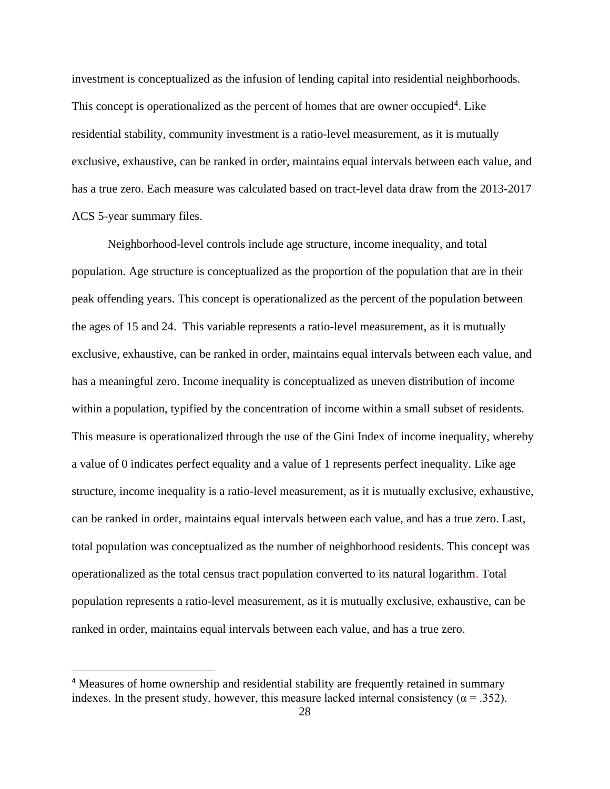investment is conceptualized as the infusion of lending capital into residential neighborhoods. This concept is operationalized as the percent of homes that are owner occupied<sup>4</sup>. Like residential stability, community investment is a ratio-level measurement, as it is mutually exclusive, exhaustive, can be ranked in order, maintains equal intervals between each value, and has a true zero. Each measure was calculated based on tract-level data draw from the 2013-2017 ACS 5-year summary files.

Neighborhood-level controls include age structure, income inequality, and total population. Age structure is conceptualized as the proportion of the population that are in their peak offending years. This concept is operationalized as the percent of the population between the ages of 15 and 24. This variable represents a ratio-level measurement, as it is mutually exclusive, exhaustive, can be ranked in order, maintains equal intervals between each value, and has a meaningful zero. Income inequality is conceptualized as uneven distribution of income within a population, typified by the concentration of income within a small subset of residents. This measure is operationalized through the use of the Gini Index of income inequality, whereby a value of 0 indicates perfect equality and a value of 1 represents perfect inequality. Like age structure, income inequality is a ratio-level measurement, as it is mutually exclusive, exhaustive, can be ranked in order, maintains equal intervals between each value, and has a true zero. Last, total population was conceptualized as the number of neighborhood residents. This concept was operationalized as the total census tract population converted to its natural logarithm. Total population represents a ratio-level measurement, as it is mutually exclusive, exhaustive, can be ranked in order, maintains equal intervals between each value, and has a true zero.

<sup>&</sup>lt;sup>4</sup> Measures of home ownership and residential stability are frequently retained in summary indexes. In the present study, however, this measure lacked internal consistency ( $\alpha$  = .352).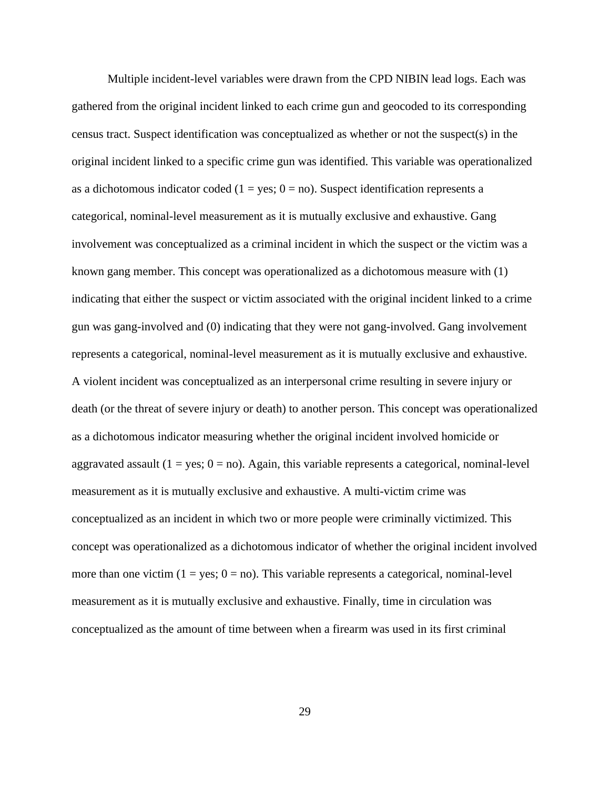Multiple incident-level variables were drawn from the CPD NIBIN lead logs. Each was gathered from the original incident linked to each crime gun and geocoded to its corresponding census tract. Suspect identification was conceptualized as whether or not the suspect(s) in the original incident linked to a specific crime gun was identified. This variable was operationalized as a dichotomous indicator coded ( $1 = yes$ ;  $0 = no$ ). Suspect identification represents a categorical, nominal-level measurement as it is mutually exclusive and exhaustive. Gang involvement was conceptualized as a criminal incident in which the suspect or the victim was a known gang member. This concept was operationalized as a dichotomous measure with (1) indicating that either the suspect or victim associated with the original incident linked to a crime gun was gang-involved and (0) indicating that they were not gang-involved. Gang involvement represents a categorical, nominal-level measurement as it is mutually exclusive and exhaustive. A violent incident was conceptualized as an interpersonal crime resulting in severe injury or death (or the threat of severe injury or death) to another person. This concept was operationalized as a dichotomous indicator measuring whether the original incident involved homicide or aggravated assault ( $1 = yes$ ;  $0 = no$ ). Again, this variable represents a categorical, nominal-level measurement as it is mutually exclusive and exhaustive. A multi-victim crime was conceptualized as an incident in which two or more people were criminally victimized. This concept was operationalized as a dichotomous indicator of whether the original incident involved more than one victim  $(1 = yes; 0 = no)$ . This variable represents a categorical, nominal-level measurement as it is mutually exclusive and exhaustive. Finally, time in circulation was conceptualized as the amount of time between when a firearm was used in its first criminal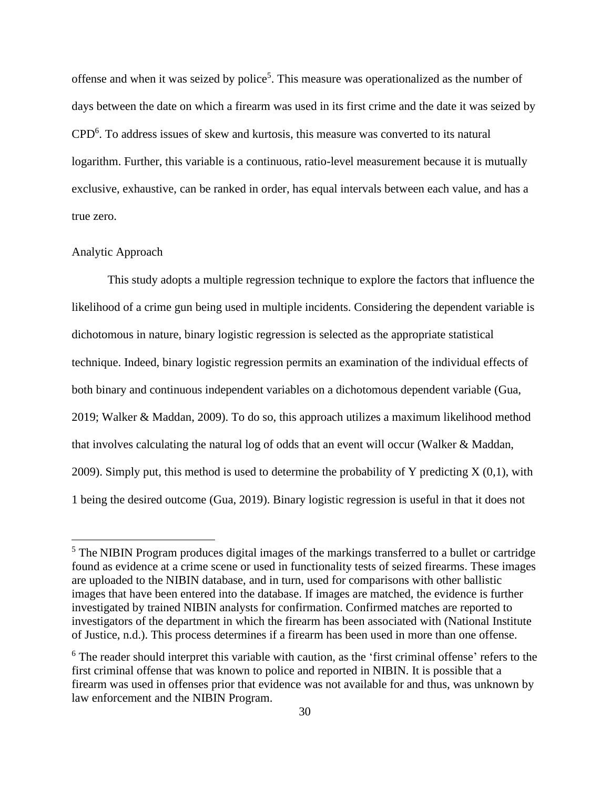offense and when it was seized by police<sup>5</sup>. This measure was operationalized as the number of days between the date on which a firearm was used in its first crime and the date it was seized by CPD<sup>6</sup>. To address issues of skew and kurtosis, this measure was converted to its natural logarithm. Further, this variable is a continuous, ratio-level measurement because it is mutually exclusive, exhaustive, can be ranked in order, has equal intervals between each value, and has a true zero.

## Analytic Approach

This study adopts a multiple regression technique to explore the factors that influence the likelihood of a crime gun being used in multiple incidents. Considering the dependent variable is dichotomous in nature, binary logistic regression is selected as the appropriate statistical technique. Indeed, binary logistic regression permits an examination of the individual effects of both binary and continuous independent variables on a dichotomous dependent variable (Gua, 2019; Walker & Maddan, 2009). To do so, this approach utilizes a maximum likelihood method that involves calculating the natural log of odds that an event will occur (Walker & Maddan, 2009). Simply put, this method is used to determine the probability of Y predicting  $X(0,1)$ , with 1 being the desired outcome (Gua, 2019). Binary logistic regression is useful in that it does not

<sup>&</sup>lt;sup>5</sup> The NIBIN Program produces digital images of the markings transferred to a bullet or cartridge found as evidence at a crime scene or used in functionality tests of seized firearms. These images are uploaded to the NIBIN database, and in turn, used for comparisons with other ballistic images that have been entered into the database. If images are matched, the evidence is further investigated by trained NIBIN analysts for confirmation. Confirmed matches are reported to investigators of the department in which the firearm has been associated with (National Institute of Justice, n.d.). This process determines if a firearm has been used in more than one offense.

<sup>&</sup>lt;sup>6</sup> The reader should interpret this variable with caution, as the 'first criminal offense' refers to the first criminal offense that was known to police and reported in NIBIN. It is possible that a firearm was used in offenses prior that evidence was not available for and thus, was unknown by law enforcement and the NIBIN Program.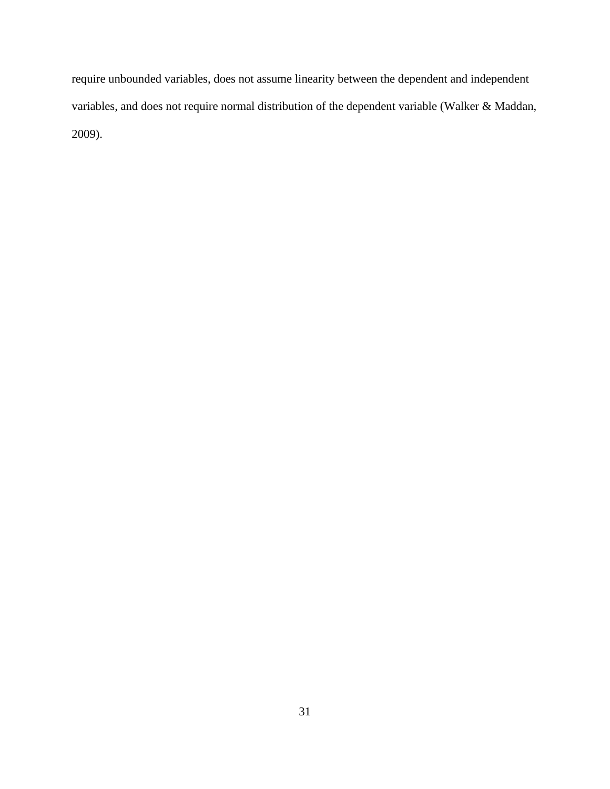require unbounded variables, does not assume linearity between the dependent and independent variables, and does not require normal distribution of the dependent variable (Walker & Maddan, 2009).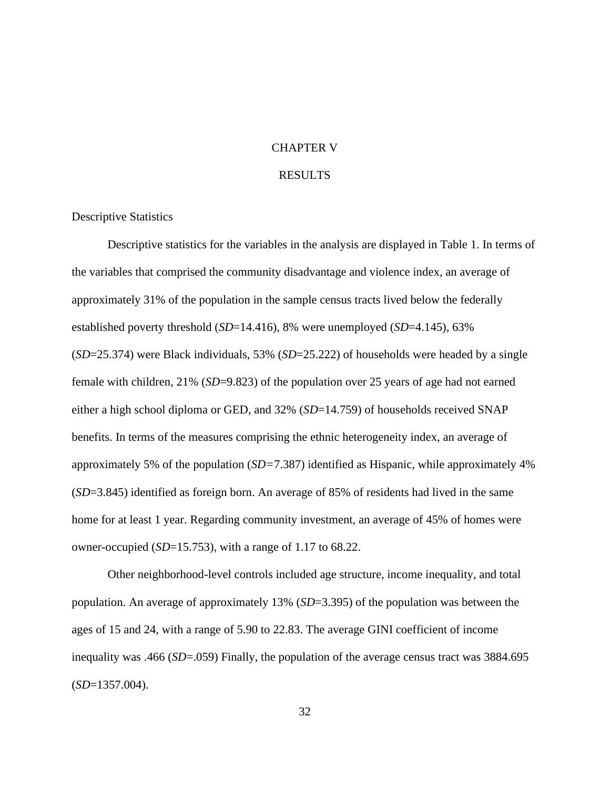## CHAPTER V

### RESULTS

#### Descriptive Statistics

Descriptive statistics for the variables in the analysis are displayed in Table 1. In terms of the variables that comprised the community disadvantage and violence index, an average of approximately 31% of the population in the sample census tracts lived below the federally established poverty threshold (*SD*=14.416), 8% were unemployed (*SD*=4.145), 63% (*SD*=25.374) were Black individuals, 53% (*SD*=25.222) of households were headed by a single female with children, 21% (*SD*=9.823) of the population over 25 years of age had not earned either a high school diploma or GED, and 32% (*SD*=14.759) of households received SNAP benefits. In terms of the measures comprising the ethnic heterogeneity index, an average of approximately 5% of the population (*SD=*7.387) identified as Hispanic, while approximately 4% (*SD*=3.845) identified as foreign born. An average of 85% of residents had lived in the same home for at least 1 year. Regarding community investment, an average of 45% of homes were owner-occupied (*SD*=15.753), with a range of 1.17 to 68.22.

Other neighborhood-level controls included age structure, income inequality, and total population. An average of approximately 13% (*SD*=3.395) of the population was between the ages of 15 and 24, with a range of 5.90 to 22.83. The average GINI coefficient of income inequality was .466 (*SD*=.059) Finally, the population of the average census tract was 3884.695 (*SD*=1357.004).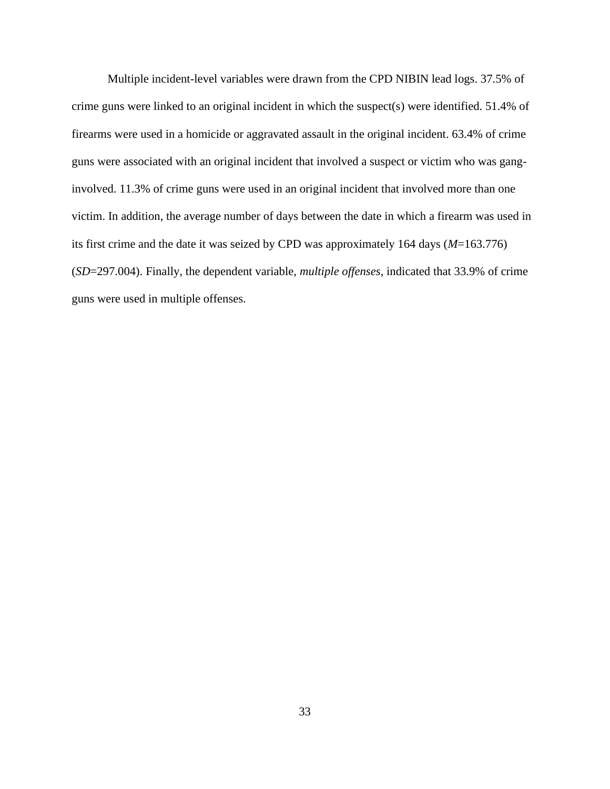Multiple incident-level variables were drawn from the CPD NIBIN lead logs. 37.5% of crime guns were linked to an original incident in which the suspect(s) were identified. 51.4% of firearms were used in a homicide or aggravated assault in the original incident. 63.4% of crime guns were associated with an original incident that involved a suspect or victim who was ganginvolved. 11.3% of crime guns were used in an original incident that involved more than one victim. In addition, the average number of days between the date in which a firearm was used in its first crime and the date it was seized by CPD was approximately 164 days (*M*=163.776) (*SD*=297.004). Finally, the dependent variable, *multiple offenses*, indicated that 33.9% of crime guns were used in multiple offenses.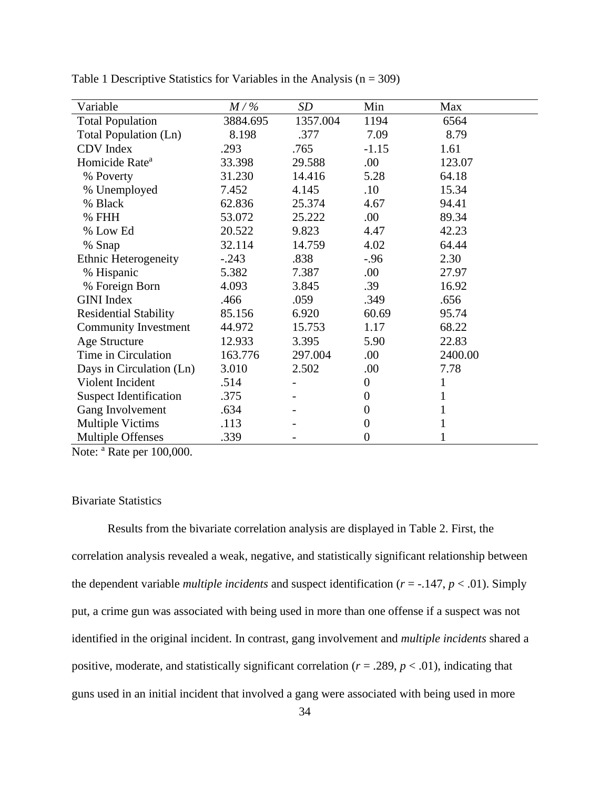| Variable                      | $M/\%$   | SD       | Min            | Max     |
|-------------------------------|----------|----------|----------------|---------|
| <b>Total Population</b>       | 3884.695 | 1357.004 | 1194           | 6564    |
| Total Population (Ln)         | 8.198    | .377     | 7.09           | 8.79    |
| CDV Index                     | .293     | .765     | $-1.15$        | 1.61    |
| Homicide Rate <sup>a</sup>    | 33.398   | 29.588   | .00            | 123.07  |
| % Poverty                     | 31.230   | 14.416   | 5.28           | 64.18   |
| % Unemployed                  | 7.452    | 4.145    | .10            | 15.34   |
| % Black                       | 62.836   | 25.374   | 4.67           | 94.41   |
| % FHH                         | 53.072   | 25.222   | .00            | 89.34   |
| % Low Ed                      | 20.522   | 9.823    | 4.47           | 42.23   |
| % Snap                        | 32.114   | 14.759   | 4.02           | 64.44   |
| <b>Ethnic Heterogeneity</b>   | $-.243$  | .838     | $-.96$         | 2.30    |
| % Hispanic                    | 5.382    | 7.387    | .00.           | 27.97   |
| % Foreign Born                | 4.093    | 3.845    | .39            | 16.92   |
| <b>GINI</b> Index             | .466     | .059     | .349           | .656    |
| <b>Residential Stability</b>  | 85.156   | 6.920    | 60.69          | 95.74   |
| <b>Community Investment</b>   | 44.972   | 15.753   | 1.17           | 68.22   |
| <b>Age Structure</b>          | 12.933   | 3.395    | 5.90           | 22.83   |
| Time in Circulation           | 163.776  | 297.004  | .00.           | 2400.00 |
| Days in Circulation (Ln)      | 3.010    | 2.502    | .00            | 7.78    |
| Violent Incident              | .514     |          | $\theta$       | 1       |
| <b>Suspect Identification</b> | .375     |          | $\theta$       | 1       |
| Gang Involvement              | .634     |          | $\overline{0}$ | 1       |
| <b>Multiple Victims</b>       | .113     |          | $\theta$       |         |
| <b>Multiple Offenses</b>      | .339     |          | 0              |         |

Table 1 Descriptive Statistics for Variables in the Analysis  $(n = 309)$ 

Note: <sup>a</sup> Rate per 100,000.

# Bivariate Statistics

Results from the bivariate correlation analysis are displayed in Table 2. First, the correlation analysis revealed a weak, negative, and statistically significant relationship between the dependent variable *multiple incidents* and suspect identification ( $r = -147$ ,  $p < .01$ ). Simply put, a crime gun was associated with being used in more than one offense if a suspect was not identified in the original incident. In contrast, gang involvement and *multiple incidents* shared a positive, moderate, and statistically significant correlation ( $r = .289$ ,  $p < .01$ ), indicating that guns used in an initial incident that involved a gang were associated with being used in more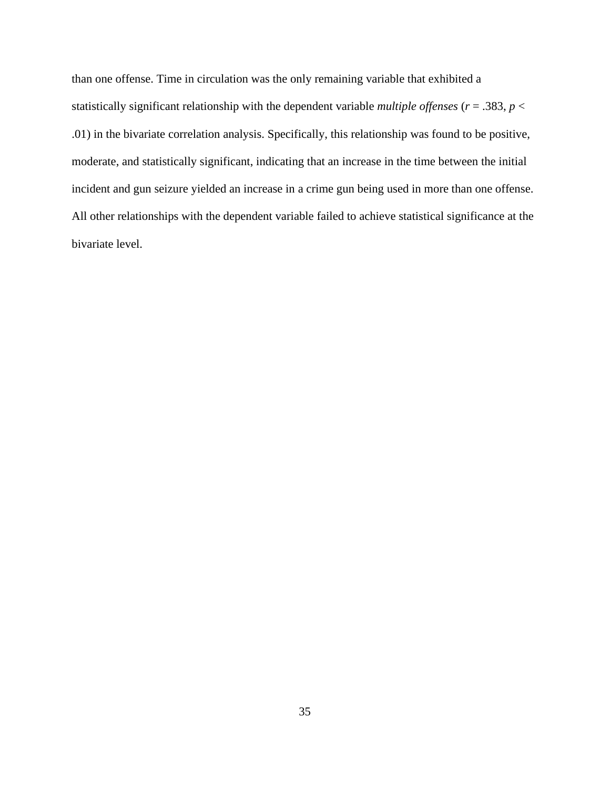than one offense. Time in circulation was the only remaining variable that exhibited a statistically significant relationship with the dependent variable *multiple offenses* ( $r = .383$ ,  $p <$ .01) in the bivariate correlation analysis. Specifically, this relationship was found to be positive, moderate, and statistically significant, indicating that an increase in the time between the initial incident and gun seizure yielded an increase in a crime gun being used in more than one offense. All other relationships with the dependent variable failed to achieve statistical significance at the bivariate level.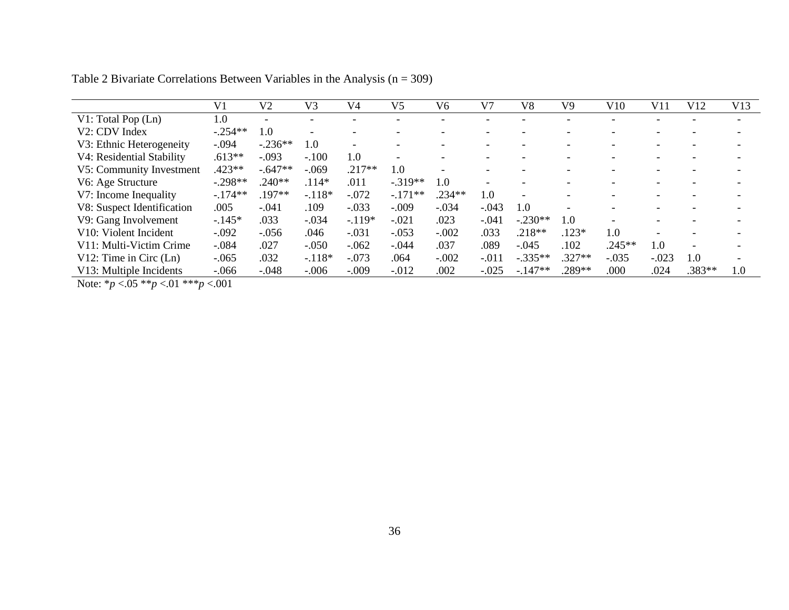|                                                | V <sub>1</sub> | V2        | V3       | V <sub>4</sub> | V <sub>5</sub>           | V6       | V <sub>7</sub> | V8                       | V9       | V10      | V11     | V12    | V13 |
|------------------------------------------------|----------------|-----------|----------|----------------|--------------------------|----------|----------------|--------------------------|----------|----------|---------|--------|-----|
| V1: Total Pop (Ln)                             | 1.0            |           |          |                |                          |          |                |                          |          |          |         |        |     |
| V2: CDV Index                                  | $-.254**$      | 1.0       |          |                | $\overline{\phantom{a}}$ | -        |                |                          |          |          |         |        |     |
| V3: Ethnic Heterogeneity                       | $-.094$        | $-.236**$ | 1.0      |                |                          |          |                |                          |          |          |         |        |     |
| V4: Residential Stability                      | $.613**$       | $-.093$   | $-.100$  | 1.0            |                          | -        |                |                          |          |          |         |        |     |
| V5: Community Investment                       | $.423**$       | $-.647**$ | $-.069$  | $.217**$       | $1.0\,$                  |          |                |                          |          |          |         |        |     |
| V6: Age Structure                              | $-.298**$      | $.240**$  | $.114*$  | .011           | $-.319**$                | 1.0      |                |                          |          |          |         |        |     |
| V7: Income Inequality                          | $-.174**$      | .197**    | $-.118*$ | $-.072$        | $-.171**$                | $.234**$ | 1.0            | $\overline{\phantom{a}}$ |          |          |         |        |     |
| V8: Suspect Identification                     | .005           | -.041     | .109     | $-.033$        | $-.009$                  | $-.034$  | $-.043$        | 1.0                      |          |          |         |        |     |
| V9: Gang Involvement                           | $-.145*$       | .033      | $-.034$  | $-.119*$       | $-.021$                  | .023     | $-.041$        | $-.230**$                | 1.0      |          |         |        |     |
| V <sub>10</sub> : V <sub>iolent</sub> Incident | $-.092$        | $-.056$   | .046     | $-.031$        | $-.053$                  | $-.002$  | .033           | $.218**$                 | $.123*$  | 1.0      |         |        |     |
| V11: Multi-Victim Crime                        | $-.084$        | .027      | $-.050$  | $-.062$        | $-.044$                  | .037     | .089           | $-.045$                  | .102     | $.245**$ | 1.0     |        |     |
| $V12$ : Time in Circ (Ln)                      | $-.065$        | .032      | $-.118*$ | $-.073$        | .064                     | $-.002$  | $-.011$        | $-.335**$                | $.327**$ | $-.035$  | $-.023$ | 1.0    |     |
| V13: Multiple Incidents                        | $-.066$        | $-.048$   | $-.006$  | $-.009$        | $-.012$                  | .002     | $-.025$        | $-147**$                 | .289**   | .000     | .024    | .383** | 1.0 |

Table 2 Bivariate Correlations Between Variables in the Analysis  $(n = 309)$ 

Note: \**p* <.05 \*\**p* <.01 \*\*\**p* <.001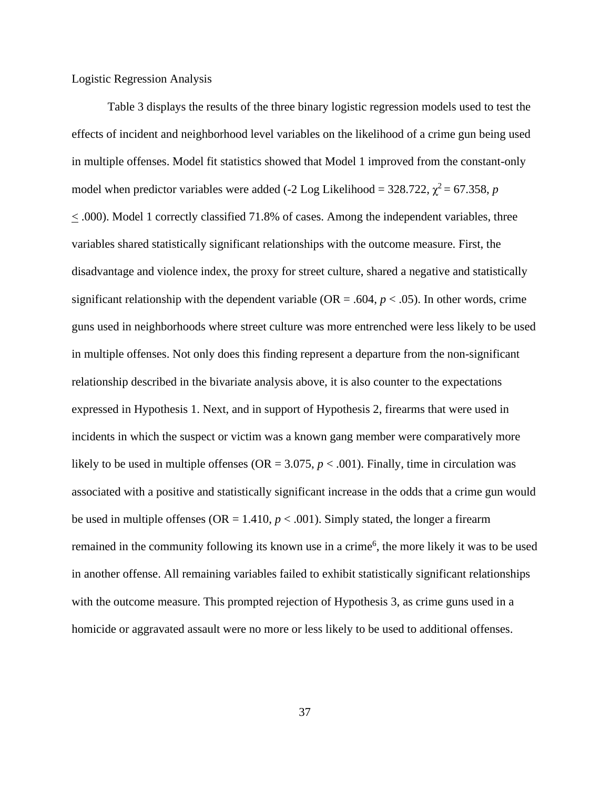# Logistic Regression Analysis

Table 3 displays the results of the three binary logistic regression models used to test the effects of incident and neighborhood level variables on the likelihood of a crime gun being used in multiple offenses. Model fit statistics showed that Model 1 improved from the constant-only model when predictor variables were added  $(-2 \text{ Log Likelihood} = 328.722, \chi^2 = 67.358, p$ < .000). Model 1 correctly classified 71.8% of cases. Among the independent variables, three variables shared statistically significant relationships with the outcome measure. First, the disadvantage and violence index, the proxy for street culture, shared a negative and statistically significant relationship with the dependent variable ( $OR = .604$ ,  $p < .05$ ). In other words, crime guns used in neighborhoods where street culture was more entrenched were less likely to be used in multiple offenses. Not only does this finding represent a departure from the non-significant relationship described in the bivariate analysis above, it is also counter to the expectations expressed in Hypothesis 1. Next, and in support of Hypothesis 2, firearms that were used in incidents in which the suspect or victim was a known gang member were comparatively more likely to be used in multiple offenses (OR =  $3.075$ ,  $p < .001$ ). Finally, time in circulation was associated with a positive and statistically significant increase in the odds that a crime gun would be used in multiple offenses ( $OR = 1.410$ ,  $p < .001$ ). Simply stated, the longer a firearm remained in the community following its known use in a crime<sup>6</sup>, the more likely it was to be used in another offense. All remaining variables failed to exhibit statistically significant relationships with the outcome measure. This prompted rejection of Hypothesis 3, as crime guns used in a homicide or aggravated assault were no more or less likely to be used to additional offenses.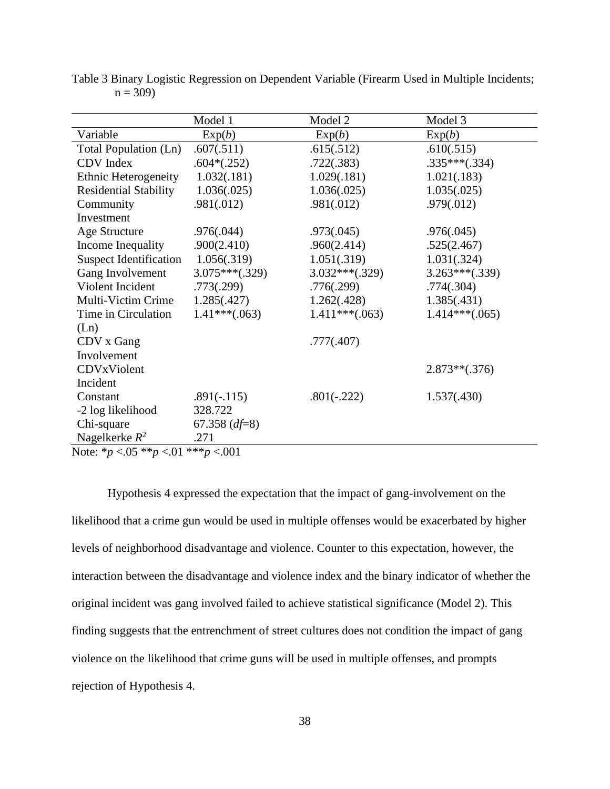|                                                  | Model 1          | Model 2          | Model 3          |  |
|--------------------------------------------------|------------------|------------------|------------------|--|
| Variable                                         | Exp(b)           | Exp(b)           | Exp(b)           |  |
| Total Population (Ln)                            | .607(.511)       | .615(.512)       | .610(.515)       |  |
| CDV Index                                        | $.604*(.252)$    | .722(.383)       | $.335***(.334)$  |  |
| <b>Ethnic Heterogeneity</b>                      | 1.032(.181)      | 1.029(.181)      | 1.021(.183)      |  |
| <b>Residential Stability</b>                     | 1.036(.025)      | 1.036(.025)      | 1.035(.025)      |  |
| Community                                        | .981(.012)       | .981(.012)       | .979(.012)       |  |
| Investment                                       |                  |                  |                  |  |
| Age Structure                                    | .976(.044)       | .973(.045)       | .976(.045)       |  |
| Income Inequality                                | .900(2.410)      | .960(2.414)      | .525(2.467)      |  |
| <b>Suspect Identification</b>                    | 1.056(.319)      | 1.051(.319)      | 1.031(.324)      |  |
| Gang Involvement                                 | $3.075***(.329)$ | $3.032***(.329)$ | $3.263***(.339)$ |  |
| Violent Incident                                 | .773(.299)       | .776(.299)       | .774(.304)       |  |
| Multi-Victim Crime                               | 1.285(.427)      | 1.262(.428)      | 1.385(.431)      |  |
| Time in Circulation                              | $1.41***(.063)$  | $1.411***(.063)$ | $1.414***(.065)$ |  |
| (Ln)                                             |                  |                  |                  |  |
| CDV x Gang                                       |                  | .777(.407)       |                  |  |
| Involvement                                      |                  |                  |                  |  |
| CDVxViolent                                      |                  |                  | $2.873**(.376)$  |  |
| Incident                                         |                  |                  |                  |  |
| Constant                                         | $.891(-.115)$    | $.801(-.222)$    | 1.537(.430)      |  |
| -2 log likelihood                                | 328.722          |                  |                  |  |
| Chi-square                                       | 67.358 $(df=8)$  |                  |                  |  |
| Nagelkerke $R^2$                                 | .271             |                  |                  |  |
| Note: * $p < 0.05$ ** $p < 0.01$ *** $p < 0.001$ |                  |                  |                  |  |

Table 3 Binary Logistic Regression on Dependent Variable (Firearm Used in Multiple Incidents;  $n = 309$ 

Hypothesis 4 expressed the expectation that the impact of gang-involvement on the likelihood that a crime gun would be used in multiple offenses would be exacerbated by higher levels of neighborhood disadvantage and violence. Counter to this expectation, however, the interaction between the disadvantage and violence index and the binary indicator of whether the original incident was gang involved failed to achieve statistical significance (Model 2). This finding suggests that the entrenchment of street cultures does not condition the impact of gang violence on the likelihood that crime guns will be used in multiple offenses, and prompts rejection of Hypothesis 4.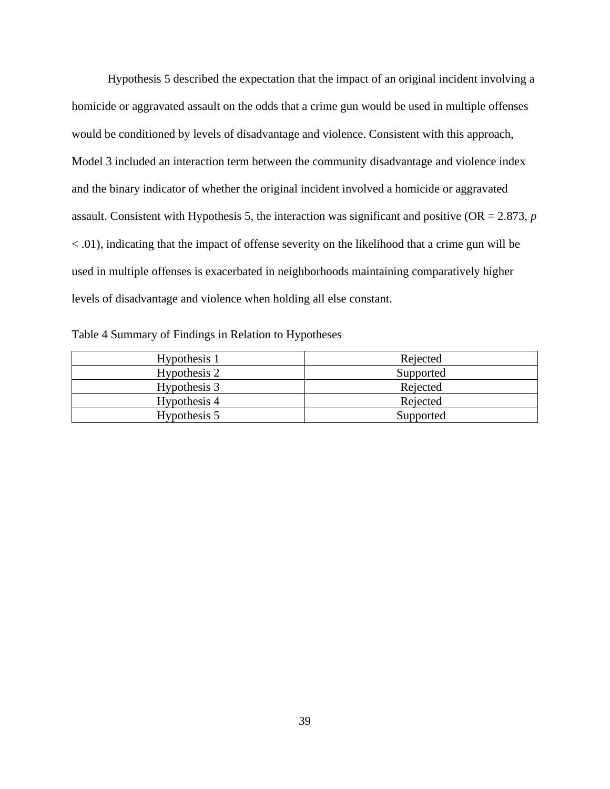Hypothesis 5 described the expectation that the impact of an original incident involving a homicide or aggravated assault on the odds that a crime gun would be used in multiple offenses would be conditioned by levels of disadvantage and violence. Consistent with this approach, Model 3 included an interaction term between the community disadvantage and violence index and the binary indicator of whether the original incident involved a homicide or aggravated assault. Consistent with Hypothesis 5, the interaction was significant and positive (OR = 2.873, *p* < .01), indicating that the impact of offense severity on the likelihood that a crime gun will be used in multiple offenses is exacerbated in neighborhoods maintaining comparatively higher levels of disadvantage and violence when holding all else constant.

| Table 4 Summary of Findings in Relation to Hypotheses |  |  |
|-------------------------------------------------------|--|--|
|-------------------------------------------------------|--|--|

| Hypothesis 1 | Rejected  |
|--------------|-----------|
| Hypothesis 2 | Supported |
| Hypothesis 3 | Rejected  |
| Hypothesis 4 | Rejected  |
| Hypothesis 5 | Supported |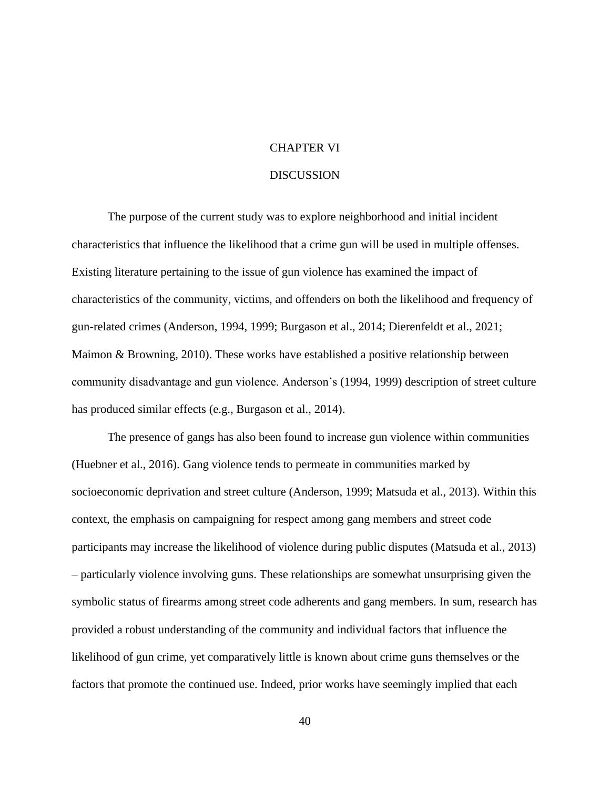# CHAPTER VI

# DISCUSSION

The purpose of the current study was to explore neighborhood and initial incident characteristics that influence the likelihood that a crime gun will be used in multiple offenses. Existing literature pertaining to the issue of gun violence has examined the impact of characteristics of the community, victims, and offenders on both the likelihood and frequency of gun-related crimes (Anderson, 1994, 1999; Burgason et al., 2014; Dierenfeldt et al., 2021; Maimon & Browning, 2010). These works have established a positive relationship between community disadvantage and gun violence. Anderson's (1994, 1999) description of street culture has produced similar effects (e.g., Burgason et al., 2014).

The presence of gangs has also been found to increase gun violence within communities (Huebner et al., 2016). Gang violence tends to permeate in communities marked by socioeconomic deprivation and street culture (Anderson, 1999; Matsuda et al., 2013). Within this context, the emphasis on campaigning for respect among gang members and street code participants may increase the likelihood of violence during public disputes (Matsuda et al., 2013) – particularly violence involving guns. These relationships are somewhat unsurprising given the symbolic status of firearms among street code adherents and gang members. In sum, research has provided a robust understanding of the community and individual factors that influence the likelihood of gun crime, yet comparatively little is known about crime guns themselves or the factors that promote the continued use. Indeed, prior works have seemingly implied that each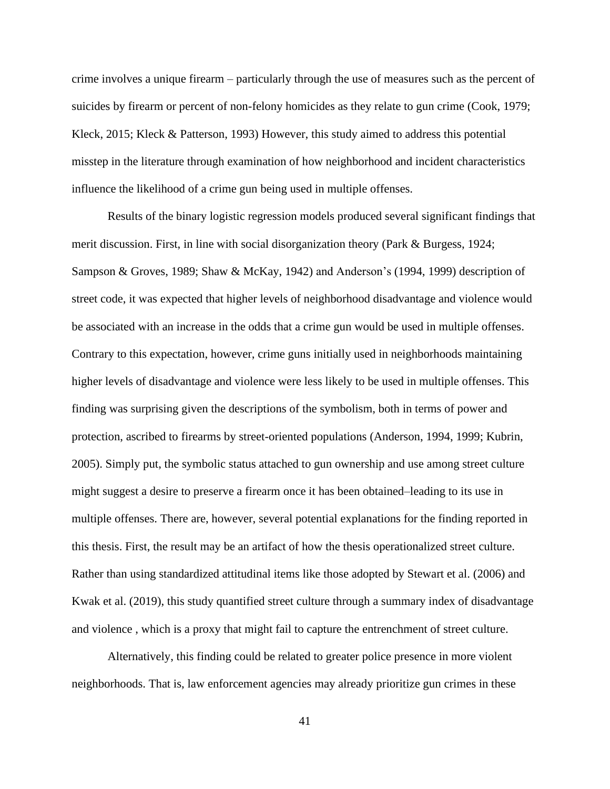crime involves a unique firearm – particularly through the use of measures such as the percent of suicides by firearm or percent of non-felony homicides as they relate to gun crime (Cook, 1979; Kleck, 2015; Kleck & Patterson, 1993) However, this study aimed to address this potential misstep in the literature through examination of how neighborhood and incident characteristics influence the likelihood of a crime gun being used in multiple offenses.

Results of the binary logistic regression models produced several significant findings that merit discussion. First, in line with social disorganization theory (Park & Burgess, 1924; Sampson & Groves, 1989; Shaw & McKay, 1942) and Anderson's (1994, 1999) description of street code, it was expected that higher levels of neighborhood disadvantage and violence would be associated with an increase in the odds that a crime gun would be used in multiple offenses. Contrary to this expectation, however, crime guns initially used in neighborhoods maintaining higher levels of disadvantage and violence were less likely to be used in multiple offenses. This finding was surprising given the descriptions of the symbolism, both in terms of power and protection, ascribed to firearms by street-oriented populations (Anderson, 1994, 1999; Kubrin, 2005). Simply put, the symbolic status attached to gun ownership and use among street culture might suggest a desire to preserve a firearm once it has been obtained–leading to its use in multiple offenses. There are, however, several potential explanations for the finding reported in this thesis. First, the result may be an artifact of how the thesis operationalized street culture. Rather than using standardized attitudinal items like those adopted by Stewart et al. (2006) and Kwak et al. (2019), this study quantified street culture through a summary index of disadvantage and violence , which is a proxy that might fail to capture the entrenchment of street culture.

Alternatively, this finding could be related to greater police presence in more violent neighborhoods. That is, law enforcement agencies may already prioritize gun crimes in these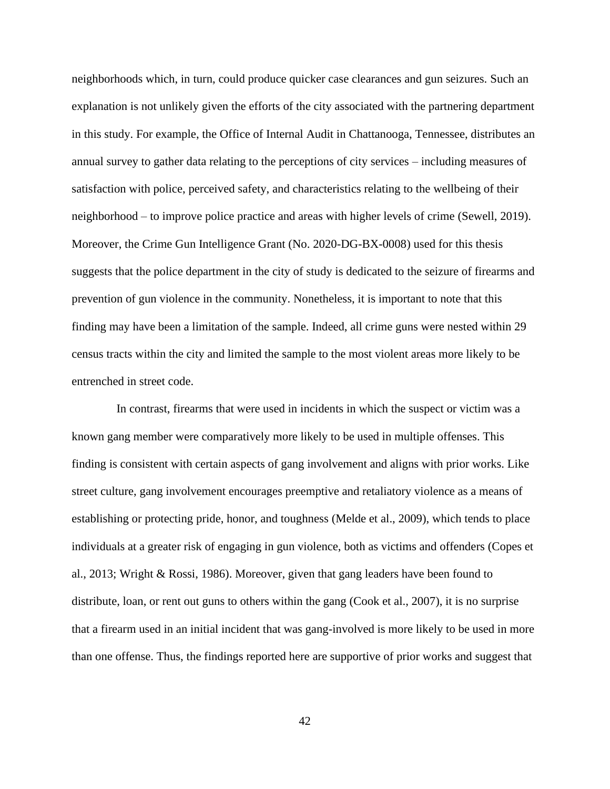neighborhoods which, in turn, could produce quicker case clearances and gun seizures. Such an explanation is not unlikely given the efforts of the city associated with the partnering department in this study. For example, the Office of Internal Audit in Chattanooga, Tennessee, distributes an annual survey to gather data relating to the perceptions of city services – including measures of satisfaction with police, perceived safety, and characteristics relating to the wellbeing of their neighborhood – to improve police practice and areas with higher levels of crime (Sewell, 2019). Moreover, the Crime Gun Intelligence Grant (No. 2020-DG-BX-0008) used for this thesis suggests that the police department in the city of study is dedicated to the seizure of firearms and prevention of gun violence in the community. Nonetheless, it is important to note that this finding may have been a limitation of the sample. Indeed, all crime guns were nested within 29 census tracts within the city and limited the sample to the most violent areas more likely to be entrenched in street code.

 In contrast, firearms that were used in incidents in which the suspect or victim was a known gang member were comparatively more likely to be used in multiple offenses. This finding is consistent with certain aspects of gang involvement and aligns with prior works. Like street culture, gang involvement encourages preemptive and retaliatory violence as a means of establishing or protecting pride, honor, and toughness (Melde et al., 2009), which tends to place individuals at a greater risk of engaging in gun violence, both as victims and offenders (Copes et al., 2013; Wright & Rossi, 1986). Moreover, given that gang leaders have been found to distribute, loan, or rent out guns to others within the gang (Cook et al., 2007), it is no surprise that a firearm used in an initial incident that was gang-involved is more likely to be used in more than one offense. Thus, the findings reported here are supportive of prior works and suggest that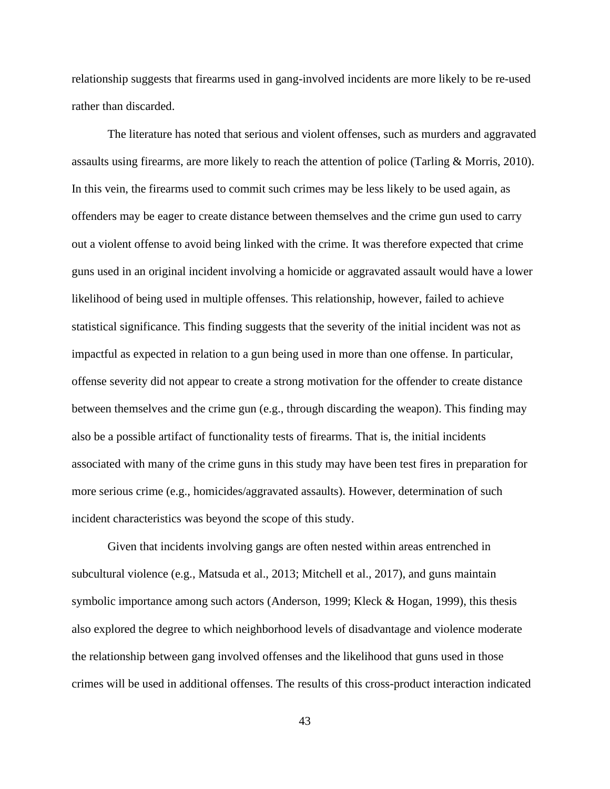relationship suggests that firearms used in gang-involved incidents are more likely to be re-used rather than discarded.

The literature has noted that serious and violent offenses, such as murders and aggravated assaults using firearms, are more likely to reach the attention of police (Tarling & Morris, 2010). In this vein, the firearms used to commit such crimes may be less likely to be used again, as offenders may be eager to create distance between themselves and the crime gun used to carry out a violent offense to avoid being linked with the crime. It was therefore expected that crime guns used in an original incident involving a homicide or aggravated assault would have a lower likelihood of being used in multiple offenses. This relationship, however, failed to achieve statistical significance. This finding suggests that the severity of the initial incident was not as impactful as expected in relation to a gun being used in more than one offense. In particular, offense severity did not appear to create a strong motivation for the offender to create distance between themselves and the crime gun (e.g., through discarding the weapon). This finding may also be a possible artifact of functionality tests of firearms. That is, the initial incidents associated with many of the crime guns in this study may have been test fires in preparation for more serious crime (e.g., homicides/aggravated assaults). However, determination of such incident characteristics was beyond the scope of this study.

Given that incidents involving gangs are often nested within areas entrenched in subcultural violence (e.g., Matsuda et al., 2013; Mitchell et al., 2017), and guns maintain symbolic importance among such actors (Anderson, 1999; Kleck & Hogan, 1999), this thesis also explored the degree to which neighborhood levels of disadvantage and violence moderate the relationship between gang involved offenses and the likelihood that guns used in those crimes will be used in additional offenses. The results of this cross-product interaction indicated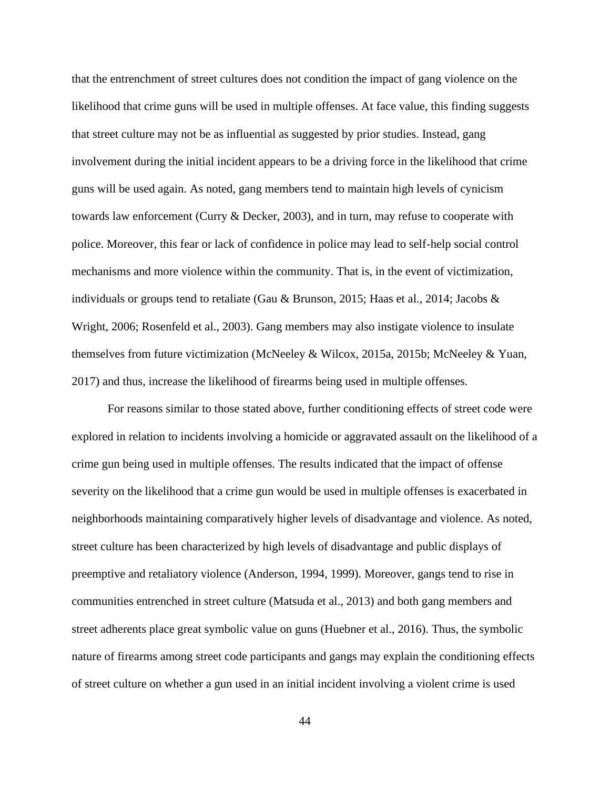that the entrenchment of street cultures does not condition the impact of gang violence on the likelihood that crime guns will be used in multiple offenses. At face value, this finding suggests that street culture may not be as influential as suggested by prior studies. Instead, gang involvement during the initial incident appears to be a driving force in the likelihood that crime guns will be used again. As noted, gang members tend to maintain high levels of cynicism towards law enforcement (Curry & Decker, 2003), and in turn, may refuse to cooperate with police. Moreover, this fear or lack of confidence in police may lead to self-help social control mechanisms and more violence within the community. That is, in the event of victimization, individuals or groups tend to retaliate (Gau & Brunson, 2015; Haas et al., 2014; Jacobs & Wright, 2006; Rosenfeld et al., 2003). Gang members may also instigate violence to insulate themselves from future victimization (McNeeley & Wilcox, 2015a, 2015b; McNeeley & Yuan, 2017) and thus, increase the likelihood of firearms being used in multiple offenses.

For reasons similar to those stated above, further conditioning effects of street code were explored in relation to incidents involving a homicide or aggravated assault on the likelihood of a crime gun being used in multiple offenses. The results indicated that the impact of offense severity on the likelihood that a crime gun would be used in multiple offenses is exacerbated in neighborhoods maintaining comparatively higher levels of disadvantage and violence. As noted, street culture has been characterized by high levels of disadvantage and public displays of preemptive and retaliatory violence (Anderson, 1994, 1999). Moreover, gangs tend to rise in communities entrenched in street culture (Matsuda et al., 2013) and both gang members and street adherents place great symbolic value on guns (Huebner et al., 2016). Thus, the symbolic nature of firearms among street code participants and gangs may explain the conditioning effects of street culture on whether a gun used in an initial incident involving a violent crime is used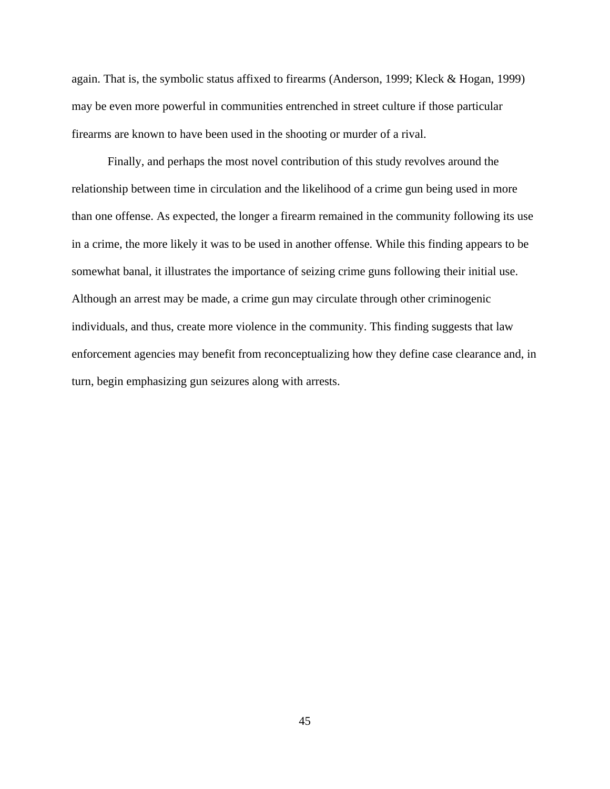again. That is, the symbolic status affixed to firearms (Anderson, 1999; Kleck & Hogan, 1999) may be even more powerful in communities entrenched in street culture if those particular firearms are known to have been used in the shooting or murder of a rival.

Finally, and perhaps the most novel contribution of this study revolves around the relationship between time in circulation and the likelihood of a crime gun being used in more than one offense. As expected, the longer a firearm remained in the community following its use in a crime, the more likely it was to be used in another offense*.* While this finding appears to be somewhat banal, it illustrates the importance of seizing crime guns following their initial use. Although an arrest may be made, a crime gun may circulate through other criminogenic individuals, and thus, create more violence in the community. This finding suggests that law enforcement agencies may benefit from reconceptualizing how they define case clearance and, in turn, begin emphasizing gun seizures along with arrests.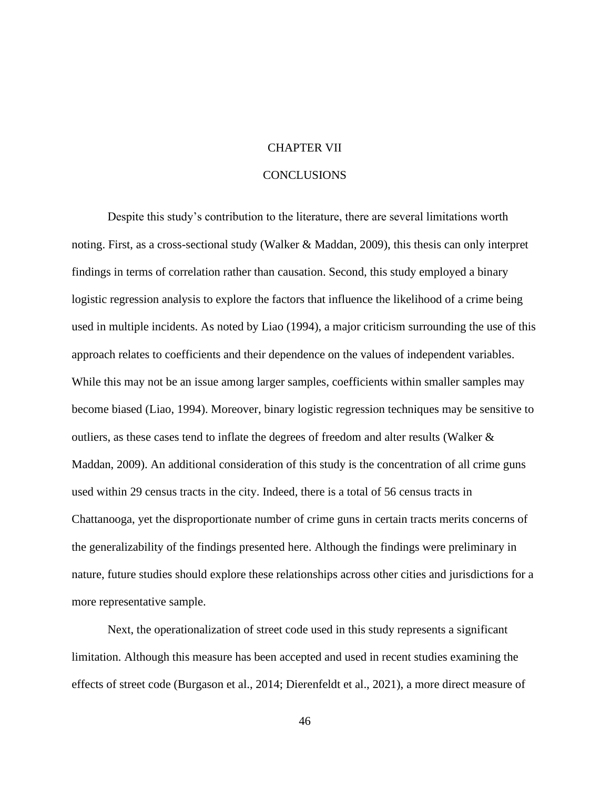#### CHAPTER VII

## **CONCLUSIONS**

Despite this study's contribution to the literature, there are several limitations worth noting. First, as a cross-sectional study (Walker & Maddan, 2009), this thesis can only interpret findings in terms of correlation rather than causation. Second, this study employed a binary logistic regression analysis to explore the factors that influence the likelihood of a crime being used in multiple incidents. As noted by Liao (1994), a major criticism surrounding the use of this approach relates to coefficients and their dependence on the values of independent variables. While this may not be an issue among larger samples, coefficients within smaller samples may become biased (Liao, 1994). Moreover, binary logistic regression techniques may be sensitive to outliers, as these cases tend to inflate the degrees of freedom and alter results (Walker & Maddan, 2009). An additional consideration of this study is the concentration of all crime guns used within 29 census tracts in the city. Indeed, there is a total of 56 census tracts in Chattanooga, yet the disproportionate number of crime guns in certain tracts merits concerns of the generalizability of the findings presented here. Although the findings were preliminary in nature, future studies should explore these relationships across other cities and jurisdictions for a more representative sample.

Next, the operationalization of street code used in this study represents a significant limitation. Although this measure has been accepted and used in recent studies examining the effects of street code (Burgason et al., 2014; Dierenfeldt et al., 2021), a more direct measure of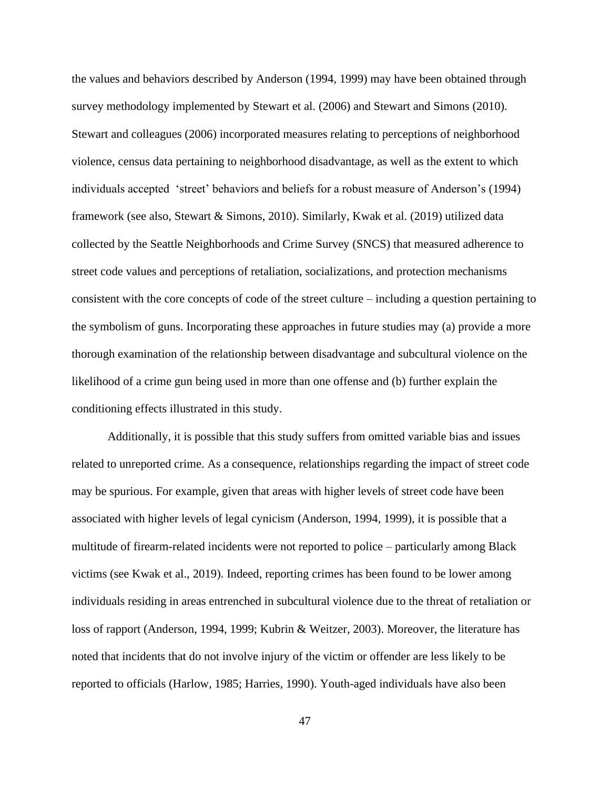the values and behaviors described by Anderson (1994, 1999) may have been obtained through survey methodology implemented by Stewart et al. (2006) and Stewart and Simons (2010). Stewart and colleagues (2006) incorporated measures relating to perceptions of neighborhood violence, census data pertaining to neighborhood disadvantage, as well as the extent to which individuals accepted 'street' behaviors and beliefs for a robust measure of Anderson's (1994) framework (see also, Stewart & Simons, 2010). Similarly, Kwak et al. (2019) utilized data collected by the Seattle Neighborhoods and Crime Survey (SNCS) that measured adherence to street code values and perceptions of retaliation, socializations, and protection mechanisms consistent with the core concepts of code of the street culture – including a question pertaining to the symbolism of guns. Incorporating these approaches in future studies may (a) provide a more thorough examination of the relationship between disadvantage and subcultural violence on the likelihood of a crime gun being used in more than one offense and (b) further explain the conditioning effects illustrated in this study.

Additionally, it is possible that this study suffers from omitted variable bias and issues related to unreported crime. As a consequence, relationships regarding the impact of street code may be spurious. For example, given that areas with higher levels of street code have been associated with higher levels of legal cynicism (Anderson, 1994, 1999), it is possible that a multitude of firearm-related incidents were not reported to police – particularly among Black victims (see Kwak et al., 2019). Indeed, reporting crimes has been found to be lower among individuals residing in areas entrenched in subcultural violence due to the threat of retaliation or loss of rapport (Anderson, 1994, 1999; Kubrin & Weitzer, 2003). Moreover, the literature has noted that incidents that do not involve injury of the victim or offender are less likely to be reported to officials (Harlow, 1985; Harries, 1990). Youth-aged individuals have also been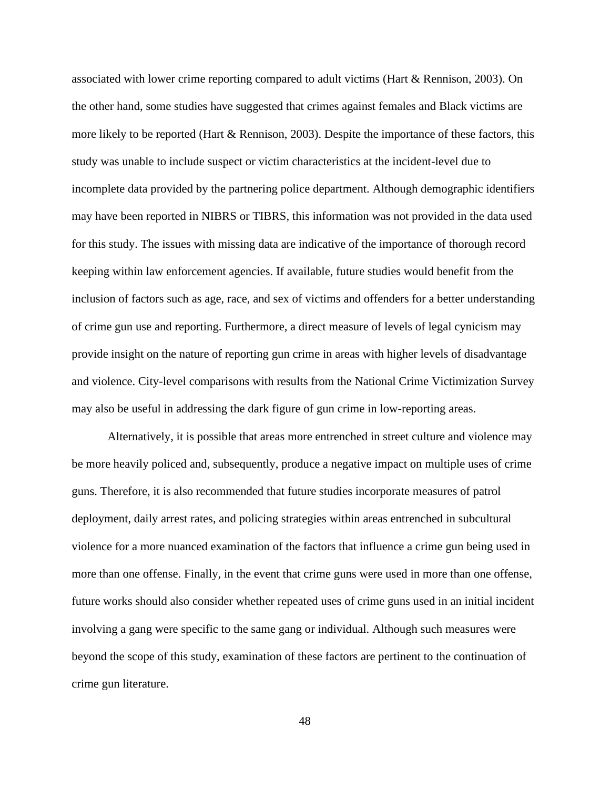associated with lower crime reporting compared to adult victims (Hart & Rennison, 2003). On the other hand, some studies have suggested that crimes against females and Black victims are more likely to be reported (Hart & Rennison, 2003). Despite the importance of these factors, this study was unable to include suspect or victim characteristics at the incident-level due to incomplete data provided by the partnering police department. Although demographic identifiers may have been reported in NIBRS or TIBRS, this information was not provided in the data used for this study. The issues with missing data are indicative of the importance of thorough record keeping within law enforcement agencies. If available, future studies would benefit from the inclusion of factors such as age, race, and sex of victims and offenders for a better understanding of crime gun use and reporting. Furthermore, a direct measure of levels of legal cynicism may provide insight on the nature of reporting gun crime in areas with higher levels of disadvantage and violence. City-level comparisons with results from the National Crime Victimization Survey may also be useful in addressing the dark figure of gun crime in low-reporting areas.

Alternatively, it is possible that areas more entrenched in street culture and violence may be more heavily policed and, subsequently, produce a negative impact on multiple uses of crime guns. Therefore, it is also recommended that future studies incorporate measures of patrol deployment, daily arrest rates, and policing strategies within areas entrenched in subcultural violence for a more nuanced examination of the factors that influence a crime gun being used in more than one offense. Finally, in the event that crime guns were used in more than one offense, future works should also consider whether repeated uses of crime guns used in an initial incident involving a gang were specific to the same gang or individual. Although such measures were beyond the scope of this study, examination of these factors are pertinent to the continuation of crime gun literature.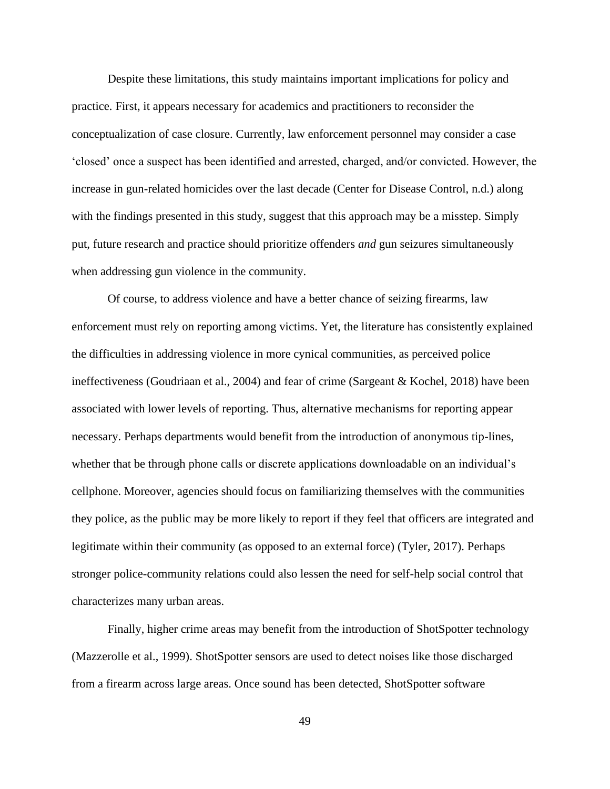Despite these limitations, this study maintains important implications for policy and practice. First, it appears necessary for academics and practitioners to reconsider the conceptualization of case closure. Currently, law enforcement personnel may consider a case 'closed' once a suspect has been identified and arrested, charged, and/or convicted. However, the increase in gun-related homicides over the last decade (Center for Disease Control, n.d.) along with the findings presented in this study, suggest that this approach may be a misstep. Simply put, future research and practice should prioritize offenders *and* gun seizures simultaneously when addressing gun violence in the community.

Of course, to address violence and have a better chance of seizing firearms, law enforcement must rely on reporting among victims. Yet, the literature has consistently explained the difficulties in addressing violence in more cynical communities, as perceived police ineffectiveness (Goudriaan et al., 2004) and fear of crime (Sargeant & Kochel, 2018) have been associated with lower levels of reporting. Thus, alternative mechanisms for reporting appear necessary. Perhaps departments would benefit from the introduction of anonymous tip-lines, whether that be through phone calls or discrete applications downloadable on an individual's cellphone. Moreover, agencies should focus on familiarizing themselves with the communities they police, as the public may be more likely to report if they feel that officers are integrated and legitimate within their community (as opposed to an external force) (Tyler, 2017). Perhaps stronger police-community relations could also lessen the need for self-help social control that characterizes many urban areas.

Finally, higher crime areas may benefit from the introduction of ShotSpotter technology (Mazzerolle et al., 1999). ShotSpotter sensors are used to detect noises like those discharged from a firearm across large areas. Once sound has been detected, ShotSpotter software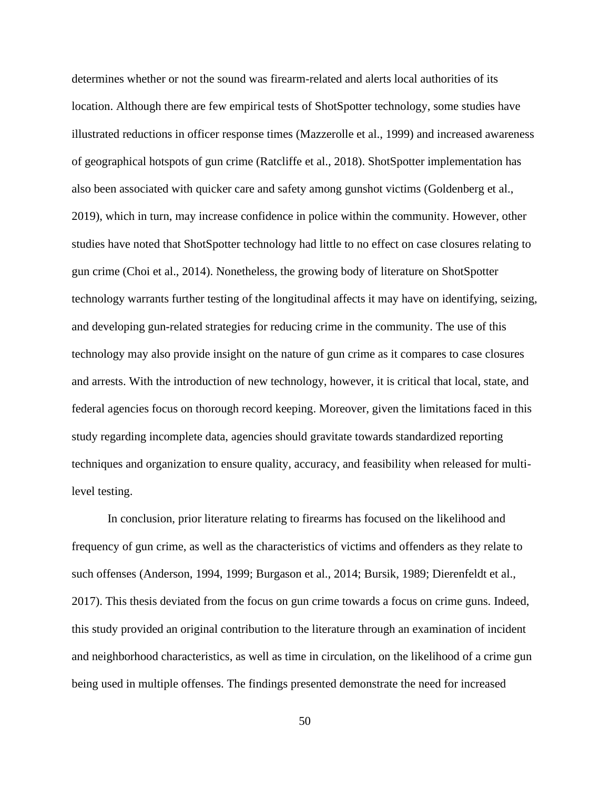determines whether or not the sound was firearm-related and alerts local authorities of its location. Although there are few empirical tests of ShotSpotter technology, some studies have illustrated reductions in officer response times (Mazzerolle et al., 1999) and increased awareness of geographical hotspots of gun crime (Ratcliffe et al., 2018). ShotSpotter implementation has also been associated with quicker care and safety among gunshot victims (Goldenberg et al., 2019), which in turn, may increase confidence in police within the community. However, other studies have noted that ShotSpotter technology had little to no effect on case closures relating to gun crime (Choi et al., 2014). Nonetheless, the growing body of literature on ShotSpotter technology warrants further testing of the longitudinal affects it may have on identifying, seizing, and developing gun-related strategies for reducing crime in the community. The use of this technology may also provide insight on the nature of gun crime as it compares to case closures and arrests. With the introduction of new technology, however, it is critical that local, state, and federal agencies focus on thorough record keeping. Moreover, given the limitations faced in this study regarding incomplete data, agencies should gravitate towards standardized reporting techniques and organization to ensure quality, accuracy, and feasibility when released for multilevel testing.

In conclusion, prior literature relating to firearms has focused on the likelihood and frequency of gun crime, as well as the characteristics of victims and offenders as they relate to such offenses (Anderson, 1994, 1999; Burgason et al., 2014; Bursik, 1989; Dierenfeldt et al., 2017). This thesis deviated from the focus on gun crime towards a focus on crime guns. Indeed, this study provided an original contribution to the literature through an examination of incident and neighborhood characteristics, as well as time in circulation, on the likelihood of a crime gun being used in multiple offenses. The findings presented demonstrate the need for increased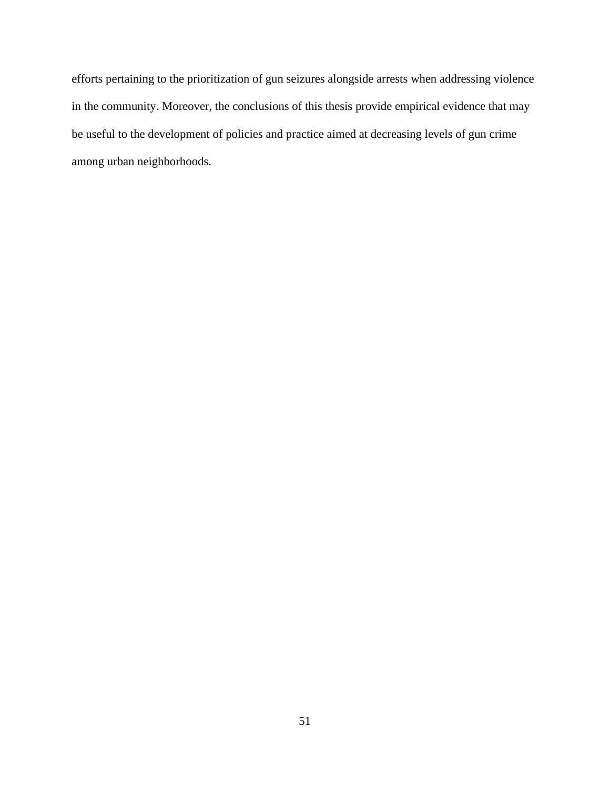efforts pertaining to the prioritization of gun seizures alongside arrests when addressing violence in the community. Moreover, the conclusions of this thesis provide empirical evidence that may be useful to the development of policies and practice aimed at decreasing levels of gun crime among urban neighborhoods.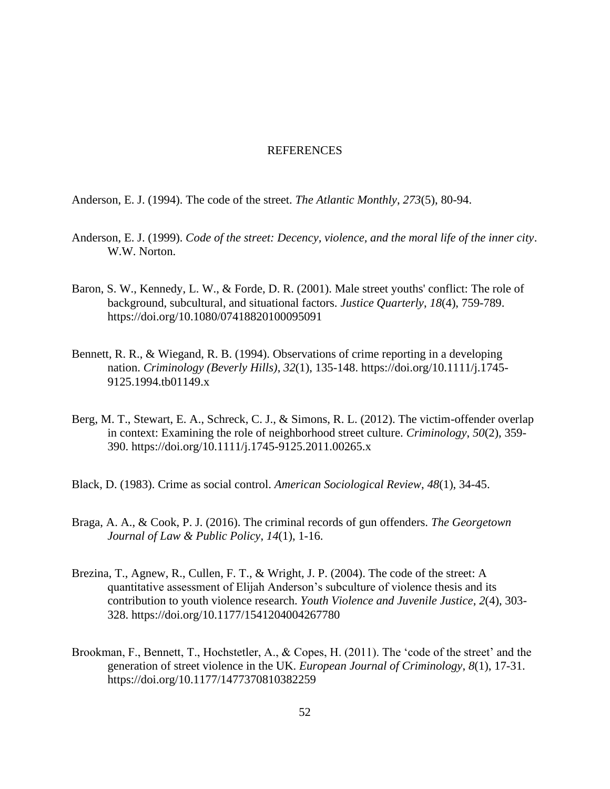#### REFERENCES

Anderson, E. J. (1994). The code of the street. *The Atlantic Monthly*, *273*(5), 80-94.

- Anderson, E. J. (1999). *Code of the street: Decency, violence, and the moral life of the inner city*. W.W. Norton.
- Baron, S. W., Kennedy, L. W., & Forde, D. R. (2001). Male street youths' conflict: The role of background, subcultural, and situational factors. *Justice Quarterly*, *18*(4), 759-789. https://doi.org/10.1080/07418820100095091
- Bennett, R. R., & Wiegand, R. B. (1994). Observations of crime reporting in a developing nation. *Criminology (Beverly Hills)*, *32*(1), 135-148. https://doi.org/10.1111/j.1745- 9125.1994.tb01149.x
- Berg, M. T., Stewart, E. A., Schreck, C. J., & Simons, R. L. (2012). The victim-offender overlap in context: Examining the role of neighborhood street culture. *Criminology*, *50*(2), 359- 390. https://doi.org/10.1111/j.1745-9125.2011.00265.x
- Black, D. (1983). Crime as social control. *American Sociological Review*, *48*(1), 34-45.
- Braga, A. A., & Cook, P. J. (2016). The criminal records of gun offenders. *The Georgetown Journal of Law & Public Policy*, *14*(1), 1-16.
- Brezina, T., Agnew, R., Cullen, F. T., & Wright, J. P. (2004). The code of the street: A quantitative assessment of Elijah Anderson's subculture of violence thesis and its contribution to youth violence research. *Youth Violence and Juvenile Justice*, *2*(4), 303- 328. https://doi.org/10.1177/1541204004267780
- Brookman, F., Bennett, T., Hochstetler, A., & Copes, H. (2011). The 'code of the street' and the generation of street violence in the UK. *European Journal of Criminology*, *8*(1), 17-31. https://doi.org/10.1177/1477370810382259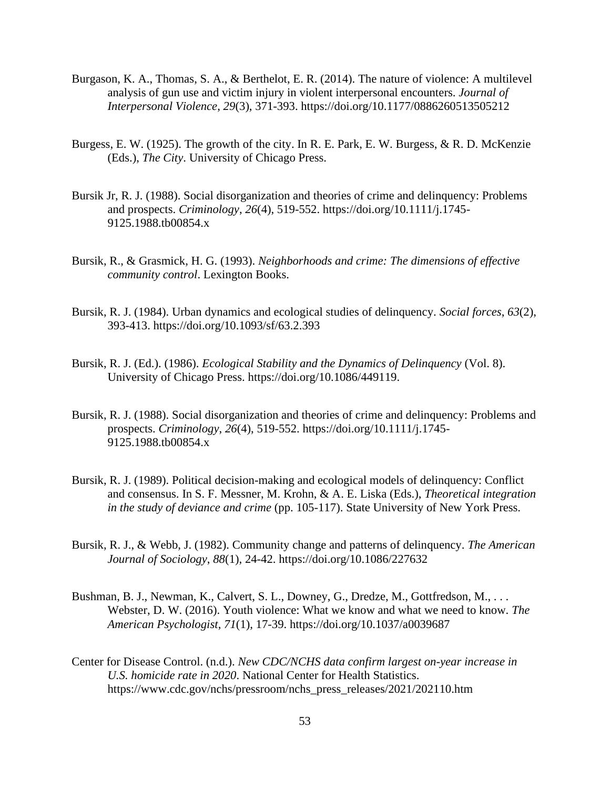- Burgason, K. A., Thomas, S. A., & Berthelot, E. R. (2014). The nature of violence: A multilevel analysis of gun use and victim injury in violent interpersonal encounters. *Journal of Interpersonal Violence*, *29*(3), 371-393. https://doi.org/10.1177/0886260513505212
- Burgess, E. W. (1925). The growth of the city. In R. E. Park, E. W. Burgess, & R. D. McKenzie (Eds.), *The City*. University of Chicago Press.
- Bursik Jr, R. J. (1988). Social disorganization and theories of crime and delinquency: Problems and prospects. *Criminology*, *26*(4), 519-552. https://doi.org/10.1111/j.1745- 9125.1988.tb00854.x
- Bursik, R., & Grasmick, H. G. (1993). *Neighborhoods and crime: The dimensions of effective community control*. Lexington Books.
- Bursik, R. J. (1984). Urban dynamics and ecological studies of delinquency. *Social forces*, *63*(2), 393-413. https://doi.org/10.1093/sf/63.2.393
- Bursik, R. J. (Ed.). (1986). *Ecological Stability and the Dynamics of Delinquency* (Vol. 8). University of Chicago Press. https://doi.org/10.1086/449119.
- Bursik, R. J. (1988). Social disorganization and theories of crime and delinquency: Problems and prospects. *Criminology*, *26*(4), 519-552. https://doi.org/10.1111/j.1745- 9125.1988.tb00854.x
- Bursik, R. J. (1989). Political decision-making and ecological models of delinquency: Conflict and consensus. In S. F. Messner, M. Krohn, & A. E. Liska (Eds.), *Theoretical integration in the study of deviance and crime* (pp. 105-117). State University of New York Press.
- Bursik, R. J., & Webb, J. (1982). Community change and patterns of delinquency. *The American Journal of Sociology*, *88*(1), 24-42. https://doi.org/10.1086/227632
- Bushman, B. J., Newman, K., Calvert, S. L., Downey, G., Dredze, M., Gottfredson, M., ... Webster, D. W. (2016). Youth violence: What we know and what we need to know. *The American Psychologist*, *71*(1), 17-39. https://doi.org/10.1037/a0039687
- Center for Disease Control. (n.d.). *New CDC/NCHS data confirm largest on-year increase in U.S. homicide rate in 2020*. National Center for Health Statistics. https://www.cdc.gov/nchs/pressroom/nchs\_press\_releases/2021/202110.htm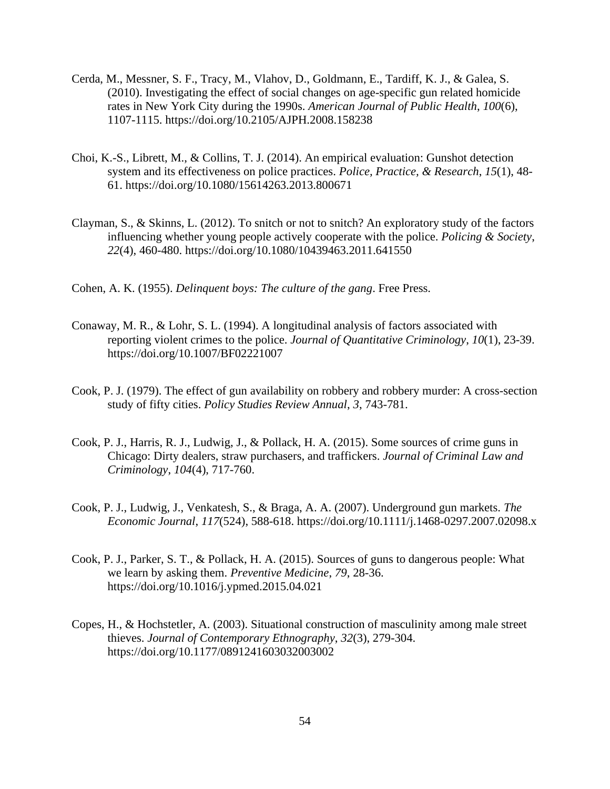- Cerda, M., Messner, S. F., Tracy, M., Vlahov, D., Goldmann, E., Tardiff, K. J., & Galea, S. (2010). Investigating the effect of social changes on age-specific gun related homicide rates in New York City during the 1990s. *American Journal of Public Health*, *100*(6), 1107-1115. https://doi.org/10.2105/AJPH.2008.158238
- Choi, K.-S., Librett, M., & Collins, T. J. (2014). An empirical evaluation: Gunshot detection system and its effectiveness on police practices. *Police, Practice, & Research*, *15*(1), 48- 61. https://doi.org/10.1080/15614263.2013.800671
- Clayman, S., & Skinns, L. (2012). To snitch or not to snitch? An exploratory study of the factors influencing whether young people actively cooperate with the police. *Policing & Society*, *22*(4), 460-480. https://doi.org/10.1080/10439463.2011.641550
- Cohen, A. K. (1955). *Delinquent boys: The culture of the gang*. Free Press.
- Conaway, M. R., & Lohr, S. L. (1994). A longitudinal analysis of factors associated with reporting violent crimes to the police. *Journal of Quantitative Criminology*, *10*(1), 23-39. https://doi.org/10.1007/BF02221007
- Cook, P. J. (1979). The effect of gun availability on robbery and robbery murder: A cross-section study of fifty cities. *Policy Studies Review Annual*, *3*, 743-781.
- Cook, P. J., Harris, R. J., Ludwig, J., & Pollack, H. A. (2015). Some sources of crime guns in Chicago: Dirty dealers, straw purchasers, and traffickers. *Journal of Criminal Law and Criminology*, *104*(4), 717-760.
- Cook, P. J., Ludwig, J., Venkatesh, S., & Braga, A. A. (2007). Underground gun markets. *The Economic Journal*, *117*(524), 588-618. https://doi.org/10.1111/j.1468-0297.2007.02098.x
- Cook, P. J., Parker, S. T., & Pollack, H. A. (2015). Sources of guns to dangerous people: What we learn by asking them. *Preventive Medicine*, *79*, 28-36. https://doi.org/10.1016/j.ypmed.2015.04.021
- Copes, H., & Hochstetler, A. (2003). Situational construction of masculinity among male street thieves. *Journal of Contemporary Ethnography*, *32*(3), 279-304. https://doi.org/10.1177/0891241603032003002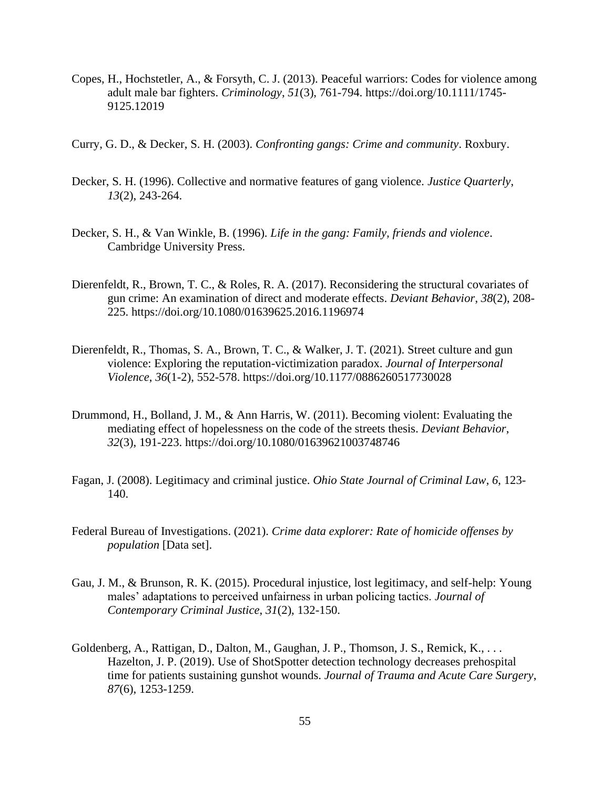- Copes, H., Hochstetler, A., & Forsyth, C. J. (2013). Peaceful warriors: Codes for violence among adult male bar fighters. *Criminology*, *51*(3), 761-794. https://doi.org/10.1111/1745- 9125.12019
- Curry, G. D., & Decker, S. H. (2003). *Confronting gangs: Crime and community*. Roxbury.
- Decker, S. H. (1996). Collective and normative features of gang violence. *Justice Quarterly*, *13*(2), 243-264.
- Decker, S. H., & Van Winkle, B. (1996). *Life in the gang: Family, friends and violence*. Cambridge University Press.
- Dierenfeldt, R., Brown, T. C., & Roles, R. A. (2017). Reconsidering the structural covariates of gun crime: An examination of direct and moderate effects. *Deviant Behavior*, *38*(2), 208- 225. https://doi.org/10.1080/01639625.2016.1196974
- Dierenfeldt, R., Thomas, S. A., Brown, T. C., & Walker, J. T. (2021). Street culture and gun violence: Exploring the reputation-victimization paradox. *Journal of Interpersonal Violence*, *36*(1-2), 552-578. https://doi.org/10.1177/0886260517730028
- Drummond, H., Bolland, J. M., & Ann Harris, W. (2011). Becoming violent: Evaluating the mediating effect of hopelessness on the code of the streets thesis. *Deviant Behavior*, *32*(3), 191-223. https://doi.org/10.1080/01639621003748746
- Fagan, J. (2008). Legitimacy and criminal justice. *Ohio State Journal of Criminal Law*, *6*, 123- 140.
- Federal Bureau of Investigations. (2021). *Crime data explorer: Rate of homicide offenses by population* [Data set].
- Gau, J. M., & Brunson, R. K. (2015). Procedural injustice, lost legitimacy, and self-help: Young males' adaptations to perceived unfairness in urban policing tactics. *Journal of Contemporary Criminal Justice*, *31*(2), 132-150.
- Goldenberg, A., Rattigan, D., Dalton, M., Gaughan, J. P., Thomson, J. S., Remick, K., . . . Hazelton, J. P. (2019). Use of ShotSpotter detection technology decreases prehospital time for patients sustaining gunshot wounds. *Journal of Trauma and Acute Care Surgery*, *87*(6), 1253-1259.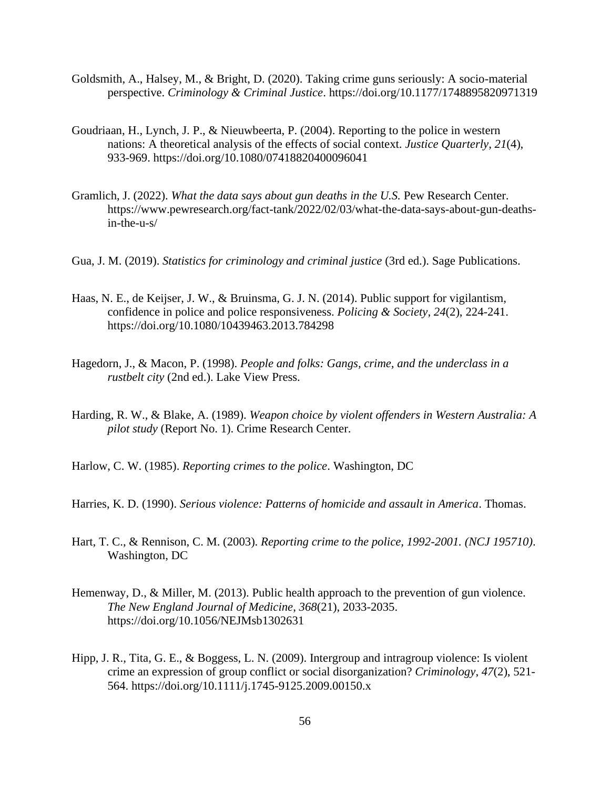- Goldsmith, A., Halsey, M., & Bright, D. (2020). Taking crime guns seriously: A socio-material perspective. *Criminology & Criminal Justice*. https://doi.org/10.1177/1748895820971319
- Goudriaan, H., Lynch, J. P., & Nieuwbeerta, P. (2004). Reporting to the police in western nations: A theoretical analysis of the effects of social context. *Justice Quarterly*, *21*(4), 933-969. https://doi.org/10.1080/07418820400096041
- Gramlich, J. (2022). *What the data says about gun deaths in the U.S.* Pew Research Center. https://www.pewresearch.org/fact-tank/2022/02/03/what-the-data-says-about-gun-deathsin-the-u-s/
- Gua, J. M. (2019). *Statistics for criminology and criminal justice* (3rd ed.). Sage Publications.
- Haas, N. E., de Keijser, J. W., & Bruinsma, G. J. N. (2014). Public support for vigilantism, confidence in police and police responsiveness. *Policing & Society*, *24*(2), 224-241. https://doi.org/10.1080/10439463.2013.784298
- Hagedorn, J., & Macon, P. (1998). *People and folks: Gangs, crime, and the underclass in a rustbelt city* (2nd ed.). Lake View Press.
- Harding, R. W., & Blake, A. (1989). *Weapon choice by violent offenders in Western Australia: A pilot study* (Report No. 1). Crime Research Center.

Harlow, C. W. (1985). *Reporting crimes to the police*. Washington, DC

- Harries, K. D. (1990). *Serious violence: Patterns of homicide and assault in America*. Thomas.
- Hart, T. C., & Rennison, C. M. (2003). *Reporting crime to the police, 1992-2001. (NCJ 195710)*. Washington, DC
- Hemenway, D., & Miller, M. (2013). Public health approach to the prevention of gun violence. *The New England Journal of Medicine*, *368*(21), 2033-2035. https://doi.org/10.1056/NEJMsb1302631
- Hipp, J. R., Tita, G. E., & Boggess, L. N. (2009). Intergroup and intragroup violence: Is violent crime an expression of group conflict or social disorganization? *Criminology*, *47*(2), 521- 564. https://doi.org/10.1111/j.1745-9125.2009.00150.x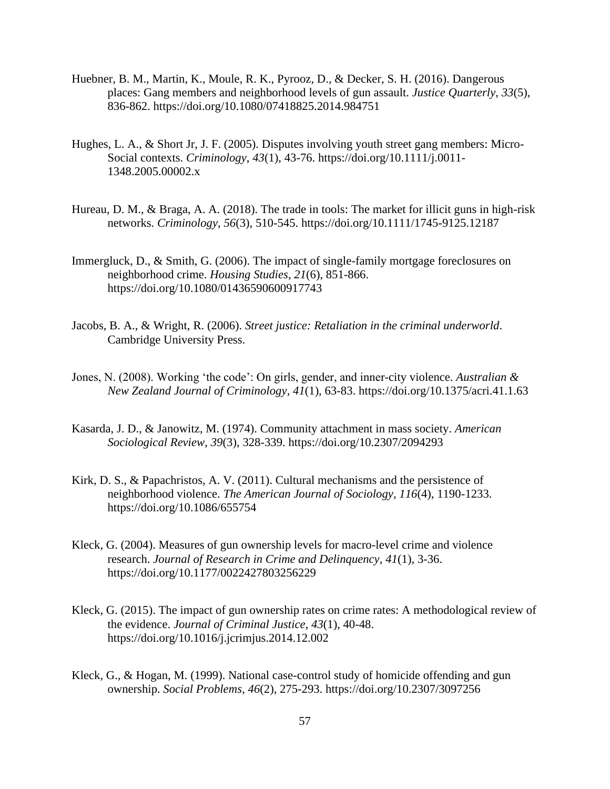- Huebner, B. M., Martin, K., Moule, R. K., Pyrooz, D., & Decker, S. H. (2016). Dangerous places: Gang members and neighborhood levels of gun assault. *Justice Quarterly*, *33*(5), 836-862. https://doi.org/10.1080/07418825.2014.984751
- Hughes, L. A., & Short Jr, J. F. (2005). Disputes involving youth street gang members: Micro-Social contexts. *Criminology*, *43*(1), 43-76. https://doi.org/10.1111/j.0011- 1348.2005.00002.x
- Hureau, D. M., & Braga, A. A. (2018). The trade in tools: The market for illicit guns in high-risk networks. *Criminology*, *56*(3), 510-545. https://doi.org/10.1111/1745-9125.12187
- Immergluck, D., & Smith, G. (2006). The impact of single-family mortgage foreclosures on neighborhood crime. *Housing Studies*, *21*(6), 851-866. https://doi.org/10.1080/01436590600917743
- Jacobs, B. A., & Wright, R. (2006). *Street justice: Retaliation in the criminal underworld*. Cambridge University Press.
- Jones, N. (2008). Working 'the code': On girls, gender, and inner-city violence. *Australian & New Zealand Journal of Criminology*, *41*(1), 63-83. https://doi.org/10.1375/acri.41.1.63
- Kasarda, J. D., & Janowitz, M. (1974). Community attachment in mass society. *American Sociological Review*, *39*(3), 328-339. https://doi.org/10.2307/2094293
- Kirk, D. S., & Papachristos, A. V. (2011). Cultural mechanisms and the persistence of neighborhood violence. *The American Journal of Sociology*, *116*(4), 1190-1233. https://doi.org/10.1086/655754
- Kleck, G. (2004). Measures of gun ownership levels for macro-level crime and violence research. *Journal of Research in Crime and Delinquency*, *41*(1), 3-36. https://doi.org/10.1177/0022427803256229
- Kleck, G. (2015). The impact of gun ownership rates on crime rates: A methodological review of the evidence. *Journal of Criminal Justice*, *43*(1), 40-48. https://doi.org/10.1016/j.jcrimjus.2014.12.002
- Kleck, G., & Hogan, M. (1999). National case-control study of homicide offending and gun ownership. *Social Problems*, *46*(2), 275-293. https://doi.org/10.2307/3097256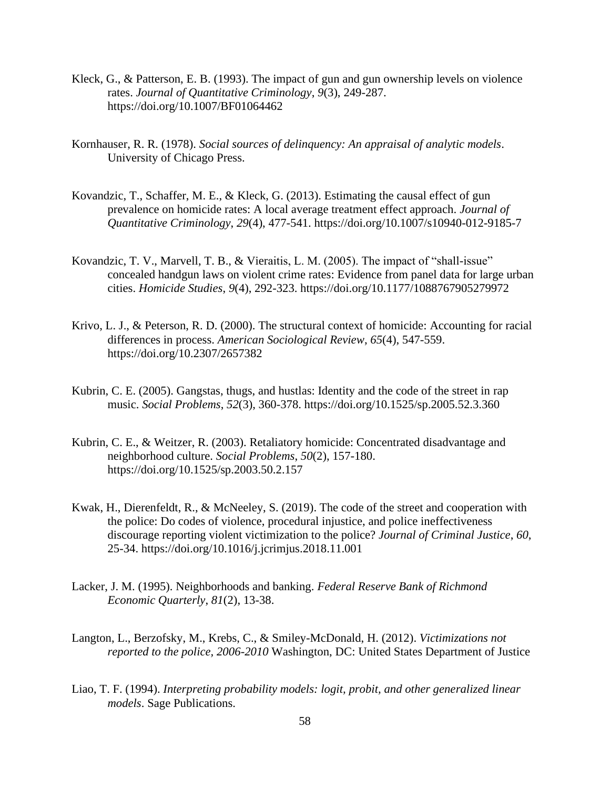- Kleck, G., & Patterson, E. B. (1993). The impact of gun and gun ownership levels on violence rates. *Journal of Quantitative Criminology*, *9*(3), 249-287. https://doi.org/10.1007/BF01064462
- Kornhauser, R. R. (1978). *Social sources of delinquency: An appraisal of analytic models*. University of Chicago Press.
- Kovandzic, T., Schaffer, M. E., & Kleck, G. (2013). Estimating the causal effect of gun prevalence on homicide rates: A local average treatment effect approach. *Journal of Quantitative Criminology*, *29*(4), 477-541. https://doi.org/10.1007/s10940-012-9185-7
- Kovandzic, T. V., Marvell, T. B., & Vieraitis, L. M. (2005). The impact of "shall-issue" concealed handgun laws on violent crime rates: Evidence from panel data for large urban cities. *Homicide Studies*, *9*(4), 292-323. https://doi.org/10.1177/1088767905279972
- Krivo, L. J., & Peterson, R. D. (2000). The structural context of homicide: Accounting for racial differences in process. *American Sociological Review*, *65*(4), 547-559. https://doi.org/10.2307/2657382
- Kubrin, C. E. (2005). Gangstas, thugs, and hustlas: Identity and the code of the street in rap music. *Social Problems*, *52*(3), 360-378. https://doi.org/10.1525/sp.2005.52.3.360
- Kubrin, C. E., & Weitzer, R. (2003). Retaliatory homicide: Concentrated disadvantage and neighborhood culture. *Social Problems*, *50*(2), 157-180. https://doi.org/10.1525/sp.2003.50.2.157
- Kwak, H., Dierenfeldt, R., & McNeeley, S. (2019). The code of the street and cooperation with the police: Do codes of violence, procedural injustice, and police ineffectiveness discourage reporting violent victimization to the police? *Journal of Criminal Justice*, *60*, 25-34. https://doi.org/10.1016/j.jcrimjus.2018.11.001
- Lacker, J. M. (1995). Neighborhoods and banking. *Federal Reserve Bank of Richmond Economic Quarterly*, *81*(2), 13-38.
- Langton, L., Berzofsky, M., Krebs, C., & Smiley-McDonald, H. (2012). *Victimizations not reported to the police, 2006-2010* Washington, DC: United States Department of Justice
- Liao, T. F. (1994). *Interpreting probability models: logit, probit, and other generalized linear models*. Sage Publications.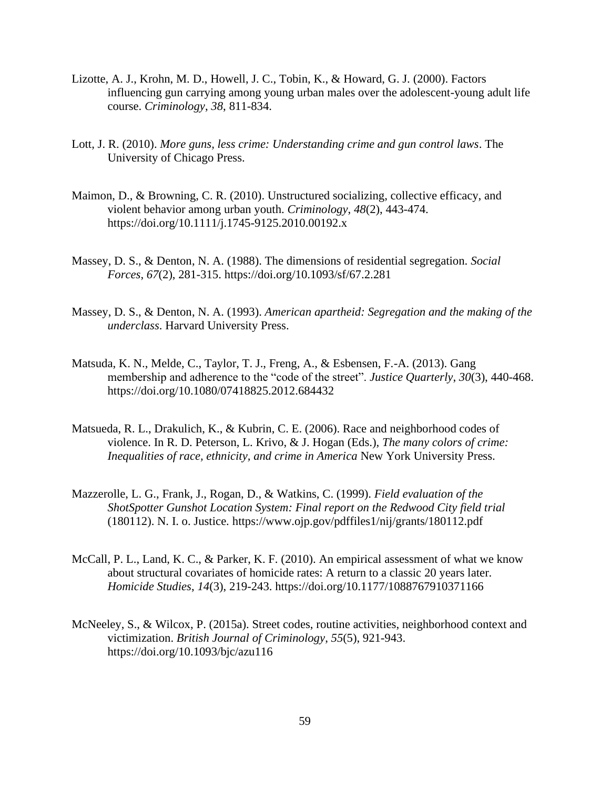- Lizotte, A. J., Krohn, M. D., Howell, J. C., Tobin, K., & Howard, G. J. (2000). Factors influencing gun carrying among young urban males over the adolescent-young adult life course. *Criminology*, *38*, 811-834.
- Lott, J. R. (2010). *More guns, less crime: Understanding crime and gun control laws*. The University of Chicago Press.
- Maimon, D., & Browning, C. R. (2010). Unstructured socializing, collective efficacy, and violent behavior among urban youth. *Criminology*, *48*(2), 443-474. https://doi.org/10.1111/j.1745-9125.2010.00192.x
- Massey, D. S., & Denton, N. A. (1988). The dimensions of residential segregation. *Social Forces*, *67*(2), 281-315. https://doi.org/10.1093/sf/67.2.281
- Massey, D. S., & Denton, N. A. (1993). *American apartheid: Segregation and the making of the underclass*. Harvard University Press.
- Matsuda, K. N., Melde, C., Taylor, T. J., Freng, A., & Esbensen, F.-A. (2013). Gang membership and adherence to the "code of the street". *Justice Quarterly*, *30*(3), 440-468. https://doi.org/10.1080/07418825.2012.684432
- Matsueda, R. L., Drakulich, K., & Kubrin, C. E. (2006). Race and neighborhood codes of violence. In R. D. Peterson, L. Krivo, & J. Hogan (Eds.), *The many colors of crime: Inequalities of race, ethnicity, and crime in America* New York University Press.
- Mazzerolle, L. G., Frank, J., Rogan, D., & Watkins, C. (1999). *Field evaluation of the ShotSpotter Gunshot Location System: Final report on the Redwood City field trial* (180112). N. I. o. Justice. https://www.ojp.gov/pdffiles1/nij/grants/180112.pdf
- McCall, P. L., Land, K. C., & Parker, K. F. (2010). An empirical assessment of what we know about structural covariates of homicide rates: A return to a classic 20 years later. *Homicide Studies*, *14*(3), 219-243. https://doi.org/10.1177/1088767910371166
- McNeeley, S., & Wilcox, P. (2015a). Street codes, routine activities, neighborhood context and victimization. *British Journal of Criminology*, *55*(5), 921-943. https://doi.org/10.1093/bjc/azu116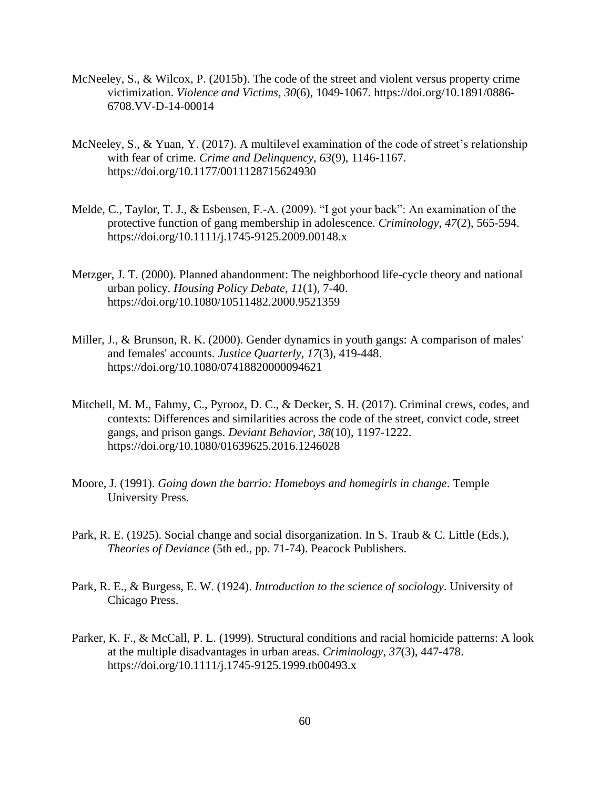- McNeeley, S., & Wilcox, P. (2015b). The code of the street and violent versus property crime victimization. *Violence and Victims*, *30*(6), 1049-1067. https://doi.org/10.1891/0886- 6708.VV-D-14-00014
- McNeeley, S., & Yuan, Y. (2017). A multilevel examination of the code of street's relationship with fear of crime. *Crime and Delinquency*, *63*(9), 1146-1167. https://doi.org/10.1177/0011128715624930
- Melde, C., Taylor, T. J., & Esbensen, F.-A. (2009). "I got your back": An examination of the protective function of gang membership in adolescence. *Criminology*, *47*(2), 565-594. https://doi.org/10.1111/j.1745-9125.2009.00148.x
- Metzger, J. T. (2000). Planned abandonment: The neighborhood life-cycle theory and national urban policy. *Housing Policy Debate*, *11*(1), 7-40. https://doi.org/10.1080/10511482.2000.9521359
- Miller, J., & Brunson, R. K. (2000). Gender dynamics in youth gangs: A comparison of males' and females' accounts. *Justice Quarterly*, *17*(3), 419-448. https://doi.org/10.1080/07418820000094621
- Mitchell, M. M., Fahmy, C., Pyrooz, D. C., & Decker, S. H. (2017). Criminal crews, codes, and contexts: Differences and similarities across the code of the street, convict code, street gangs, and prison gangs. *Deviant Behavior*, *38*(10), 1197-1222. https://doi.org/10.1080/01639625.2016.1246028
- Moore, J. (1991). *Going down the barrio: Homeboys and homegirls in change*. Temple University Press.
- Park, R. E. (1925). Social change and social disorganization. In S. Traub & C. Little (Eds.), *Theories of Deviance* (5th ed., pp. 71-74). Peacock Publishers.
- Park, R. E., & Burgess, E. W. (1924). *Introduction to the science of sociology*. University of Chicago Press.
- Parker, K. F., & McCall, P. L. (1999). Structural conditions and racial homicide patterns: A look at the multiple disadvantages in urban areas. *Criminology*, *37*(3), 447-478. https://doi.org/10.1111/j.1745-9125.1999.tb00493.x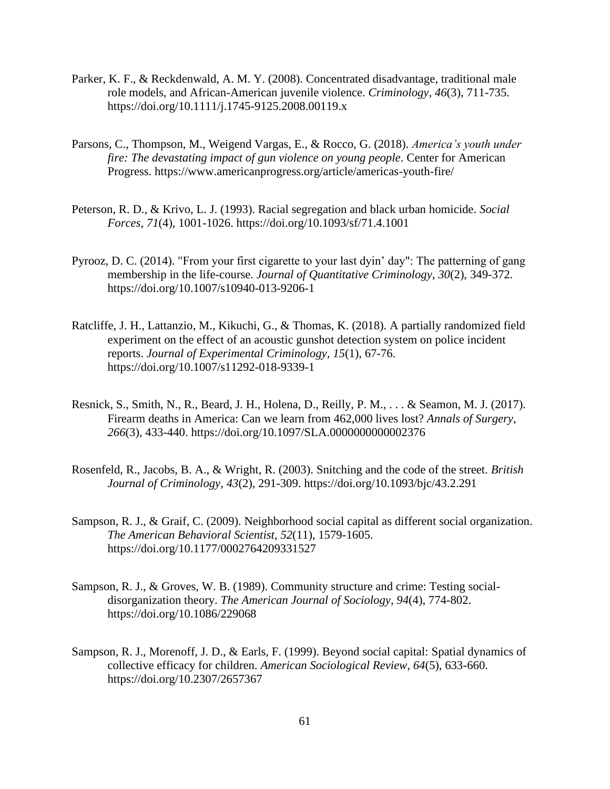- Parker, K. F., & Reckdenwald, A. M. Y. (2008). Concentrated disadvantage, traditional male role models, and African-American juvenile violence. *Criminology*, *46*(3), 711-735. https://doi.org/10.1111/j.1745-9125.2008.00119.x
- Parsons, C., Thompson, M., Weigend Vargas, E., & Rocco, G. (2018). *America's youth under fire: The devastating impact of gun violence on young people*. Center for American Progress. https://www.americanprogress.org/article/americas-youth-fire/
- Peterson, R. D., & Krivo, L. J. (1993). Racial segregation and black urban homicide. *Social Forces*, *71*(4), 1001-1026. https://doi.org/10.1093/sf/71.4.1001
- Pyrooz, D. C. (2014). "From your first cigarette to your last dyin' day": The patterning of gang membership in the life-course. *Journal of Quantitative Criminology*, *30*(2), 349-372. https://doi.org/10.1007/s10940-013-9206-1
- Ratcliffe, J. H., Lattanzio, M., Kikuchi, G., & Thomas, K. (2018). A partially randomized field experiment on the effect of an acoustic gunshot detection system on police incident reports. *Journal of Experimental Criminology*, *15*(1), 67-76. https://doi.org/10.1007/s11292-018-9339-1
- Resnick, S., Smith, N., R., Beard, J. H., Holena, D., Reilly, P. M., . . . & Seamon, M. J. (2017). Firearm deaths in America: Can we learn from 462,000 lives lost? *Annals of Surgery*, *266*(3), 433-440. https://doi.org/10.1097/SLA.0000000000002376
- Rosenfeld, R., Jacobs, B. A., & Wright, R. (2003). Snitching and the code of the street. *British Journal of Criminology*, *43*(2), 291-309. https://doi.org/10.1093/bjc/43.2.291
- Sampson, R. J., & Graif, C. (2009). Neighborhood social capital as different social organization. *The American Behavioral Scientist*, *52*(11), 1579-1605. https://doi.org/10.1177/0002764209331527
- Sampson, R. J., & Groves, W. B. (1989). Community structure and crime: Testing socialdisorganization theory. *The American Journal of Sociology*, *94*(4), 774-802. https://doi.org/10.1086/229068
- Sampson, R. J., Morenoff, J. D., & Earls, F. (1999). Beyond social capital: Spatial dynamics of collective efficacy for children. *American Sociological Review*, *64*(5), 633-660. https://doi.org/10.2307/2657367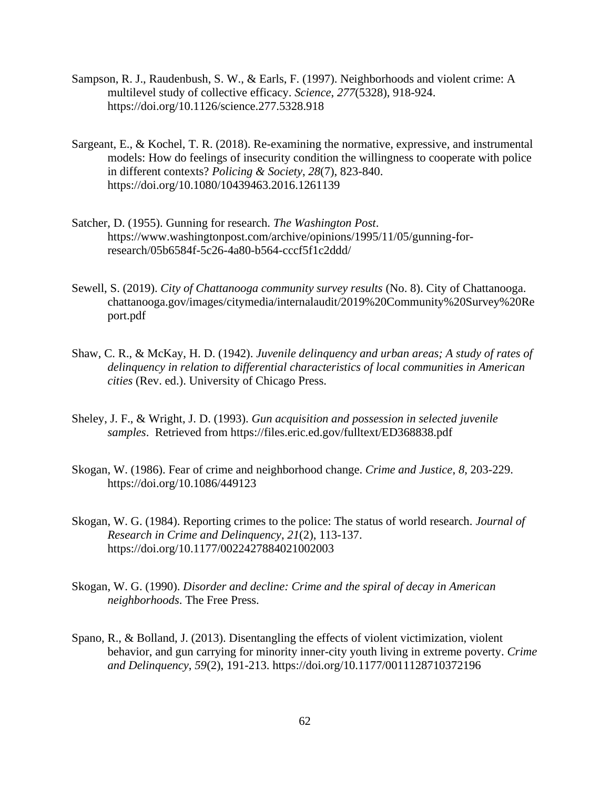- Sampson, R. J., Raudenbush, S. W., & Earls, F. (1997). Neighborhoods and violent crime: A multilevel study of collective efficacy. *Science*, *277*(5328), 918-924. https://doi.org/10.1126/science.277.5328.918
- Sargeant, E., & Kochel, T. R. (2018). Re-examining the normative, expressive, and instrumental models: How do feelings of insecurity condition the willingness to cooperate with police in different contexts? *Policing & Society*, *28*(7), 823-840. https://doi.org/10.1080/10439463.2016.1261139
- Satcher, D. (1955). Gunning for research. *The Washington Post*. https://www.washingtonpost.com/archive/opinions/1995/11/05/gunning-forresearch/05b6584f-5c26-4a80-b564-cccf5f1c2ddd/
- Sewell, S. (2019). *City of Chattanooga community survey results* (No. 8). City of Chattanooga. chattanooga.gov/images/citymedia/internalaudit/2019%20Community%20Survey%20Re port.pdf
- Shaw, C. R., & McKay, H. D. (1942). *Juvenile delinquency and urban areas; A study of rates of delinquency in relation to differential characteristics of local communities in American cities* (Rev. ed.). University of Chicago Press.
- Sheley, J. F., & Wright, J. D. (1993). *Gun acquisition and possession in selected juvenile samples*. Retrieved from https://files.eric.ed.gov/fulltext/ED368838.pdf
- Skogan, W. (1986). Fear of crime and neighborhood change. *Crime and Justice*, *8*, 203-229. https://doi.org/10.1086/449123
- Skogan, W. G. (1984). Reporting crimes to the police: The status of world research. *Journal of Research in Crime and Delinquency*, *21*(2), 113-137. https://doi.org/10.1177/0022427884021002003
- Skogan, W. G. (1990). *Disorder and decline: Crime and the spiral of decay in American neighborhoods*. The Free Press.
- Spano, R., & Bolland, J. (2013). Disentangling the effects of violent victimization, violent behavior, and gun carrying for minority inner-city youth living in extreme poverty. *Crime and Delinquency*, *59*(2), 191-213. https://doi.org/10.1177/0011128710372196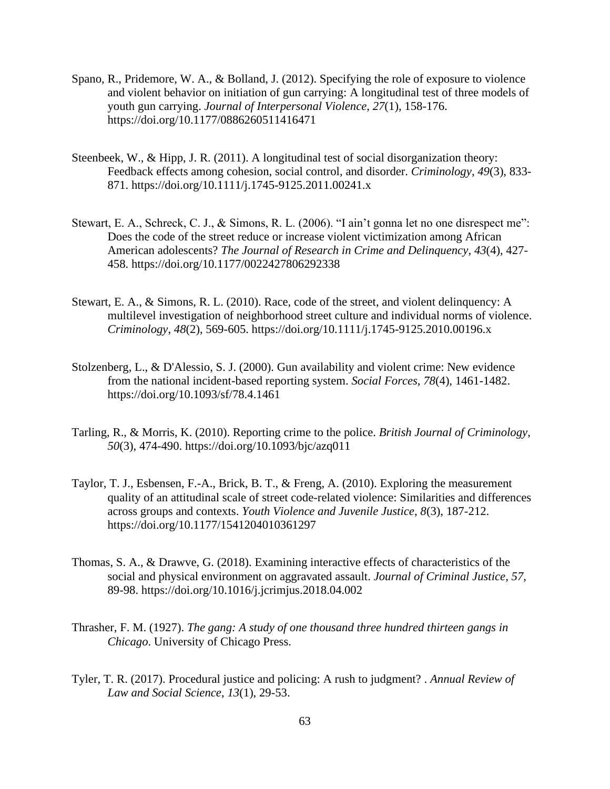- Spano, R., Pridemore, W. A., & Bolland, J. (2012). Specifying the role of exposure to violence and violent behavior on initiation of gun carrying: A longitudinal test of three models of youth gun carrying. *Journal of Interpersonal Violence*, *27*(1), 158-176. https://doi.org/10.1177/0886260511416471
- Steenbeek, W., & Hipp, J. R. (2011). A longitudinal test of social disorganization theory: Feedback effects among cohesion, social control, and disorder. *Criminology*, *49*(3), 833- 871. https://doi.org/10.1111/j.1745-9125.2011.00241.x
- Stewart, E. A., Schreck, C. J., & Simons, R. L. (2006). "I ain't gonna let no one disrespect me": Does the code of the street reduce or increase violent victimization among African American adolescents? *The Journal of Research in Crime and Delinquency*, *43*(4), 427- 458. https://doi.org/10.1177/0022427806292338
- Stewart, E. A., & Simons, R. L. (2010). Race, code of the street, and violent delinquency: A multilevel investigation of neighborhood street culture and individual norms of violence. *Criminology*, *48*(2), 569-605. https://doi.org/10.1111/j.1745-9125.2010.00196.x
- Stolzenberg, L., & D'Alessio, S. J. (2000). Gun availability and violent crime: New evidence from the national incident-based reporting system. *Social Forces*, *78*(4), 1461-1482. https://doi.org/10.1093/sf/78.4.1461
- Tarling, R., & Morris, K. (2010). Reporting crime to the police. *British Journal of Criminology*, *50*(3), 474-490. https://doi.org/10.1093/bjc/azq011
- Taylor, T. J., Esbensen, F.-A., Brick, B. T., & Freng, A. (2010). Exploring the measurement quality of an attitudinal scale of street code-related violence: Similarities and differences across groups and contexts. *Youth Violence and Juvenile Justice*, *8*(3), 187-212. https://doi.org/10.1177/1541204010361297
- Thomas, S. A., & Drawve, G. (2018). Examining interactive effects of characteristics of the social and physical environment on aggravated assault. *Journal of Criminal Justice*, *57*, 89-98. https://doi.org/10.1016/j.jcrimjus.2018.04.002
- Thrasher, F. M. (1927). *The gang: A study of one thousand three hundred thirteen gangs in Chicago*. University of Chicago Press.
- Tyler, T. R. (2017). Procedural justice and policing: A rush to judgment? . *Annual Review of Law and Social Science*, *13*(1), 29-53.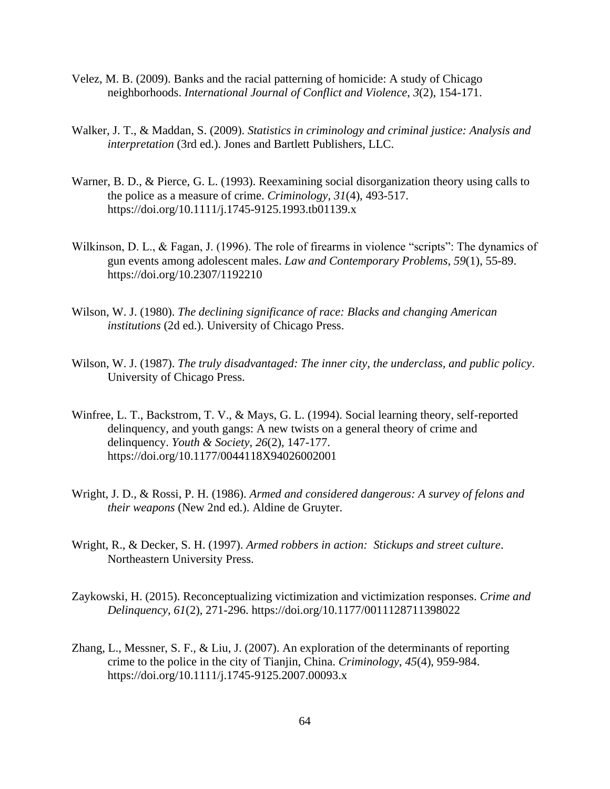- Velez, M. B. (2009). Banks and the racial patterning of homicide: A study of Chicago neighborhoods. *International Journal of Conflict and Violence*, *3*(2), 154-171.
- Walker, J. T., & Maddan, S. (2009). *Statistics in criminology and criminal justice: Analysis and interpretation* (3rd ed.). Jones and Bartlett Publishers, LLC.
- Warner, B. D., & Pierce, G. L. (1993). Reexamining social disorganization theory using calls to the police as a measure of crime. *Criminology*, *31*(4), 493-517. https://doi.org/10.1111/j.1745-9125.1993.tb01139.x
- Wilkinson, D. L., & Fagan, J. (1996). The role of firearms in violence "scripts": The dynamics of gun events among adolescent males. *Law and Contemporary Problems*, *59*(1), 55-89. https://doi.org/10.2307/1192210
- Wilson, W. J. (1980). *The declining significance of race: Blacks and changing American institutions* (2d ed.). University of Chicago Press.
- Wilson, W. J. (1987). *The truly disadvantaged: The inner city, the underclass, and public policy*. University of Chicago Press.
- Winfree, L. T., Backstrom, T. V., & Mays, G. L. (1994). Social learning theory, self-reported delinquency, and youth gangs: A new twists on a general theory of crime and delinquency. *Youth & Society*, *26*(2), 147-177. https://doi.org/10.1177/0044118X94026002001
- Wright, J. D., & Rossi, P. H. (1986). *Armed and considered dangerous: A survey of felons and their weapons* (New 2nd ed.). Aldine de Gruyter.
- Wright, R., & Decker, S. H. (1997). *Armed robbers in action: Stickups and street culture*. Northeastern University Press.
- Zaykowski, H. (2015). Reconceptualizing victimization and victimization responses. *Crime and Delinquency*, *61*(2), 271-296. https://doi.org/10.1177/0011128711398022
- Zhang, L., Messner, S. F., & Liu, J. (2007). An exploration of the determinants of reporting crime to the police in the city of Tianjin, China. *Criminology*, *45*(4), 959-984. https://doi.org/10.1111/j.1745-9125.2007.00093.x